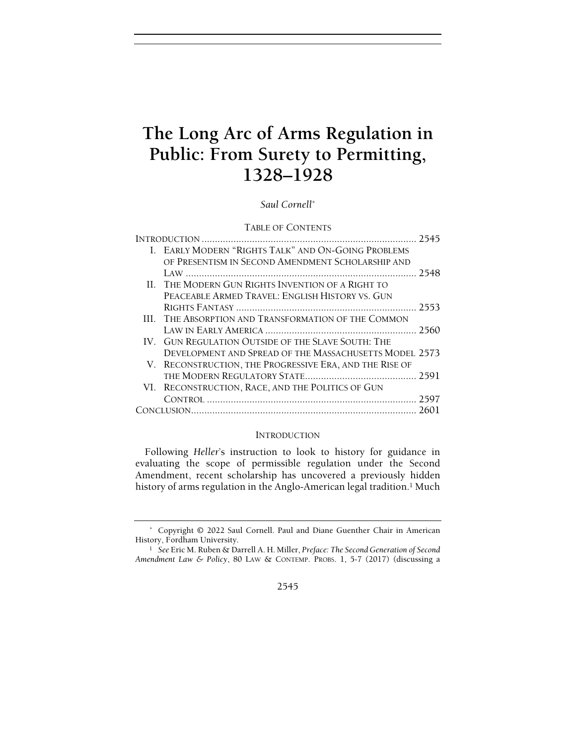# The Long Arc of Arms Regulation in Public: From Surety to Permitting,  $P(1328-1928)$ 1328–1928

## Saul Cornell\*

## TABLE OF CONTENTS

| I. EARLY MODERN "RIGHTS TALK" AND ON-GOING PROBLEMS     |  |
|---------------------------------------------------------|--|
| OF PRESENTISM IN SECOND AMENDMENT SCHOLARSHIP AND       |  |
|                                                         |  |
| II. THE MODERN GUN RIGHTS INVENTION OF A RIGHT TO       |  |
| PEACEABLE ARMED TRAVEL: ENGLISH HISTORY VS. GUN         |  |
|                                                         |  |
| III. THE ABSORPTION AND TRANSFORMATION OF THE COMMON    |  |
|                                                         |  |
| IV. GUN REGULATION OUTSIDE OF THE SLAVE SOUTH: THE      |  |
| DEVELOPMENT AND SPREAD OF THE MASSACHUSETTS MODEL 2573  |  |
| V. RECONSTRUCTION, THE PROGRESSIVE ERA, AND THE RISE OF |  |
|                                                         |  |
| VI. RECONSTRUCTION, RACE, AND THE POLITICS OF GUN       |  |
|                                                         |  |
|                                                         |  |
|                                                         |  |

## **INTRODUCTION**

Following Heller's instruction to look to history for guidance in evaluating the scope of permissible regulation under the Second Amendment, recent scholarship has uncovered a previously hidden history of arms regulation in the Anglo-American legal tradition.<sup>1</sup> Much

 <sup>\*</sup> Copyright © 2022 Saul Cornell. Paul and Diane Guenther Chair in American History, Fordham University.

<sup>&</sup>lt;sup>1</sup> See Eric M. Ruben & Darrell A. H. Miller, Preface: The Second Generation of Second Amendment Law & Policy, 80 LAW & CONTEMP. PROBS. 1, 5-7 (2017) (discussing a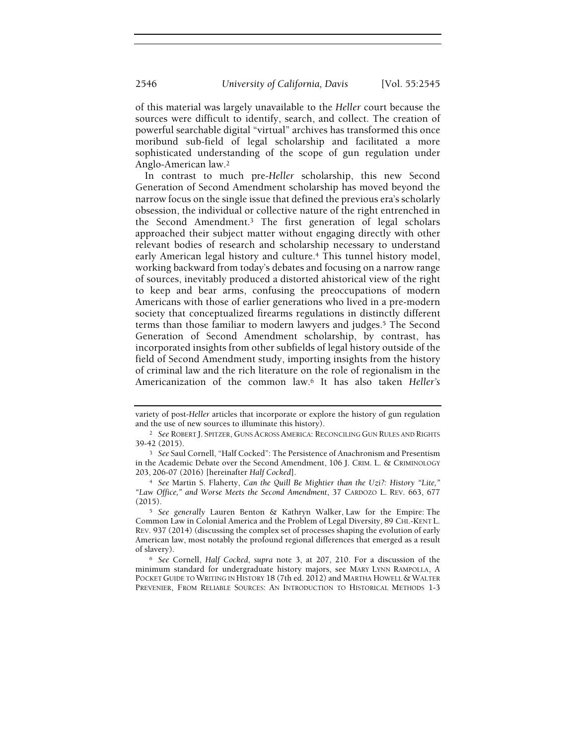of this material was largely unavailable to the Heller court because the sources were difficult to identify, search, and collect. The creation of powerful searchable digital "virtual" archives has transformed this once moribund sub-field of legal scholarship and facilitated a more sophisticated understanding of the scope of gun regulation under Anglo-American law.<sup>2</sup>

In contrast to much pre-Heller scholarship, this new Second Generation of Second Amendment scholarship has moved beyond the narrow focus on the single issue that defined the previous era's scholarly obsession, the individual or collective nature of the right entrenched in the Second Amendment.3 The first generation of legal scholars approached their subject matter without engaging directly with other relevant bodies of research and scholarship necessary to understand early American legal history and culture.<sup>4</sup> This tunnel history model, working backward from today's debates and focusing on a narrow range of sources, inevitably produced a distorted ahistorical view of the right to keep and bear arms, confusing the preoccupations of modern Americans with those of earlier generations who lived in a pre-modern society that conceptualized firearms regulations in distinctly different terms than those familiar to modern lawyers and judges.<sup>5</sup> The Second Generation of Second Amendment scholarship, by contrast, has incorporated insights from other subfields of legal history outside of the field of Second Amendment study, importing insights from the history of criminal law and the rich literature on the role of regionalism in the Americanization of the common law.6 It has also taken Heller's

variety of post-Heller articles that incorporate or explore the history of gun regulation and the use of new sources to illuminate this history).

<sup>2</sup> See ROBERT J. SPITZER, GUNS ACROSS AMERICA: RECONCILING GUN RULES AND RIGHTS 39-42 (2015).

<sup>3</sup> See Saul Cornell, "Half Cocked": The Persistence of Anachronism and Presentism in the Academic Debate over the Second Amendment, 106 J. CRIM. L. & CRIMINOLOGY 203, 206-07 (2016) [hereinafter Half Cocked].

<sup>4</sup> See Martin S. Flaherty, Can the Quill Be Mightier than the Uzi?: History "Lite," "Law Office," and Worse Meets the Second Amendment, 37 CARDOZO L. REV. 663, 677 (2015).

<sup>5</sup> See generally Lauren Benton & Kathryn Walker, Law for the Empire: The Common Law in Colonial America and the Problem of Legal Diversity, 89 CHI.-KENT L. REV. 937 (2014) (discussing the complex set of processes shaping the evolution of early American law, most notably the profound regional differences that emerged as a result of slavery).

<sup>6</sup> See Cornell, Half Cocked, supra note 3, at 207, 210. For a discussion of the minimum standard for undergraduate history majors, see MARY LYNN RAMPOLLA, A POCKET GUIDE TO WRITING IN HISTORY 18 (7th ed. 2012) and MARTHA HOWELL & WALTER PREVENIER, FROM RELIABLE SOURCES: AN INTRODUCTION TO HISTORICAL METHODS 1-3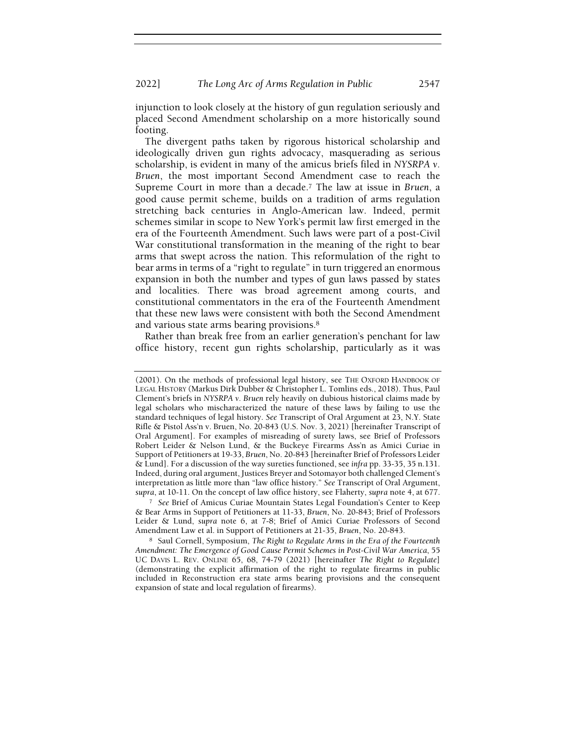injunction to look closely at the history of gun regulation seriously and placed Second Amendment scholarship on a more historically sound footing.

The divergent paths taken by rigorous historical scholarship and ideologically driven gun rights advocacy, masquerading as serious scholarship, is evident in many of the amicus briefs filed in NYSRPA v. Bruen, the most important Second Amendment case to reach the Supreme Court in more than a decade.<sup>7</sup> The law at issue in Bruen, a good cause permit scheme, builds on a tradition of arms regulation stretching back centuries in Anglo-American law. Indeed, permit schemes similar in scope to New York's permit law first emerged in the era of the Fourteenth Amendment. Such laws were part of a post-Civil War constitutional transformation in the meaning of the right to bear arms that swept across the nation. This reformulation of the right to bear arms in terms of a "right to regulate" in turn triggered an enormous expansion in both the number and types of gun laws passed by states and localities. There was broad agreement among courts, and constitutional commentators in the era of the Fourteenth Amendment that these new laws were consistent with both the Second Amendment and various state arms bearing provisions.<sup>8</sup>

Rather than break free from an earlier generation's penchant for law office history, recent gun rights scholarship, particularly as it was

<sup>7</sup> See Brief of Amicus Curiae Mountain States Legal Foundation's Center to Keep & Bear Arms in Support of Petitioners at 11-33, Bruen, No. 20-843; Brief of Professors Leider & Lund, supra note 6, at 7-8; Brief of Amici Curiae Professors of Second Amendment Law et al. in Support of Petitioners at 21-35, Bruen, No. 20-843.

<sup>8</sup> Saul Cornell, Symposium, The Right to Regulate Arms in the Era of the Fourteenth Amendment: The Emergence of Good Cause Permit Schemes in Post-Civil War America, 55 UC DAVIS L. REV. ONLINE 65, 68, 74-79 (2021) [hereinafter The Right to Regulate] (demonstrating the explicit affirmation of the right to regulate firearms in public included in Reconstruction era state arms bearing provisions and the consequent expansion of state and local regulation of firearms).

<sup>(2001).</sup> On the methods of professional legal history, see THE OXFORD HANDBOOK OF LEGAL HISTORY (Markus Dirk Dubber & Christopher L. Tomlins eds., 2018). Thus, Paul Clement's briefs in NYSRPA v. Bruen rely heavily on dubious historical claims made by legal scholars who mischaracterized the nature of these laws by failing to use the standard techniques of legal history. See Transcript of Oral Argument at 23, N.Y. State Rifle & Pistol Ass'n v. Bruen, No. 20-843 (U.S. Nov. 3, 2021) [hereinafter Transcript of Oral Argument]. For examples of misreading of surety laws, see Brief of Professors Robert Leider & Nelson Lund, & the Buckeye Firearms Ass'n as Amici Curiae in Support of Petitioners at 19-33, Bruen, No. 20-843 [hereinafter Brief of Professors Leider & Lund]. For a discussion of the way sureties functioned, see infra pp. 33-35, 35 n.131. Indeed, during oral argument, Justices Breyer and Sotomayor both challenged Clement's interpretation as little more than "law office history." See Transcript of Oral Argument, supra, at 10-11. On the concept of law office history, see Flaherty, supra note 4, at 677.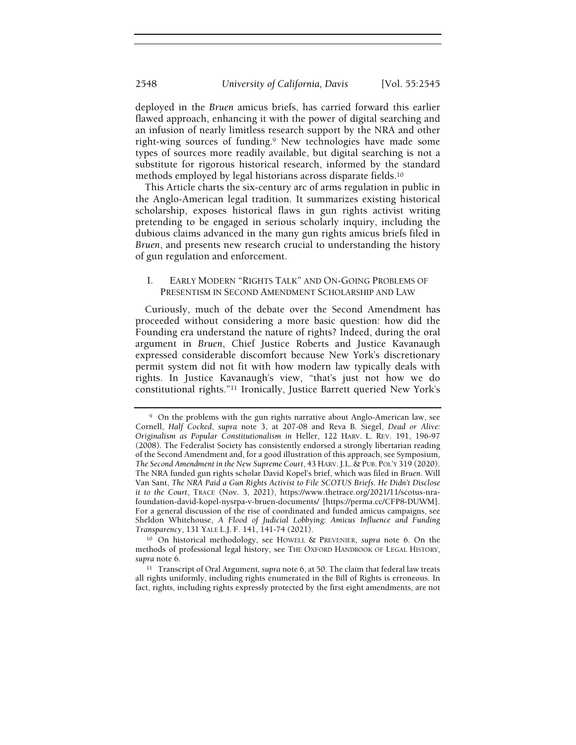deployed in the Bruen amicus briefs, has carried forward this earlier flawed approach, enhancing it with the power of digital searching and an infusion of nearly limitless research support by the NRA and other right-wing sources of funding.9 New technologies have made some types of sources more readily available, but digital searching is not a substitute for rigorous historical research, informed by the standard methods employed by legal historians across disparate fields.<sup>10</sup>

This Article charts the six-century arc of arms regulation in public in the Anglo-American legal tradition. It summarizes existing historical scholarship, exposes historical flaws in gun rights activist writing pretending to be engaged in serious scholarly inquiry, including the dubious claims advanced in the many gun rights amicus briefs filed in Bruen, and presents new research crucial to understanding the history of gun regulation and enforcement.

## I. EARLY MODERN "RIGHTS TALK" AND ON-GOING PROBLEMS OF PRESENTISM IN SECOND AMENDMENT SCHOLARSHIP AND LAW

Curiously, much of the debate over the Second Amendment has proceeded without considering a more basic question: how did the Founding era understand the nature of rights? Indeed, during the oral argument in Bruen, Chief Justice Roberts and Justice Kavanaugh expressed considerable discomfort because New York's discretionary permit system did not fit with how modern law typically deals with rights. In Justice Kavanaugh's view, "that's just not how we do constitutional rights."11 Ironically, Justice Barrett queried New York's

<sup>9</sup> On the problems with the gun rights narrative about Anglo-American law, see Cornell, Half Cocked, supra note 3, at 207-08 and Reva B. Siegel, Dead or Alive: Originalism as Popular Constitutionalism in Heller, 122 HARV. L. REV. 191, 196-97 (2008). The Federalist Society has consistently endorsed a strongly libertarian reading of the Second Amendment and, for a good illustration of this approach, see Symposium, The Second Amendment in the New Supreme Court, 43 HARV.J.L. & PUB. POL'Y 319 (2020). The NRA funded gun rights scholar David Kopel's brief, which was filed in Bruen. Will Van Sant, The NRA Paid a Gun Rights Activist to File SCOTUS Briefs. He Didn't Disclose it to the Court, TRACE (Nov. 3, 2021), https://www.thetrace.org/2021/11/scotus-nrafoundation-david-kopel-nysrpa-v-bruen-documents/ [https://perma.cc/CFP8-DUWM]. For a general discussion of the rise of coordinated and funded amicus campaigns, see Sheldon Whitehouse, A Flood of Judicial Lobbying: Amicus Influence and Funding Transparency, 131 YALE L.J. F. 141, 141-74 (2021).

<sup>10</sup> On historical methodology, see HOWELL & PREVENIER, supra note 6. On the methods of professional legal history, see THE OXFORD HANDBOOK OF LEGAL HISTORY, supra note 6.

<sup>&</sup>lt;sup>11</sup> Transcript of Oral Argument, supra note 6, at 50. The claim that federal law treats all rights uniformly, including rights enumerated in the Bill of Rights is erroneous. In fact, rights, including rights expressly protected by the first eight amendments, are not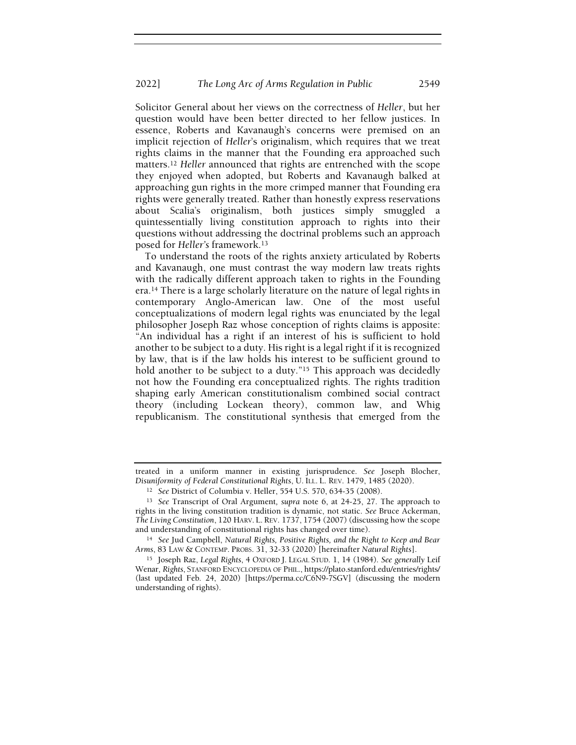Solicitor General about her views on the correctness of Heller, but her question would have been better directed to her fellow justices. In essence, Roberts and Kavanaugh's concerns were premised on an implicit rejection of Heller's originalism, which requires that we treat rights claims in the manner that the Founding era approached such matters.<sup>12</sup> Heller announced that rights are entrenched with the scope they enjoyed when adopted, but Roberts and Kavanaugh balked at approaching gun rights in the more crimped manner that Founding era rights were generally treated. Rather than honestly express reservations about Scalia's originalism, both justices simply smuggled a quintessentially living constitution approach to rights into their questions without addressing the doctrinal problems such an approach posed for Heller's framework.<sup>13</sup>

To understand the roots of the rights anxiety articulated by Roberts and Kavanaugh, one must contrast the way modern law treats rights with the radically different approach taken to rights in the Founding era.14 There is a large scholarly literature on the nature of legal rights in contemporary Anglo-American law. One of the most useful conceptualizations of modern legal rights was enunciated by the legal philosopher Joseph Raz whose conception of rights claims is apposite: "An individual has a right if an interest of his is sufficient to hold another to be subject to a duty. His right is a legal right if it is recognized by law, that is if the law holds his interest to be sufficient ground to hold another to be subject to a duty."<sup>15</sup> This approach was decidedly not how the Founding era conceptualized rights. The rights tradition shaping early American constitutionalism combined social contract theory (including Lockean theory), common law, and Whig republicanism. The constitutional synthesis that emerged from the

treated in a uniform manner in existing jurisprudence. See Joseph Blocher, Disuniformity of Federal Constitutional Rights, U. ILL. L. REV. 1479, 1485 (2020).

<sup>12</sup> See District of Columbia v. Heller, 554 U.S. 570, 634-35 (2008).

<sup>13</sup> See Transcript of Oral Argument, supra note 6, at 24-25, 27. The approach to rights in the living constitution tradition is dynamic, not static. See Bruce Ackerman, The Living Constitution, 120 HARV. L. REV. 1737, 1754 (2007) (discussing how the scope and understanding of constitutional rights has changed over time).

<sup>14</sup> See Jud Campbell, Natural Rights, Positive Rights, and the Right to Keep and Bear Arms, 83 LAW & CONTEMP. PROBS. 31, 32-33 (2020) [hereinafter Natural Rights].

<sup>&</sup>lt;sup>15</sup> Joseph Raz, Legal Rights, 4 OXFORD J. LEGAL STUD. 1, 14 (1984). See generally Leif Wenar, Rights, STANFORD ENCYCLOPEDIA OF PHIL., https://plato.stanford.edu/entries/rights/ (last updated Feb. 24, 2020) [https://perma.cc/C6N9-7SGV] (discussing the modern understanding of rights).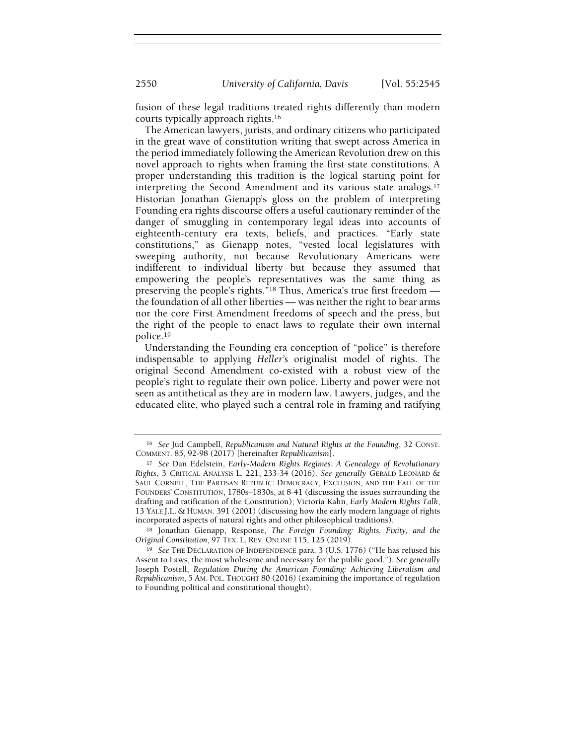fusion of these legal traditions treated rights differently than modern courts typically approach rights.<sup>16</sup>

The American lawyers, jurists, and ordinary citizens who participated in the great wave of constitution writing that swept across America in the period immediately following the American Revolution drew on this novel approach to rights when framing the first state constitutions. A proper understanding this tradition is the logical starting point for interpreting the Second Amendment and its various state analogs.<sup>17</sup> Historian Jonathan Gienapp's gloss on the problem of interpreting Founding era rights discourse offers a useful cautionary reminder of the danger of smuggling in contemporary legal ideas into accounts of eighteenth-century era texts, beliefs, and practices. "Early state constitutions," as Gienapp notes, "vested local legislatures with sweeping authority, not because Revolutionary Americans were indifferent to individual liberty but because they assumed that empowering the people's representatives was the same thing as preserving the people's rights."18 Thus, America's true first freedom the foundation of all other liberties — was neither the right to bear arms nor the core First Amendment freedoms of speech and the press, but the right of the people to enact laws to regulate their own internal police.<sup>19</sup>

Understanding the Founding era conception of "police" is therefore indispensable to applying Heller's originalist model of rights. The original Second Amendment co-existed with a robust view of the people's right to regulate their own police. Liberty and power were not seen as antithetical as they are in modern law. Lawyers, judges, and the educated elite, who played such a central role in framing and ratifying

<sup>16</sup> See Jud Campbell, Republicanism and Natural Rights at the Founding, 32 CONST. COMMENT. 85, 92-98 (2017) [hereinafter Republicanism].

<sup>17</sup> See Dan Edelstein, Early-Modern Rights Regimes: A Genealogy of Revolutionary Rights, 3 CRITICAL ANALYSIS L. 221, 233-34 (2016). See generally GERALD LEONARD & SAUL CORNELL, THE PARTISAN REPUBLIC: DEMOCRACY, EXCLUSION, AND THE FALL OF THE FOUNDERS' CONSTITUTION, 1780s–1830s, at 8-41 (discussing the issues surrounding the drafting and ratification of the Constitution); Victoria Kahn, Early Modern Rights Talk, 13 YALE J.L. & HUMAN. 391 (2001) (discussing how the early modern language of rights incorporated aspects of natural rights and other philosophical traditions).

<sup>18</sup> Jonathan Gienapp, Response, The Foreign Founding: Rights, Fixity, and the Original Constitution, 97 TEX. L. REV. ONLINE 115, 125 (2019).

<sup>&</sup>lt;sup>19</sup> See THE DECLARATION OF INDEPENDENCE para. 3 (U.S. 1776) ("He has refused his Assent to Laws, the most wholesome and necessary for the public good."). See generally Joseph Postell, Regulation During the American Founding: Achieving Liberalism and Republicanism, 5 AM. POL. THOUGHT 80 (2016) (examining the importance of regulation to Founding political and constitutional thought).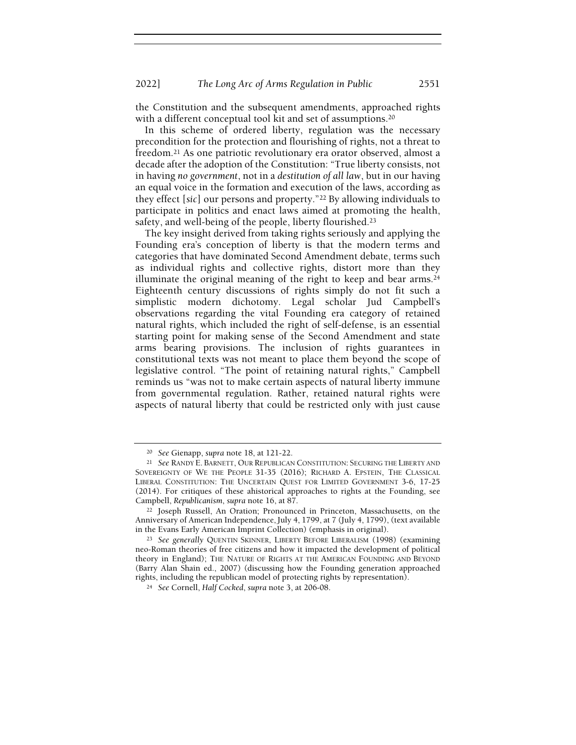the Constitution and the subsequent amendments, approached rights with a different conceptual tool kit and set of assumptions.<sup>20</sup>

In this scheme of ordered liberty, regulation was the necessary precondition for the protection and flourishing of rights, not a threat to freedom.21 As one patriotic revolutionary era orator observed, almost a decade after the adoption of the Constitution: "True liberty consists, not in having no government, not in a destitution of all law, but in our having an equal voice in the formation and execution of the laws, according as they effect [sic] our persons and property."22 By allowing individuals to participate in politics and enact laws aimed at promoting the health, safety, and well-being of the people, liberty flourished.<sup>23</sup>

The key insight derived from taking rights seriously and applying the Founding era's conception of liberty is that the modern terms and categories that have dominated Second Amendment debate, terms such as individual rights and collective rights, distort more than they illuminate the original meaning of the right to keep and bear arms.<sup>24</sup> Eighteenth century discussions of rights simply do not fit such a simplistic modern dichotomy. Legal scholar Jud Campbell's observations regarding the vital Founding era category of retained natural rights, which included the right of self-defense, is an essential starting point for making sense of the Second Amendment and state arms bearing provisions. The inclusion of rights guarantees in constitutional texts was not meant to place them beyond the scope of legislative control. "The point of retaining natural rights," Campbell reminds us "was not to make certain aspects of natural liberty immune from governmental regulation. Rather, retained natural rights were aspects of natural liberty that could be restricted only with just cause

<sup>20</sup> See Gienapp, supra note 18, at 121-22.

<sup>&</sup>lt;sup>21</sup> See RANDY E. BARNETT, OUR REPUBLICAN CONSTITUTION: SECURING THE LIBERTY AND SOVEREIGNTY OF WE THE PEOPLE 31-35 (2016); RICHARD A. EPSTEIN, THE CLASSICAL LIBERAL CONSTITUTION: THE UNCERTAIN QUEST FOR LIMITED GOVERNMENT 3-6, 17-25 (2014). For critiques of these ahistorical approaches to rights at the Founding, see Campbell, Republicanism, supra note 16, at 87.

<sup>22</sup> Joseph Russell, An Oration; Pronounced in Princeton, Massachusetts, on the Anniversary of American Independence, July 4, 1799, at 7 (July 4, 1799), (text available in the Evans Early American Imprint Collection) (emphasis in original).

<sup>23</sup> See generally QUENTIN SKINNER, LIBERTY BEFORE LIBERALISM (1998) (examining neo-Roman theories of free citizens and how it impacted the development of political theory in England); THE NATURE OF RIGHTS AT THE AMERICAN FOUNDING AND BEYOND (Barry Alan Shain ed., 2007) (discussing how the Founding generation approached rights, including the republican model of protecting rights by representation).

<sup>24</sup> See Cornell, Half Cocked, supra note 3, at 206-08.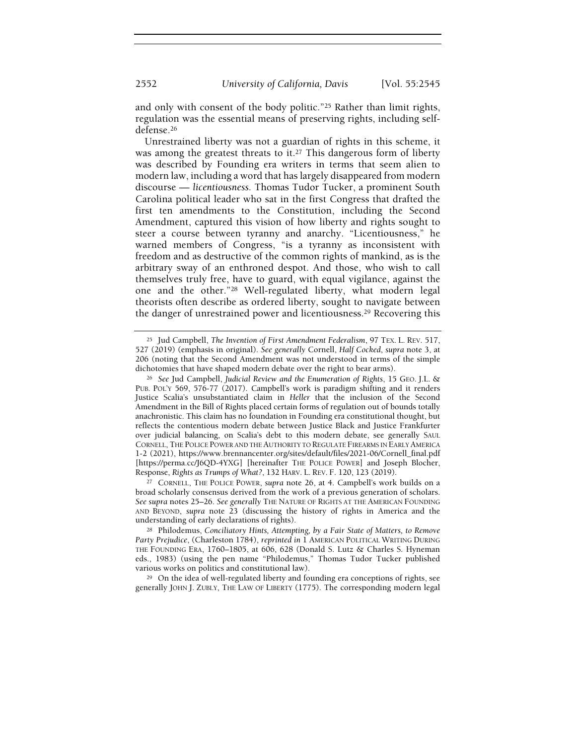and only with consent of the body politic."25 Rather than limit rights, regulation was the essential means of preserving rights, including selfdefense.<sup>26</sup>

Unrestrained liberty was not a guardian of rights in this scheme, it was among the greatest threats to it.<sup>27</sup> This dangerous form of liberty was described by Founding era writers in terms that seem alien to modern law, including a word that has largely disappeared from modern discourse — licentiousness. Thomas Tudor Tucker, a prominent South Carolina political leader who sat in the first Congress that drafted the first ten amendments to the Constitution, including the Second Amendment, captured this vision of how liberty and rights sought to steer a course between tyranny and anarchy. "Licentiousness," he warned members of Congress, "is a tyranny as inconsistent with freedom and as destructive of the common rights of mankind, as is the arbitrary sway of an enthroned despot. And those, who wish to call themselves truly free, have to guard, with equal vigilance, against the one and the other."28 Well-regulated liberty, what modern legal theorists often describe as ordered liberty, sought to navigate between the danger of unrestrained power and licentiousness.29 Recovering this

<sup>&</sup>lt;sup>25</sup> Jud Campbell, The Invention of First Amendment Federalism, 97 TEX, L. REV. 517, 527 (2019) (emphasis in original). See generally Cornell, Half Cocked, supra note 3, at 206 (noting that the Second Amendment was not understood in terms of the simple dichotomies that have shaped modern debate over the right to bear arms).

<sup>&</sup>lt;sup>26</sup> See Jud Campbell, *Judicial Review and the Enumeration of Rights*, 15 GEO. J.L. & PUB. POL'Y 569, 576-77 (2017). Campbell's work is paradigm shifting and it renders Justice Scalia's unsubstantiated claim in Heller that the inclusion of the Second Amendment in the Bill of Rights placed certain forms of regulation out of bounds totally anachronistic. This claim has no foundation in Founding era constitutional thought, but reflects the contentious modern debate between Justice Black and Justice Frankfurter over judicial balancing, on Scalia's debt to this modern debate, see generally SAUL CORNELL, THE POLICE POWER AND THE AUTHORITY TO REGULATE FIREARMS IN EARLY AMERICA 1-2 (2021), https://www.brennancenter.org/sites/default/files/2021-06/Cornell\_final.pdf [https://perma.cc/J6QD-4YXG] [hereinafter THE POLICE POWER] and Joseph Blocher, Response, Rights as Trumps of What?, 132 HARV. L. REV. F. 120, 123 (2019).

<sup>27</sup> CORNELL, THE POLICE POWER, supra note 26, at 4. Campbell's work builds on a broad scholarly consensus derived from the work of a previous generation of scholars. See supra notes 25-26. See generally THE NATURE OF RIGHTS AT THE AMERICAN FOUNDING AND BEYOND, supra note 23 (discussing the history of rights in America and the understanding of early declarations of rights).

<sup>28</sup> Philodemus, Conciliatory Hints, Attempting, by a Fair State of Matters, to Remove Party Prejudice, (Charleston 1784), reprinted in 1 AMERICAN POLITICAL WRITING DURING THE FOUNDING ERA, 1760–1805, at 606, 628 (Donald S. Lutz & Charles S. Hyneman eds., 1983) (using the pen name "Philodemus," Thomas Tudor Tucker published various works on politics and constitutional law).

<sup>29</sup> On the idea of well-regulated liberty and founding era conceptions of rights, see generally JOHN J. ZUBLY, THE LAW OF LIBERTY (1775). The corresponding modern legal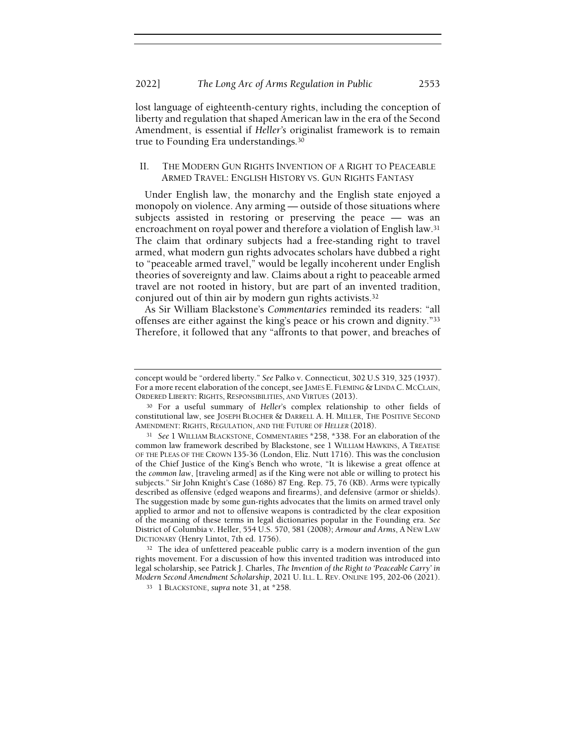lost language of eighteenth-century rights, including the conception of liberty and regulation that shaped American law in the era of the Second Amendment, is essential if Heller's originalist framework is to remain true to Founding Era understandings.<sup>30</sup>

## II. THE MODERN GUN RIGHTS INVENTION OF A RIGHT TO PEACEABLE ARMED TRAVEL: ENGLISH HISTORY VS. GUN RIGHTS FANTASY

Under English law, the monarchy and the English state enjoyed a monopoly on violence. Any arming — outside of those situations where subjects assisted in restoring or preserving the peace — was an encroachment on royal power and therefore a violation of English law.<sup>31</sup> The claim that ordinary subjects had a free-standing right to travel armed, what modern gun rights advocates scholars have dubbed a right to "peaceable armed travel," would be legally incoherent under English theories of sovereignty and law. Claims about a right to peaceable armed travel are not rooted in history, but are part of an invented tradition, conjured out of thin air by modern gun rights activists.<sup>32</sup>

As Sir William Blackstone's Commentaries reminded its readers: "all offenses are either against the king's peace or his crown and dignity."<sup>33</sup> Therefore, it followed that any "affronts to that power, and breaches of

<sup>32</sup> The idea of unfettered peaceable public carry is a modern invention of the gun rights movement. For a discussion of how this invented tradition was introduced into legal scholarship, see Patrick J. Charles, The Invention of the Right to 'Peaceable Carry' in Modern Second Amendment Scholarship, 2021 U. ILL. L. REV. ONLINE 195, 202-06 (2021).

concept would be "ordered liberty." See Palko v. Connecticut, 302 U.S 319, 325 (1937). For a more recent elaboration of the concept, see JAMES E. FLEMING & LINDA C. MCCLAIN, ORDERED LIBERTY: RIGHTS, RESPONSIBILITIES, AND VIRTUES (2013).

<sup>30</sup> For a useful summary of Heller's complex relationship to other fields of constitutional law, see JOSEPH BLOCHER & DARRELL A. H. MILLER, THE POSITIVE SECOND AMENDMENT: RIGHTS, REGULATION, AND THE FUTURE OF HELLER (2018).

<sup>31</sup> See 1 WILLIAM BLACKSTONE, COMMENTARIES \*258, \*338. For an elaboration of the common law framework described by Blackstone, see 1 WILLIAM HAWKINS, A TREATISE OF THE PLEAS OF THE CROWN 135-36 (London, Eliz. Nutt 1716). This was the conclusion of the Chief Justice of the King's Bench who wrote, "It is likewise a great offence at the common law, [traveling armed] as if the King were not able or willing to protect his subjects." Sir John Knight's Case (1686) 87 Eng. Rep. 75, 76 (KB). Arms were typically described as offensive (edged weapons and firearms), and defensive (armor or shields). The suggestion made by some gun-rights advocates that the limits on armed travel only applied to armor and not to offensive weapons is contradicted by the clear exposition of the meaning of these terms in legal dictionaries popular in the Founding era. See District of Columbia v. Heller, 554 U.S. 570, 581 (2008); Armour and Arms, A NEW LAW DICTIONARY (Henry Lintot, 7th ed. 1756).

<sup>33 1</sup> BLACKSTONE, supra note 31, at \*258.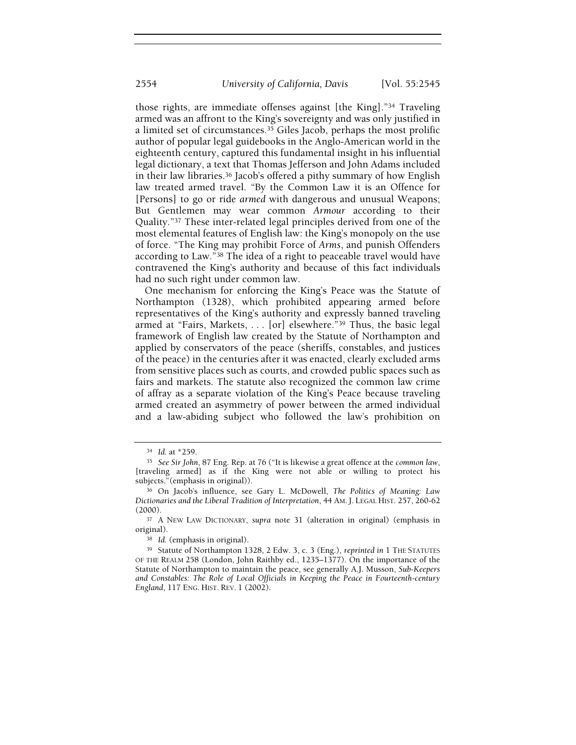those rights, are immediate offenses against [the King]."34 Traveling armed was an affront to the King's sovereignty and was only justified in a limited set of circumstances.35 Giles Jacob, perhaps the most prolific author of popular legal guidebooks in the Anglo-American world in the eighteenth century, captured this fundamental insight in his influential legal dictionary, a text that Thomas Jefferson and John Adams included in their law libraries.36 Jacob's offered a pithy summary of how English law treated armed travel. "By the Common Law it is an Offence for [Persons] to go or ride armed with dangerous and unusual Weapons; But Gentlemen may wear common Armour according to their Quality."37 These inter-related legal principles derived from one of the most elemental features of English law: the King's monopoly on the use of force. "The King may prohibit Force of Arms, and punish Offenders according to Law."38 The idea of a right to peaceable travel would have contravened the King's authority and because of this fact individuals had no such right under common law.

One mechanism for enforcing the King's Peace was the Statute of Northampton (1328), which prohibited appearing armed before representatives of the King's authority and expressly banned traveling armed at "Fairs, Markets, . . . [or] elsewhere."39 Thus, the basic legal framework of English law created by the Statute of Northampton and applied by conservators of the peace (sheriffs, constables, and justices of the peace) in the centuries after it was enacted, clearly excluded arms from sensitive places such as courts, and crowded public spaces such as fairs and markets. The statute also recognized the common law crime of affray as a separate violation of the King's Peace because traveling armed created an asymmetry of power between the armed individual and a law-abiding subject who followed the law's prohibition on

<sup>34</sup> Id. at \*259.

<sup>35</sup> See Sir John, 87 Eng. Rep. at 76 ("It is likewise a great offence at the common law, [traveling armed] as if the King were not able or willing to protect his subjects."(emphasis in original)).

<sup>36</sup> On Jacob's influence, see Gary L. McDowell, The Politics of Meaning: Law Dictionaries and the Liberal Tradition of Interpretation, 44 AM. J. LEGAL HIST. 257, 260-62 (2000).

<sup>37</sup> A NEW LAW DICTIONARY, supra note 31 (alteration in original) (emphasis in original).

<sup>38</sup> Id. (emphasis in original).

<sup>&</sup>lt;sup>39</sup> Statute of Northampton 1328, 2 Edw. 3, c. 3 (Eng.), reprinted in 1 THE STATUTES OF THE REALM 258 (London, John Raithby ed., 1235–1377). On the importance of the Statute of Northampton to maintain the peace, see generally A.J. Musson, Sub-Keepers and Constables: The Role of Local Officials in Keeping the Peace in Fourteenth-century England, 117 ENG. HIST. REV. 1 (2002).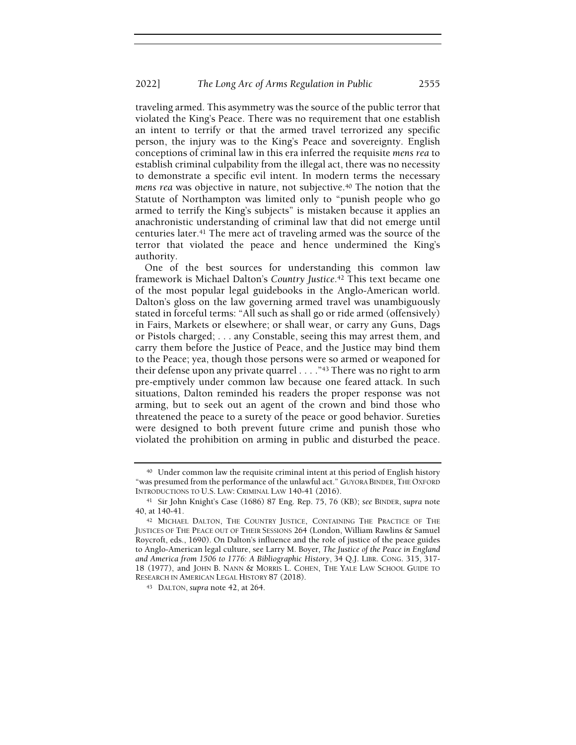traveling armed. This asymmetry was the source of the public terror that violated the King's Peace. There was no requirement that one establish an intent to terrify or that the armed travel terrorized any specific person, the injury was to the King's Peace and sovereignty. English conceptions of criminal law in this era inferred the requisite mens rea to establish criminal culpability from the illegal act, there was no necessity to demonstrate a specific evil intent. In modern terms the necessary mens rea was objective in nature, not subjective.<sup>40</sup> The notion that the Statute of Northampton was limited only to "punish people who go armed to terrify the King's subjects" is mistaken because it applies an anachronistic understanding of criminal law that did not emerge until centuries later.41 The mere act of traveling armed was the source of the terror that violated the peace and hence undermined the King's authority.

One of the best sources for understanding this common law framework is Michael Dalton's Country Justice.42 This text became one of the most popular legal guidebooks in the Anglo-American world. Dalton's gloss on the law governing armed travel was unambiguously stated in forceful terms: "All such as shall go or ride armed (offensively) in Fairs, Markets or elsewhere; or shall wear, or carry any Guns, Dags or Pistols charged; . . . any Constable, seeing this may arrest them, and carry them before the Justice of Peace, and the Justice may bind them to the Peace; yea, though those persons were so armed or weaponed for their defense upon any private quarrel  $\ldots$ ."<sup>43</sup> There was no right to arm pre-emptively under common law because one feared attack. In such situations, Dalton reminded his readers the proper response was not arming, but to seek out an agent of the crown and bind those who threatened the peace to a surety of the peace or good behavior. Sureties were designed to both prevent future crime and punish those who violated the prohibition on arming in public and disturbed the peace.

<sup>40</sup> Under common law the requisite criminal intent at this period of English history "was presumed from the performance of the unlawful act." GUYORA BINDER, THE OXFORD INTRODUCTIONS TO U.S. LAW: CRIMINAL LAW 140-41 (2016).

<sup>41</sup> Sir John Knight's Case (1686) 87 Eng. Rep. 75, 76 (KB); see BINDER, supra note 40, at 140-41.

<sup>&</sup>lt;sup>42</sup> MICHAEL DALTON, THE COUNTRY JUSTICE, CONTAINING THE PRACTICE OF THE JUSTICES OF THE PEACE OUT OF THEIR SESSIONS 264 (London, William Rawlins & Samuel Roycroft, eds., 1690). On Dalton's influence and the role of justice of the peace guides to Anglo-American legal culture, see Larry M. Boyer, The Justice of the Peace in England and America from 1506 to 1776: A Bibliographic History, 34 Q.J. LIBR. CONG. 315, 317- 18 (1977), and JOHN B. NANN & MORRIS L. COHEN, THE YALE LAW SCHOOL GUIDE TO RESEARCH IN AMERICAN LEGAL HISTORY 87 (2018).

<sup>43</sup> DALTON, supra note 42, at 264.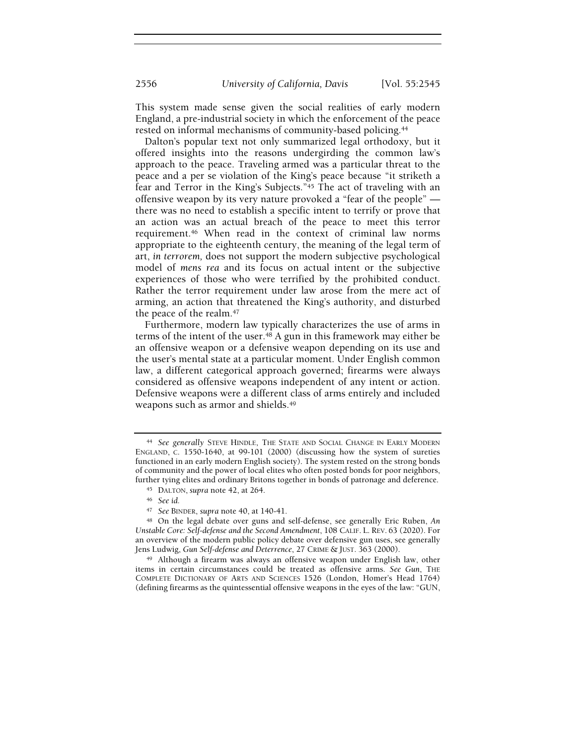2556 University of California, Davis [Vol. 55:2545

This system made sense given the social realities of early modern England, a pre-industrial society in which the enforcement of the peace rested on informal mechanisms of community-based policing.<sup>44</sup>

Dalton's popular text not only summarized legal orthodoxy, but it offered insights into the reasons undergirding the common law's approach to the peace. Traveling armed was a particular threat to the peace and a per se violation of the King's peace because "it striketh a fear and Terror in the King's Subjects."45 The act of traveling with an offensive weapon by its very nature provoked a "fear of the people" there was no need to establish a specific intent to terrify or prove that an action was an actual breach of the peace to meet this terror requirement.46 When read in the context of criminal law norms appropriate to the eighteenth century, the meaning of the legal term of art, in terrorem, does not support the modern subjective psychological model of mens rea and its focus on actual intent or the subjective experiences of those who were terrified by the prohibited conduct. Rather the terror requirement under law arose from the mere act of arming, an action that threatened the King's authority, and disturbed the peace of the realm.<sup>47</sup>

Furthermore, modern law typically characterizes the use of arms in terms of the intent of the user.48 A gun in this framework may either be an offensive weapon or a defensive weapon depending on its use and the user's mental state at a particular moment. Under English common law, a different categorical approach governed; firearms were always considered as offensive weapons independent of any intent or action. Defensive weapons were a different class of arms entirely and included weapons such as armor and shields.<sup>49</sup>

<sup>44</sup> See generally STEVE HINDLE, THE STATE AND SOCIAL CHANGE IN EARLY MODERN ENGLAND, C. 1550-1640, at 99-101 (2000) (discussing how the system of sureties functioned in an early modern English society). The system rested on the strong bonds of community and the power of local elites who often posted bonds for poor neighbors, further tying elites and ordinary Britons together in bonds of patronage and deference.

<sup>45</sup> DALTON, supra note 42, at 264.

<sup>46</sup> See id.

<sup>47</sup> See BINDER, supra note 40, at 140-41.

<sup>48</sup> On the legal debate over guns and self-defense, see generally Eric Ruben, An Unstable Core: Self-defense and the Second Amendment, 108 CALIF. L. REV. 63 (2020). For an overview of the modern public policy debate over defensive gun uses, see generally Jens Ludwig, Gun Self-defense and Deterrence, 27 CRIME & JUST. 363 (2000).

<sup>49</sup> Although a firearm was always an offensive weapon under English law, other items in certain circumstances could be treated as offensive arms. See Gun, THE COMPLETE DICTIONARY OF ARTS AND SCIENCES 1526 (London, Homer's Head 1764) (defining firearms as the quintessential offensive weapons in the eyes of the law: "GUN,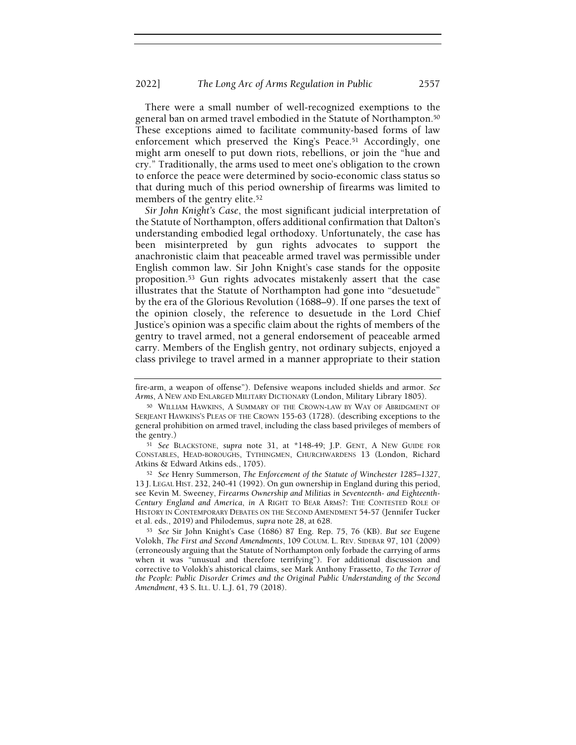There were a small number of well-recognized exemptions to the general ban on armed travel embodied in the Statute of Northampton.<sup>50</sup> These exceptions aimed to facilitate community-based forms of law enforcement which preserved the King's Peace.<sup>51</sup> Accordingly, one might arm oneself to put down riots, rebellions, or join the "hue and cry." Traditionally, the arms used to meet one's obligation to the crown to enforce the peace were determined by socio-economic class status so that during much of this period ownership of firearms was limited to members of the gentry elite.<sup>52</sup>

Sir John Knight's Case, the most significant judicial interpretation of the Statute of Northampton, offers additional confirmation that Dalton's understanding embodied legal orthodoxy. Unfortunately, the case has been misinterpreted by gun rights advocates to support the anachronistic claim that peaceable armed travel was permissible under English common law. Sir John Knight's case stands for the opposite proposition.53 Gun rights advocates mistakenly assert that the case illustrates that the Statute of Northampton had gone into "desuetude" by the era of the Glorious Revolution (1688–9). If one parses the text of the opinion closely, the reference to desuetude in the Lord Chief Justice's opinion was a specific claim about the rights of members of the gentry to travel armed, not a general endorsement of peaceable armed carry. Members of the English gentry, not ordinary subjects, enjoyed a class privilege to travel armed in a manner appropriate to their station

fire-arm, a weapon of offense"). Defensive weapons included shields and armor. See Arms, A NEW AND ENLARGED MILITARY DICTIONARY (London, Military Library 1805).

<sup>50</sup> WILLIAM HAWKINS, A SUMMARY OF THE CROWN-LAW BY WAY OF ABRIDGMENT OF SERJEANT HAWKINS'S PLEAS OF THE CROWN 155-63 (1728). (describing exceptions to the general prohibition on armed travel, including the class based privileges of members of the gentry.)

<sup>51</sup> See BLACKSTONE, supra note 31, at \*148-49; J.P. GENT, A NEW GUIDE FOR CONSTABLES, HEAD-BOROUGHS, TYTHINGMEN, CHURCHWARDENS 13 (London, Richard Atkins & Edward Atkins eds., 1705).

<sup>52</sup> See Henry Summerson, The Enforcement of the Statute of Winchester 1285–1327, 13 J. LEGAL HIST. 232, 240-41 (1992). On gun ownership in England during this period, see Kevin M. Sweeney, Firearms Ownership and Militias in Seventeenth- and Eighteenth-Century England and America, in A RIGHT TO BEAR ARMS?: THE CONTESTED ROLE OF HISTORY IN CONTEMPORARY DEBATES ON THE SECOND AMENDMENT 54-57 (Jennifer Tucker et al. eds., 2019) and Philodemus, supra note 28, at 628.

<sup>53</sup> See Sir John Knight's Case (1686) 87 Eng. Rep. 75, 76 (KB). But see Eugene Volokh, The First and Second Amendments, 109 COLUM. L. REV. SIDEBAR 97, 101 (2009) (erroneously arguing that the Statute of Northampton only forbade the carrying of arms when it was "unusual and therefore terrifying"). For additional discussion and corrective to Volokh's ahistorical claims, see Mark Anthony Frassetto, To the Terror of the People: Public Disorder Crimes and the Original Public Understanding of the Second Amendment, 43 S. ILL. U. L.J. 61, 79 (2018).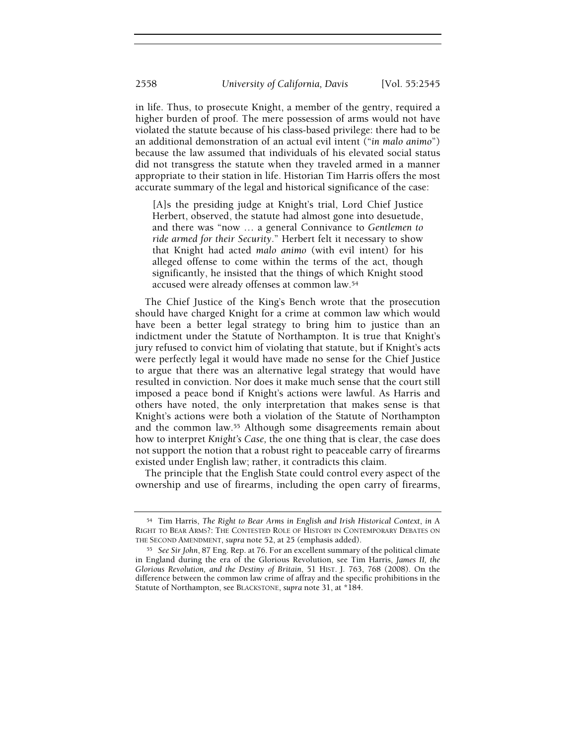in life. Thus, to prosecute Knight, a member of the gentry, required a higher burden of proof. The mere possession of arms would not have violated the statute because of his class-based privilege: there had to be an additional demonstration of an actual evil intent ("in malo animo") because the law assumed that individuals of his elevated social status did not transgress the statute when they traveled armed in a manner appropriate to their station in life. Historian Tim Harris offers the most accurate summary of the legal and historical significance of the case:

[A]s the presiding judge at Knight's trial, Lord Chief Justice Herbert, observed, the statute had almost gone into desuetude, and there was "now … a general Connivance to Gentlemen to ride armed for their Security." Herbert felt it necessary to show that Knight had acted malo animo (with evil intent) for his alleged offense to come within the terms of the act, though significantly, he insisted that the things of which Knight stood accused were already offenses at common law.<sup>54</sup>

The Chief Justice of the King's Bench wrote that the prosecution should have charged Knight for a crime at common law which would have been a better legal strategy to bring him to justice than an indictment under the Statute of Northampton. It is true that Knight's jury refused to convict him of violating that statute, but if Knight's acts were perfectly legal it would have made no sense for the Chief Justice to argue that there was an alternative legal strategy that would have resulted in conviction. Nor does it make much sense that the court still imposed a peace bond if Knight's actions were lawful. As Harris and others have noted, the only interpretation that makes sense is that Knight's actions were both a violation of the Statute of Northampton and the common law.55 Although some disagreements remain about how to interpret Knight's Case, the one thing that is clear, the case does not support the notion that a robust right to peaceable carry of firearms existed under English law; rather, it contradicts this claim.

The principle that the English State could control every aspect of the ownership and use of firearms, including the open carry of firearms,

<sup>54</sup> Tim Harris, The Right to Bear Arms in English and Irish Historical Context, in A RIGHT TO BEAR ARMS?: THE CONTESTED ROLE OF HISTORY IN CONTEMPORARY DEBATES ON THE SECOND AMENDMENT, supra note 52, at 25 (emphasis added).

<sup>55</sup> See Sir John, 87 Eng. Rep. at 76. For an excellent summary of the political climate in England during the era of the Glorious Revolution, see Tim Harris, James II, the Glorious Revolution, and the Destiny of Britain, 51 HIST. J. 763, 768 (2008). On the difference between the common law crime of affray and the specific prohibitions in the Statute of Northampton, see BLACKSTONE, supra note 31, at \*184.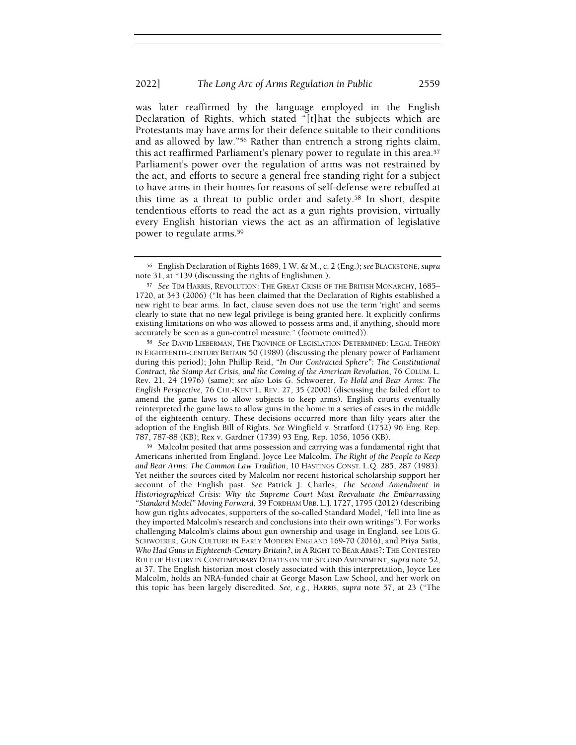was later reaffirmed by the language employed in the English Declaration of Rights, which stated "[t]hat the subjects which are Protestants may have arms for their defence suitable to their conditions and as allowed by law."56 Rather than entrench a strong rights claim, this act reaffirmed Parliament's plenary power to regulate in this area.<sup>57</sup> Parliament's power over the regulation of arms was not restrained by the act, and efforts to secure a general free standing right for a subject to have arms in their homes for reasons of self-defense were rebuffed at this time as a threat to public order and safety.58 In short, despite tendentious efforts to read the act as a gun rights provision, virtually every English historian views the act as an affirmation of legislative power to regulate arms.<sup>59</sup>

<sup>58</sup> See DAVID LIEBERMAN, THE PROVINCE OF LEGISLATION DETERMINED: LEGAL THEORY IN EIGHTEENTH-CENTURY BRITAIN 50 (1989) (discussing the plenary power of Parliament during this period); John Phillip Reid, "In Our Contracted Sphere": The Constitutional Contract, the Stamp Act Crisis, and the Coming of the American Revolution, 76 COLUM. L. Rev. 21, 24 (1976) (same); see also Lois G. Schwoerer, To Hold and Bear Arms: The English Perspective, 76 CHI.-KENT L. REV. 27, 35 (2000) (discussing the failed effort to amend the game laws to allow subjects to keep arms). English courts eventually reinterpreted the game laws to allow guns in the home in a series of cases in the middle of the eighteenth century. These decisions occurred more than fifty years after the adoption of the English Bill of Rights. See Wingfield v. Stratford (1752) 96 Eng. Rep. 787, 787-88 (KB); Rex v. Gardner (1739) 93 Eng. Rep. 1056, 1056 (KB).

<sup>59</sup> Malcolm posited that arms possession and carrying was a fundamental right that Americans inherited from England. Joyce Lee Malcolm, The Right of the People to Keep and Bear Arms: The Common Law Tradition, 10 HASTINGS CONST. L.Q. 285, 287 (1983). Yet neither the sources cited by Malcolm nor recent historical scholarship support her account of the English past. See Patrick J. Charles, The Second Amendment in Historiographical Crisis: Why the Supreme Court Must Reevaluate the Embarrassing "Standard Model" Moving Forward, 39 FORDHAM URB. L.J. 1727, 1795 (2012) (describing how gun rights advocates, supporters of the so-called Standard Model, "fell into line as they imported Malcolm's research and conclusions into their own writings"). For works challenging Malcolm's claims about gun ownership and usage in England, see LOIS G. SCHWOERER, GUN CULTURE IN EARLY MODERN ENGLAND 169-70 (2016), and Priya Satia, Who Had Guns in Eighteenth-Century Britain?, in A RIGHT TO BEAR ARMS?: THE CONTESTED ROLE OF HISTORY IN CONTEMPORARY DEBATES ON THE SECOND AMENDMENT, supra note 52, at 37. The English historian most closely associated with this interpretation, Joyce Lee Malcolm, holds an NRA-funded chair at George Mason Law School, and her work on this topic has been largely discredited. See, e.g., HARRIS, supra note 57, at 23 ("The

<sup>56</sup> English Declaration of Rights 1689, 1 W. & M., c. 2 (Eng.); see BLACKSTONE, supra note 31, at \*139 (discussing the rights of Englishmen.).

<sup>57</sup> See TIM HARRIS, REVOLUTION: THE GREAT CRISIS OF THE BRITISH MONARCHY, 1685– 1720, at 343 (2006) ("It has been claimed that the Declaration of Rights established a new right to bear arms. In fact, clause seven does not use the term 'right' and seems clearly to state that no new legal privilege is being granted here. It explicitly confirms existing limitations on who was allowed to possess arms and, if anything, should more accurately be seen as a gun-control measure." (footnote omitted)).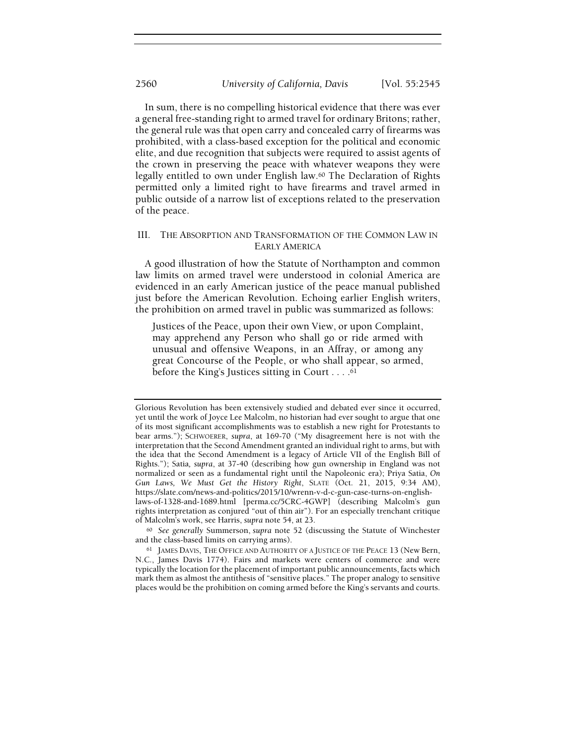In sum, there is no compelling historical evidence that there was ever a general free-standing right to armed travel for ordinary Britons; rather, the general rule was that open carry and concealed carry of firearms was prohibited, with a class-based exception for the political and economic elite, and due recognition that subjects were required to assist agents of the crown in preserving the peace with whatever weapons they were legally entitled to own under English law.60 The Declaration of Rights permitted only a limited right to have firearms and travel armed in public outside of a narrow list of exceptions related to the preservation of the peace.

## III. THE ABSORPTION AND TRANSFORMATION OF THE COMMON LAW IN EARLY AMERICA

A good illustration of how the Statute of Northampton and common law limits on armed travel were understood in colonial America are evidenced in an early American justice of the peace manual published just before the American Revolution. Echoing earlier English writers, the prohibition on armed travel in public was summarized as follows:

Justices of the Peace, upon their own View, or upon Complaint, may apprehend any Person who shall go or ride armed with unusual and offensive Weapons, in an Affray, or among any great Concourse of the People, or who shall appear, so armed, before the King's Justices sitting in Court . . . . 61

<sup>60</sup> See generally Summerson, supra note 52 (discussing the Statute of Winchester and the class-based limits on carrying arms).

Glorious Revolution has been extensively studied and debated ever since it occurred, yet until the work of Joyce Lee Malcolm, no historian had ever sought to argue that one of its most significant accomplishments was to establish a new right for Protestants to bear arms."); SCHWOERER, supra, at 169-70 ("My disagreement here is not with the interpretation that the Second Amendment granted an individual right to arms, but with the idea that the Second Amendment is a legacy of Article VII of the English Bill of Rights."); Satia, supra, at 37-40 (describing how gun ownership in England was not normalized or seen as a fundamental right until the Napoleonic era); Priya Satia, On Gun Laws, We Must Get the History Right, SLATE (Oct. 21, 2015, 9:34 AM), https://slate.com/news-and-politics/2015/10/wrenn-v-d-c-gun-case-turns-on-englishlaws-of-1328-and-1689.html [perma.cc/5CRC-4GWP] (describing Malcolm's gun rights interpretation as conjured "out of thin air"). For an especially trenchant critique of Malcolm's work, see Harris, supra note 54, at 23.

<sup>61</sup> JAMES DAVIS, THE OFFICE AND AUTHORITY OF A JUSTICE OF THE PEACE 13 (New Bern, N.C., James Davis 1774). Fairs and markets were centers of commerce and were typically the location for the placement of important public announcements, facts which mark them as almost the antithesis of "sensitive places." The proper analogy to sensitive places would be the prohibition on coming armed before the King's servants and courts.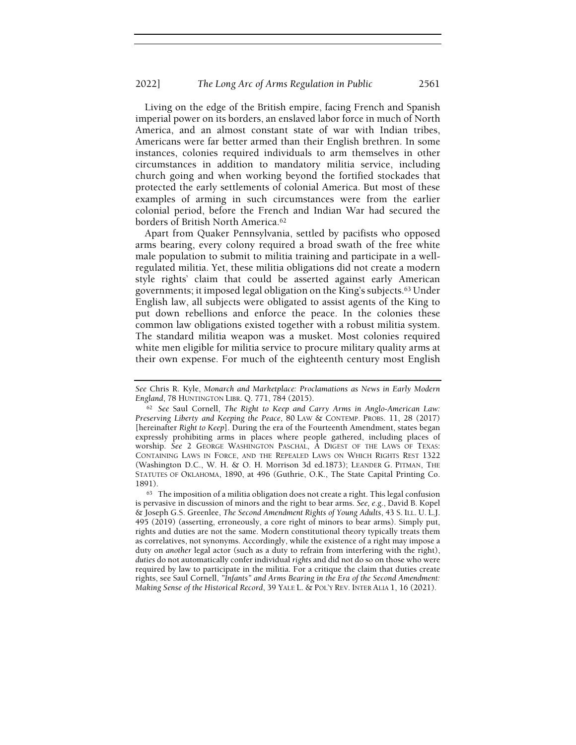Living on the edge of the British empire, facing French and Spanish imperial power on its borders, an enslaved labor force in much of North America, and an almost constant state of war with Indian tribes, Americans were far better armed than their English brethren. In some instances, colonies required individuals to arm themselves in other circumstances in addition to mandatory militia service, including church going and when working beyond the fortified stockades that protected the early settlements of colonial America. But most of these examples of arming in such circumstances were from the earlier colonial period, before the French and Indian War had secured the borders of British North America.<sup>62</sup>

Apart from Quaker Pennsylvania, settled by pacifists who opposed arms bearing, every colony required a broad swath of the free white male population to submit to militia training and participate in a wellregulated militia. Yet, these militia obligations did not create a modern style rights' claim that could be asserted against early American governments; it imposed legal obligation on the King's subjects.63 Under English law, all subjects were obligated to assist agents of the King to put down rebellions and enforce the peace. In the colonies these common law obligations existed together with a robust militia system. The standard militia weapon was a musket. Most colonies required white men eligible for militia service to procure military quality arms at their own expense. For much of the eighteenth century most English

 $63$  The imposition of a militia obligation does not create a right. This legal confusion is pervasive in discussion of minors and the right to bear arms. See, e.g., David B. Kopel & Joseph G.S. Greenlee, The Second Amendment Rights of Young Adults, 43 S. ILL. U. L.J. 495 (2019) (asserting, erroneously, a core right of minors to bear arms). Simply put, rights and duties are not the same. Modern constitutional theory typically treats them as correlatives, not synonyms. Accordingly, while the existence of a right may impose a duty on another legal actor (such as a duty to refrain from interfering with the right), duties do not automatically confer individual rights and did not do so on those who were required by law to participate in the militia. For a critique the claim that duties create rights, see Saul Cornell, "Infants" and Arms Bearing in the Era of the Second Amendment: Making Sense of the Historical Record, 39 YALE L. & POL'Y REV. INTER ALIA 1, 16 (2021).

See Chris R. Kyle, Monarch and Marketplace: Proclamations as News in Early Modern England, 78 HUNTINGTON LIBR. Q. 771, 784 (2015).

<sup>62</sup> See Saul Cornell, The Right to Keep and Carry Arms in Anglo-American Law: Preserving Liberty and Keeping the Peace, 80 LAW & CONTEMP. PROBS. 11, 28 (2017) [hereinafter Right to Keep]. During the era of the Fourteenth Amendment, states began expressly prohibiting arms in places where people gathered, including places of worship. See 2 GEORGE WASHINGTON PASCHAL, A DIGEST OF THE LAWS OF TEXAS: CONTAINING LAWS IN FORCE, AND THE REPEALED LAWS ON WHICH RIGHTS REST 1322 (Washington D.C., W. H. & O. H. Morrison 3d ed.1873); LEANDER G. PITMAN, THE STATUTES OF OKLAHOMA, 1890, at 496 (Guthrie, O.K., The State Capital Printing Co. 1891).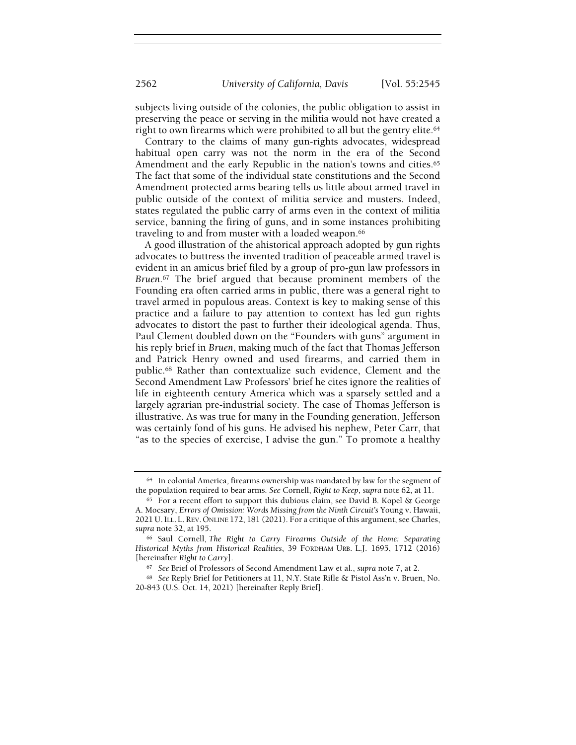subjects living outside of the colonies, the public obligation to assist in preserving the peace or serving in the militia would not have created a right to own firearms which were prohibited to all but the gentry elite.<sup>64</sup>

Contrary to the claims of many gun-rights advocates, widespread habitual open carry was not the norm in the era of the Second Amendment and the early Republic in the nation's towns and cities.<sup>65</sup> The fact that some of the individual state constitutions and the Second Amendment protected arms bearing tells us little about armed travel in public outside of the context of militia service and musters. Indeed, states regulated the public carry of arms even in the context of militia service, banning the firing of guns, and in some instances prohibiting traveling to and from muster with a loaded weapon.<sup>66</sup>

A good illustration of the ahistorical approach adopted by gun rights advocates to buttress the invented tradition of peaceable armed travel is evident in an amicus brief filed by a group of pro-gun law professors in Bruen.<sup>67</sup> The brief argued that because prominent members of the Founding era often carried arms in public, there was a general right to travel armed in populous areas. Context is key to making sense of this practice and a failure to pay attention to context has led gun rights advocates to distort the past to further their ideological agenda. Thus, Paul Clement doubled down on the "Founders with guns" argument in his reply brief in Bruen, making much of the fact that Thomas Jefferson and Patrick Henry owned and used firearms, and carried them in public.68 Rather than contextualize such evidence, Clement and the Second Amendment Law Professors' brief he cites ignore the realities of life in eighteenth century America which was a sparsely settled and a largely agrarian pre-industrial society. The case of Thomas Jefferson is illustrative. As was true for many in the Founding generation, Jefferson was certainly fond of his guns. He advised his nephew, Peter Carr, that "as to the species of exercise, I advise the gun." To promote a healthy

<sup>64</sup> In colonial America, firearms ownership was mandated by law for the segment of the population required to bear arms. See Cornell, Right to Keep, supra note 62, at 11.

<sup>65</sup> For a recent effort to support this dubious claim, see David B. Kopel & George A. Mocsary, Errors of Omission: Words Missing from the Ninth Circuit's Young v. Hawaii, 2021 U.ILL. L. REV. ONLINE 172, 181 (2021). For a critique of this argument, see Charles, supra note 32, at 195.

<sup>66</sup> Saul Cornell, The Right to Carry Firearms Outside of the Home: Separating Historical Myths from Historical Realities, 39 FORDHAM URB. L.J. 1695, 1712 (2016) [hereinafter Right to Carry].

<sup>67</sup> See Brief of Professors of Second Amendment Law et al., supra note 7, at 2.

<sup>68</sup> See Reply Brief for Petitioners at 11, N.Y. State Rifle & Pistol Ass'n v. Bruen, No. 20-843 (U.S. Oct. 14, 2021) [hereinafter Reply Brief].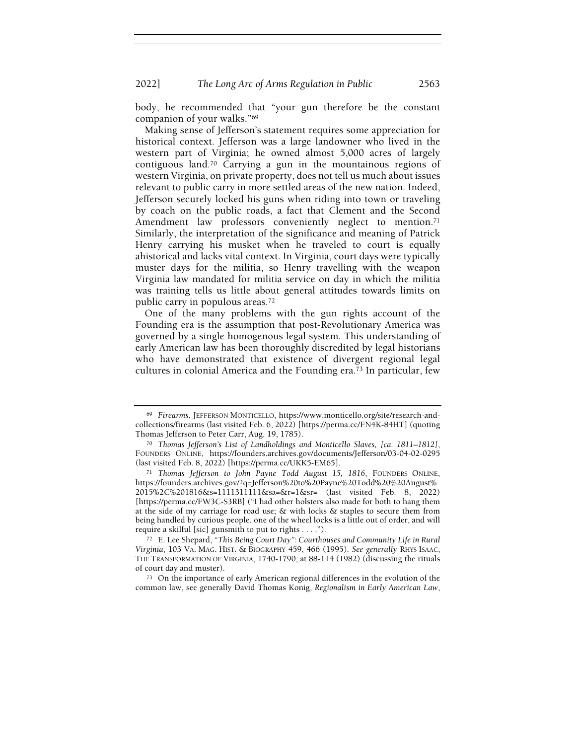body, he recommended that "your gun therefore be the constant companion of your walks."<sup>69</sup>

Making sense of Jefferson's statement requires some appreciation for historical context. Jefferson was a large landowner who lived in the western part of Virginia; he owned almost 5,000 acres of largely contiguous land.70 Carrying a gun in the mountainous regions of western Virginia, on private property, does not tell us much about issues relevant to public carry in more settled areas of the new nation. Indeed, Jefferson securely locked his guns when riding into town or traveling by coach on the public roads, a fact that Clement and the Second Amendment law professors conveniently neglect to mention.<sup>71</sup> Similarly, the interpretation of the significance and meaning of Patrick Henry carrying his musket when he traveled to court is equally ahistorical and lacks vital context. In Virginia, court days were typically muster days for the militia, so Henry travelling with the weapon Virginia law mandated for militia service on day in which the militia was training tells us little about general attitudes towards limits on public carry in populous areas.<sup>72</sup>

One of the many problems with the gun rights account of the Founding era is the assumption that post-Revolutionary America was governed by a single homogenous legal system. This understanding of early American law has been thoroughly discredited by legal historians who have demonstrated that existence of divergent regional legal cultures in colonial America and the Founding era.73 In particular, few

<sup>69</sup> Firearms, JEFFERSON MONTICELLO, https://www.monticello.org/site/research-andcollections/firearms (last visited Feb. 6, 2022) [https://perma.cc/FN4K-84HT] (quoting Thomas Jefferson to Peter Carr, Aug. 19, 1785).

<sup>70</sup> Thomas Jefferson's List of Landholdings and Monticello Slaves, [ca. 1811–1812], FOUNDERS ONLINE, https://founders.archives.gov/documents/Jefferson/03-04-02-0295 (last visited Feb. 8, 2022) [https://perma.cc/UKK5-EM65].

<sup>71</sup> Thomas Jefferson to John Payne Todd August 15, 1816, FOUNDERS ONLINE, https://founders.archives.gov/?q=Jefferson%20to%20Payne%20Todd%20%20August% 2015%2C%201816&s=1111311111&sa=&r=1&sr= (last visited Feb. 8, 2022) [https://perma.cc/FW3C-S3RB] ("I had other holsters also made for both to hang them at the side of my carriage for road use;  $\&$  with locks  $&$  staples to secure them from being handled by curious people. one of the wheel locks is a little out of order, and will require a skilful [sic] gunsmith to put to rights . . . .").

<sup>72</sup> E. Lee Shepard, "This Being Court Day": Courthouses and Community Life in Rural Virginia, 103 VA. MAG. HIST. & BIOGRAPHY 459, 466 (1995). See generally RHYS ISAAC, THE TRANSFORMATION OF VIRGINIA, 1740-1790, at 88-114 (1982) (discussing the rituals of court day and muster).

<sup>73</sup> On the importance of early American regional differences in the evolution of the common law, see generally David Thomas Konig, Regionalism in Early American Law,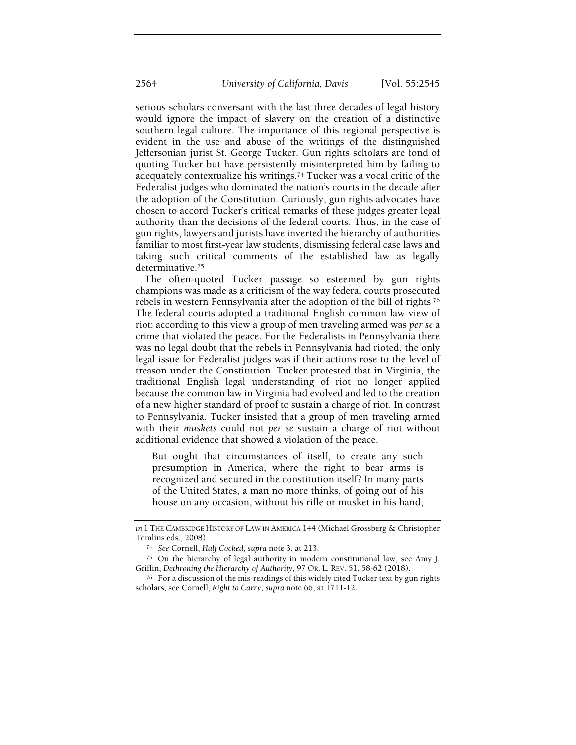serious scholars conversant with the last three decades of legal history would ignore the impact of slavery on the creation of a distinctive southern legal culture. The importance of this regional perspective is evident in the use and abuse of the writings of the distinguished Jeffersonian jurist St. George Tucker. Gun rights scholars are fond of quoting Tucker but have persistently misinterpreted him by failing to adequately contextualize his writings.74 Tucker was a vocal critic of the Federalist judges who dominated the nation's courts in the decade after the adoption of the Constitution. Curiously, gun rights advocates have chosen to accord Tucker's critical remarks of these judges greater legal authority than the decisions of the federal courts. Thus, in the case of gun rights, lawyers and jurists have inverted the hierarchy of authorities familiar to most first-year law students, dismissing federal case laws and taking such critical comments of the established law as legally determinative.<sup>75</sup>

The often-quoted Tucker passage so esteemed by gun rights champions was made as a criticism of the way federal courts prosecuted rebels in western Pennsylvania after the adoption of the bill of rights.<sup>76</sup> The federal courts adopted a traditional English common law view of riot: according to this view a group of men traveling armed was per se a crime that violated the peace. For the Federalists in Pennsylvania there was no legal doubt that the rebels in Pennsylvania had rioted, the only legal issue for Federalist judges was if their actions rose to the level of treason under the Constitution. Tucker protested that in Virginia, the traditional English legal understanding of riot no longer applied because the common law in Virginia had evolved and led to the creation of a new higher standard of proof to sustain a charge of riot. In contrast to Pennsylvania, Tucker insisted that a group of men traveling armed with their muskets could not per se sustain a charge of riot without additional evidence that showed a violation of the peace.

But ought that circumstances of itself, to create any such presumption in America, where the right to bear arms is recognized and secured in the constitution itself? In many parts of the United States, a man no more thinks, of going out of his house on any occasion, without his rifle or musket in his hand,

in 1 THE CAMBRIDGE HISTORY OF LAW IN AMERICA 144 (Michael Grossberg & Christopher Tomlins eds., 2008).

<sup>74</sup> See Cornell, Half Cocked, supra note 3, at 213.

<sup>75</sup> On the hierarchy of legal authority in modern constitutional law, see Amy J. Griffin, Dethroning the Hierarchy of Authority, 97 OR. L. REV. 51, 58-62 (2018).

<sup>76</sup> For a discussion of the mis-readings of this widely cited Tucker text by gun rights scholars, see Cornell, Right to Carry, supra note 66, at 1711-12.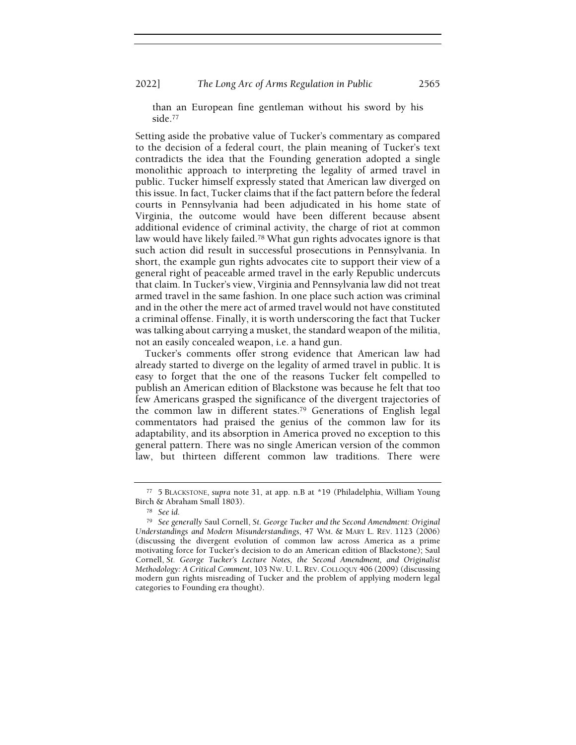2022] The Long Arc of Arms Regulation in Public 2565

than an European fine gentleman without his sword by his side.<sup>77</sup>

Setting aside the probative value of Tucker's commentary as compared to the decision of a federal court, the plain meaning of Tucker's text contradicts the idea that the Founding generation adopted a single monolithic approach to interpreting the legality of armed travel in public. Tucker himself expressly stated that American law diverged on this issue. In fact, Tucker claims that if the fact pattern before the federal courts in Pennsylvania had been adjudicated in his home state of Virginia, the outcome would have been different because absent additional evidence of criminal activity, the charge of riot at common law would have likely failed.78 What gun rights advocates ignore is that such action did result in successful prosecutions in Pennsylvania. In short, the example gun rights advocates cite to support their view of a general right of peaceable armed travel in the early Republic undercuts that claim. In Tucker's view, Virginia and Pennsylvania law did not treat armed travel in the same fashion. In one place such action was criminal and in the other the mere act of armed travel would not have constituted a criminal offense. Finally, it is worth underscoring the fact that Tucker was talking about carrying a musket, the standard weapon of the militia, not an easily concealed weapon, i.e. a hand gun.

Tucker's comments offer strong evidence that American law had already started to diverge on the legality of armed travel in public. It is easy to forget that the one of the reasons Tucker felt compelled to publish an American edition of Blackstone was because he felt that too few Americans grasped the significance of the divergent trajectories of the common law in different states.79 Generations of English legal commentators had praised the genius of the common law for its adaptability, and its absorption in America proved no exception to this general pattern. There was no single American version of the common law, but thirteen different common law traditions. There were

<sup>77</sup> 5 BLACKSTONE, supra note 31, at app. n.B at \*19 (Philadelphia, William Young Birch & Abraham Small 1803).

<sup>78</sup> See id.

<sup>79</sup> See generally Saul Cornell, St. George Tucker and the Second Amendment: Original Understandings and Modern Misunderstandings, 47 WM. & MARY L. REV. 1123 (2006) (discussing the divergent evolution of common law across America as a prime motivating force for Tucker's decision to do an American edition of Blackstone); Saul Cornell, St. George Tucker's Lecture Notes, the Second Amendment, and Originalist Methodology: A Critical Comment, 103 NW. U. L. REV. COLLOQUY 406 (2009) (discussing modern gun rights misreading of Tucker and the problem of applying modern legal categories to Founding era thought).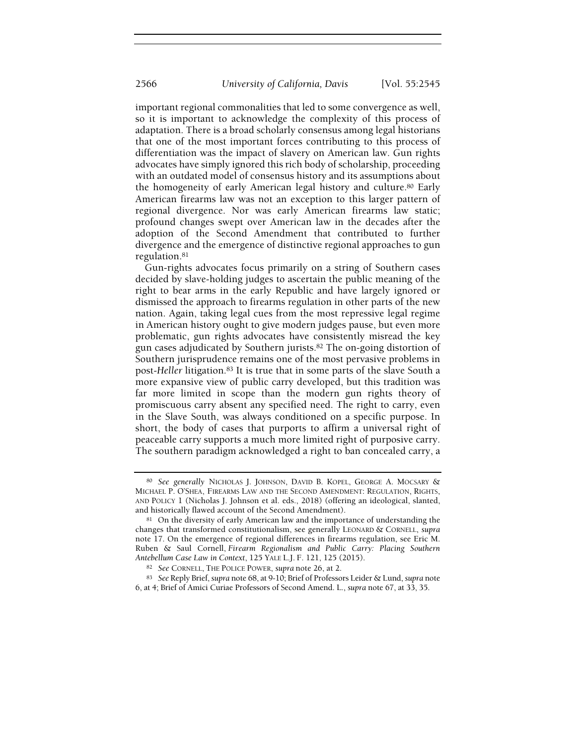important regional commonalities that led to some convergence as well, so it is important to acknowledge the complexity of this process of adaptation. There is a broad scholarly consensus among legal historians that one of the most important forces contributing to this process of differentiation was the impact of slavery on American law. Gun rights advocates have simply ignored this rich body of scholarship, proceeding with an outdated model of consensus history and its assumptions about the homogeneity of early American legal history and culture.80 Early American firearms law was not an exception to this larger pattern of regional divergence. Nor was early American firearms law static; profound changes swept over American law in the decades after the adoption of the Second Amendment that contributed to further divergence and the emergence of distinctive regional approaches to gun regulation.<sup>81</sup>

Gun-rights advocates focus primarily on a string of Southern cases decided by slave-holding judges to ascertain the public meaning of the right to bear arms in the early Republic and have largely ignored or dismissed the approach to firearms regulation in other parts of the new nation. Again, taking legal cues from the most repressive legal regime in American history ought to give modern judges pause, but even more problematic, gun rights advocates have consistently misread the key gun cases adjudicated by Southern jurists.82 The on-going distortion of Southern jurisprudence remains one of the most pervasive problems in post-Heller litigation.83 It is true that in some parts of the slave South a more expansive view of public carry developed, but this tradition was far more limited in scope than the modern gun rights theory of promiscuous carry absent any specified need. The right to carry, even in the Slave South, was always conditioned on a specific purpose. In short, the body of cases that purports to affirm a universal right of peaceable carry supports a much more limited right of purposive carry. The southern paradigm acknowledged a right to ban concealed carry, a

<sup>80</sup> See generally NICHOLAS J. JOHNSON, DAVID B. KOPEL, GEORGE A. MOCSARY & MICHAEL P. O'SHEA, FIREARMS LAW AND THE SECOND AMENDMENT: REGULATION, RIGHTS, AND POLICY 1 (Nicholas J. Johnson et al. eds., 2018) (offering an ideological, slanted, and historically flawed account of the Second Amendment).

<sup>&</sup>lt;sup>81</sup> On the diversity of early American law and the importance of understanding the changes that transformed constitutionalism, see generally LEONARD & CORNELL, supra note 17. On the emergence of regional differences in firearms regulation, see Eric M. Ruben & Saul Cornell, Firearm Regionalism and Public Carry: Placing Southern Antebellum Case Law in Context, 125 YALE L.J. F. 121, 125 (2015).

<sup>82</sup> See CORNELL, THE POLICE POWER, supra note 26, at 2.

<sup>83</sup> See Reply Brief, supra note 68, at 9-10; Brief of Professors Leider & Lund, supra note 6, at 4; Brief of Amici Curiae Professors of Second Amend. L., supra note 67, at 33, 35.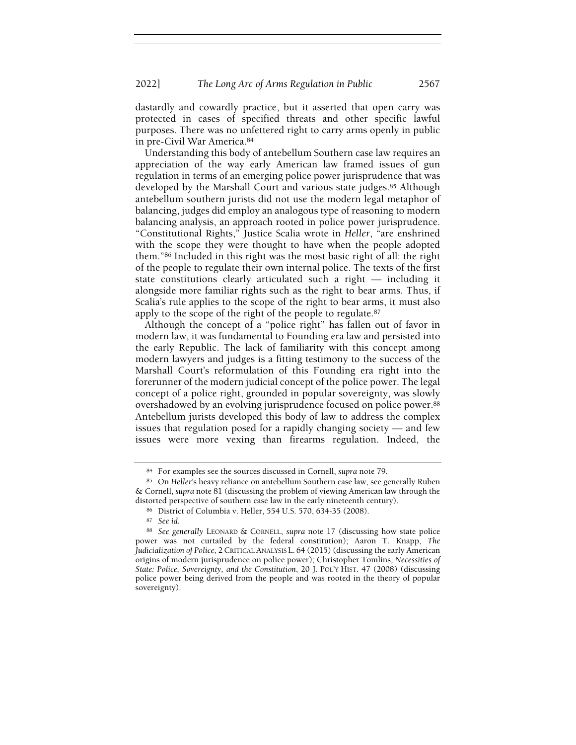dastardly and cowardly practice, but it asserted that open carry was protected in cases of specified threats and other specific lawful purposes. There was no unfettered right to carry arms openly in public in pre-Civil War America.<sup>84</sup>

Understanding this body of antebellum Southern case law requires an appreciation of the way early American law framed issues of gun regulation in terms of an emerging police power jurisprudence that was developed by the Marshall Court and various state judges.<sup>85</sup> Although antebellum southern jurists did not use the modern legal metaphor of balancing, judges did employ an analogous type of reasoning to modern balancing analysis, an approach rooted in police power jurisprudence. "Constitutional Rights," Justice Scalia wrote in Heller, "are enshrined with the scope they were thought to have when the people adopted them."86 Included in this right was the most basic right of all: the right of the people to regulate their own internal police. The texts of the first state constitutions clearly articulated such a right — including it alongside more familiar rights such as the right to bear arms. Thus, if Scalia's rule applies to the scope of the right to bear arms, it must also apply to the scope of the right of the people to regulate.<sup>87</sup>

Although the concept of a "police right" has fallen out of favor in modern law, it was fundamental to Founding era law and persisted into the early Republic. The lack of familiarity with this concept among modern lawyers and judges is a fitting testimony to the success of the Marshall Court's reformulation of this Founding era right into the forerunner of the modern judicial concept of the police power. The legal concept of a police right, grounded in popular sovereignty, was slowly overshadowed by an evolving jurisprudence focused on police power.<sup>88</sup> Antebellum jurists developed this body of law to address the complex issues that regulation posed for a rapidly changing society — and few issues were more vexing than firearms regulation. Indeed, the

<sup>84</sup> For examples see the sources discussed in Cornell, supra note 79.

<sup>85</sup> On Heller's heavy reliance on antebellum Southern case law, see generally Ruben & Cornell, supra note 81 (discussing the problem of viewing American law through the distorted perspective of southern case law in the early nineteenth century).

<sup>86</sup> District of Columbia v. Heller, 554 U.S. 570, 634-35 (2008).

<sup>87</sup> See id.

<sup>88</sup> See generally LEONARD & CORNELL, supra note 17 (discussing how state police power was not curtailed by the federal constitution); Aaron T. Knapp, The Judicialization of Police, 2CRITICAL ANALYSIS L. 64 (2015) (discussing the early American origins of modern jurisprudence on police power); Christopher Tomlins, Necessities of State: Police, Sovereignty, and the Constitution, 20 J. POL'Y HIST. 47 (2008) (discussing police power being derived from the people and was rooted in the theory of popular sovereignty).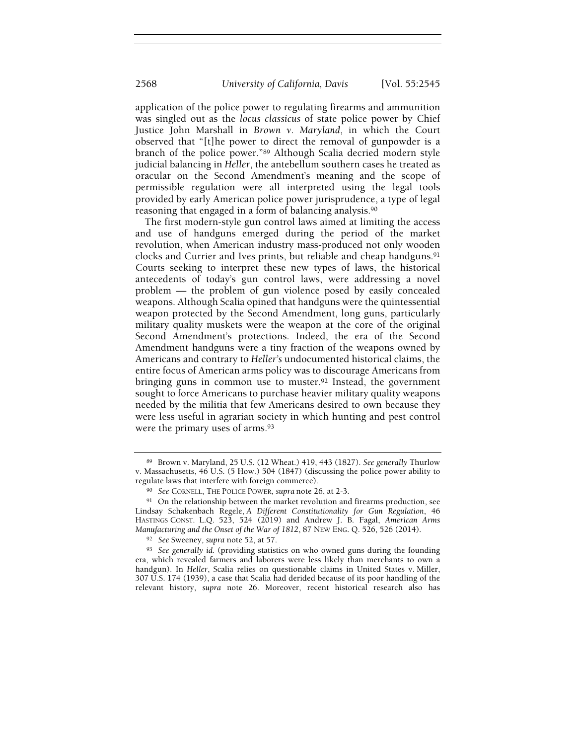application of the police power to regulating firearms and ammunition was singled out as the locus classicus of state police power by Chief Justice John Marshall in Brown v. Maryland, in which the Court observed that "[t]he power to direct the removal of gunpowder is a branch of the police power."89 Although Scalia decried modern style judicial balancing in Heller, the antebellum southern cases he treated as oracular on the Second Amendment's meaning and the scope of permissible regulation were all interpreted using the legal tools provided by early American police power jurisprudence, a type of legal reasoning that engaged in a form of balancing analysis.<sup>90</sup>

The first modern-style gun control laws aimed at limiting the access and use of handguns emerged during the period of the market revolution, when American industry mass-produced not only wooden clocks and Currier and Ives prints, but reliable and cheap handguns.<sup>91</sup> Courts seeking to interpret these new types of laws, the historical antecedents of today's gun control laws, were addressing a novel problem — the problem of gun violence posed by easily concealed weapons. Although Scalia opined that handguns were the quintessential weapon protected by the Second Amendment, long guns, particularly military quality muskets were the weapon at the core of the original Second Amendment's protections. Indeed, the era of the Second Amendment handguns were a tiny fraction of the weapons owned by Americans and contrary to Heller's undocumented historical claims, the entire focus of American arms policy was to discourage Americans from bringing guns in common use to muster.92 Instead, the government sought to force Americans to purchase heavier military quality weapons needed by the militia that few Americans desired to own because they were less useful in agrarian society in which hunting and pest control were the primary uses of arms.<sup>93</sup>

<sup>89</sup> Brown v. Maryland, 25 U.S. (12 Wheat.) 419, 443 (1827). See generally Thurlow v. Massachusetts, 46 U.S. (5 How.) 504 (1847) (discussing the police power ability to regulate laws that interfere with foreign commerce).

<sup>90</sup> See CORNELL, THE POLICE POWER, supra note 26, at 2-3.

<sup>&</sup>lt;sup>91</sup> On the relationship between the market revolution and firearms production, see Lindsay Schakenbach Regele, A Different Constitutionality for Gun Regulation, 46 HASTINGS CONST. L.Q. 523, 524 (2019) and Andrew J. B. Fagal, American Arms Manufacturing and the Onset of the War of 1812, 87 NEW ENG. Q. 526, 526 (2014).

<sup>92</sup> See Sweeney, supra note 52, at 57.

<sup>&</sup>lt;sup>93</sup> See generally id. (providing statistics on who owned guns during the founding era, which revealed farmers and laborers were less likely than merchants to own a handgun). In Heller, Scalia relies on questionable claims in United States v. Miller, 307 U.S. 174 (1939), a case that Scalia had derided because of its poor handling of the relevant history, supra note 26. Moreover, recent historical research also has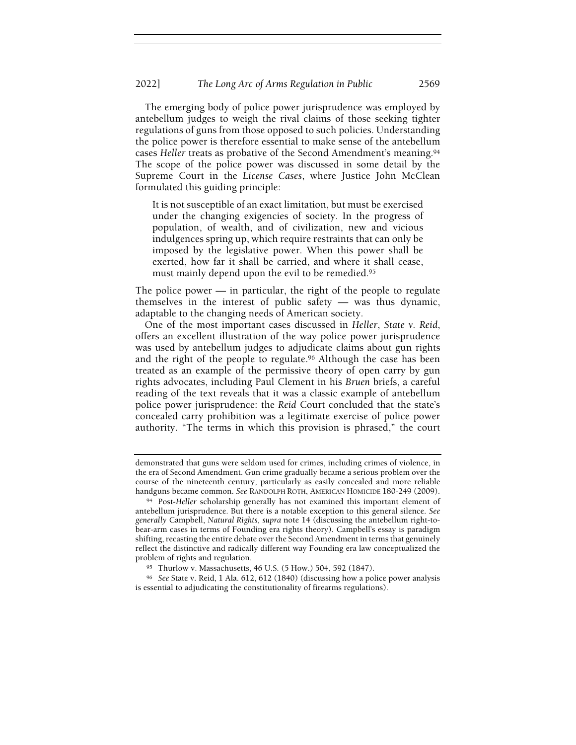The emerging body of police power jurisprudence was employed by antebellum judges to weigh the rival claims of those seeking tighter regulations of guns from those opposed to such policies. Understanding the police power is therefore essential to make sense of the antebellum cases Heller treats as probative of the Second Amendment's meaning.<sup>94</sup> The scope of the police power was discussed in some detail by the Supreme Court in the License Cases, where Justice John McClean formulated this guiding principle:

It is not susceptible of an exact limitation, but must be exercised under the changing exigencies of society. In the progress of population, of wealth, and of civilization, new and vicious indulgences spring up, which require restraints that can only be imposed by the legislative power. When this power shall be exerted, how far it shall be carried, and where it shall cease, must mainly depend upon the evil to be remedied.<sup>95</sup>

The police power  $-$  in particular, the right of the people to regulate themselves in the interest of public safety — was thus dynamic, adaptable to the changing needs of American society.

One of the most important cases discussed in Heller, State v. Reid, offers an excellent illustration of the way police power jurisprudence was used by antebellum judges to adjudicate claims about gun rights and the right of the people to regulate.<sup>96</sup> Although the case has been treated as an example of the permissive theory of open carry by gun rights advocates, including Paul Clement in his Bruen briefs, a careful reading of the text reveals that it was a classic example of antebellum police power jurisprudence: the Reid Court concluded that the state's concealed carry prohibition was a legitimate exercise of police power authority. "The terms in which this provision is phrased," the court

demonstrated that guns were seldom used for crimes, including crimes of violence, in the era of Second Amendment. Gun crime gradually became a serious problem over the course of the nineteenth century, particularly as easily concealed and more reliable handguns became common. See RANDOLPH ROTH, AMERICAN HOMICIDE 180-249 (2009).

<sup>94</sup> Post-Heller scholarship generally has not examined this important element of antebellum jurisprudence. But there is a notable exception to this general silence. See generally Campbell, Natural Rights, supra note 14 (discussing the antebellum right-tobear-arm cases in terms of Founding era rights theory). Campbell's essay is paradigm shifting, recasting the entire debate over the Second Amendment in terms that genuinely reflect the distinctive and radically different way Founding era law conceptualized the problem of rights and regulation.

<sup>95</sup> Thurlow v. Massachusetts, 46 U.S. (5 How.) 504, 592 (1847).

<sup>96</sup> See State v. Reid, 1 Ala. 612, 612 (1840) (discussing how a police power analysis is essential to adjudicating the constitutionality of firearms regulations).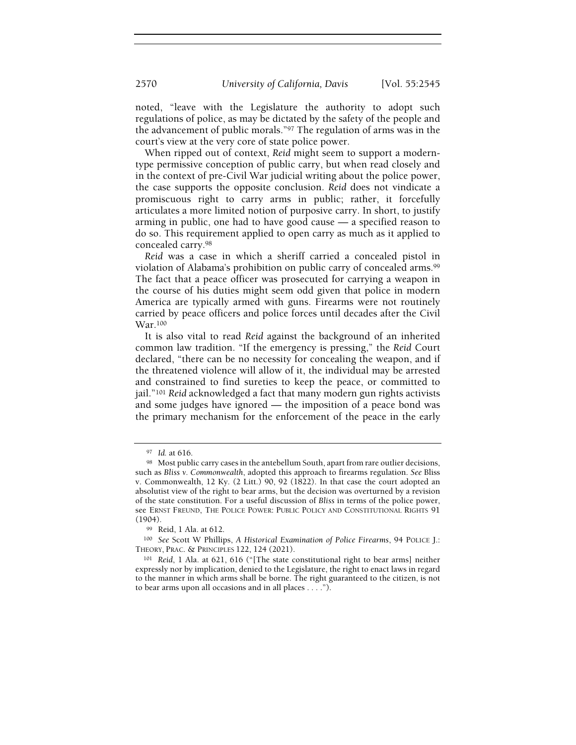noted, "leave with the Legislature the authority to adopt such regulations of police, as may be dictated by the safety of the people and the advancement of public morals."97 The regulation of arms was in the court's view at the very core of state police power.

When ripped out of context, Reid might seem to support a moderntype permissive conception of public carry, but when read closely and in the context of pre-Civil War judicial writing about the police power, the case supports the opposite conclusion. Reid does not vindicate a promiscuous right to carry arms in public; rather, it forcefully articulates a more limited notion of purposive carry. In short, to justify arming in public, one had to have good cause — a specified reason to do so. This requirement applied to open carry as much as it applied to concealed carry.<sup>98</sup>

Reid was a case in which a sheriff carried a concealed pistol in violation of Alabama's prohibition on public carry of concealed arms.<sup>99</sup> The fact that a peace officer was prosecuted for carrying a weapon in the course of his duties might seem odd given that police in modern America are typically armed with guns. Firearms were not routinely carried by peace officers and police forces until decades after the Civil War.<sup>100</sup>

It is also vital to read Reid against the background of an inherited common law tradition. "If the emergency is pressing," the Reid Court declared, "there can be no necessity for concealing the weapon, and if the threatened violence will allow of it, the individual may be arrested and constrained to find sureties to keep the peace, or committed to jail."<sup>101</sup> Reid acknowledged a fact that many modern gun rights activists and some judges have ignored — the imposition of a peace bond was the primary mechanism for the enforcement of the peace in the early

<sup>97</sup> Id. at 616.

<sup>98</sup> Most public carry cases in the antebellum South, apart from rare outlier decisions, such as Bliss v. Commonwealth, adopted this approach to firearms regulation. See Bliss v. Commonwealth, 12 Ky. (2 Litt.) 90, 92 (1822). In that case the court adopted an absolutist view of the right to bear arms, but the decision was overturned by a revision of the state constitution. For a useful discussion of Bliss in terms of the police power, see ERNST FREUND, THE POLICE POWER: PUBLIC POLICY AND CONSTITUTIONAL RIGHTS 91 (1904).

<sup>99</sup> Reid, 1 Ala. at 612.

<sup>100</sup> See Scott W Phillips, A Historical Examination of Police Firearms, 94 POLICE J.: THEORY, PRAC. & PRINCIPLES 122, 124 (2021).

<sup>101</sup> Reid, 1 Ala. at 621, 616 ("[The state constitutional right to bear arms] neither expressly nor by implication, denied to the Legislature, the right to enact laws in regard to the manner in which arms shall be borne. The right guaranteed to the citizen, is not to bear arms upon all occasions and in all places . . . .").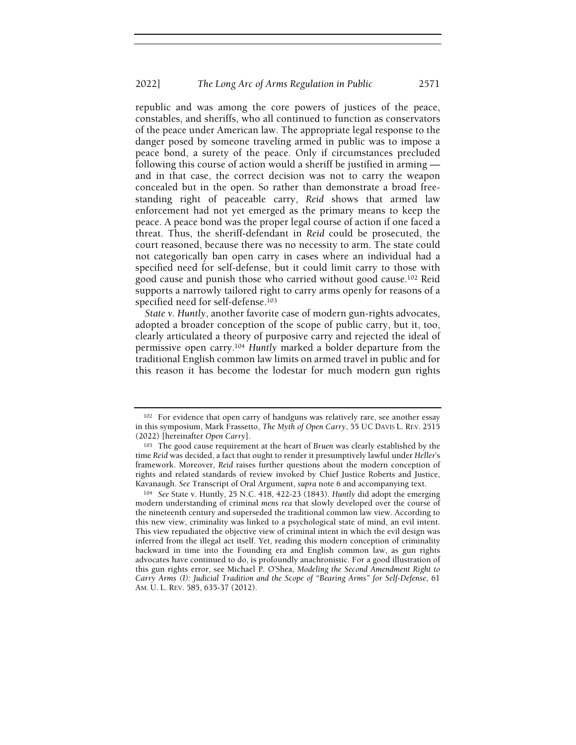republic and was among the core powers of justices of the peace, constables, and sheriffs, who all continued to function as conservators of the peace under American law. The appropriate legal response to the danger posed by someone traveling armed in public was to impose a peace bond, a surety of the peace. Only if circumstances precluded following this course of action would a sheriff be justified in arming and in that case, the correct decision was not to carry the weapon concealed but in the open. So rather than demonstrate a broad freestanding right of peaceable carry, Reid shows that armed law enforcement had not yet emerged as the primary means to keep the peace. A peace bond was the proper legal course of action if one faced a threat. Thus, the sheriff-defendant in Reid could be prosecuted, the court reasoned, because there was no necessity to arm. The state could not categorically ban open carry in cases where an individual had a specified need for self-defense, but it could limit carry to those with good cause and punish those who carried without good cause.102 Reid supports a narrowly tailored right to carry arms openly for reasons of a specified need for self-defense.<sup>103</sup>

State v. Huntly, another favorite case of modern gun-rights advocates, adopted a broader conception of the scope of public carry, but it, too, clearly articulated a theory of purposive carry and rejected the ideal of permissive open carry.<sup>104</sup> Huntly marked a bolder departure from the traditional English common law limits on armed travel in public and for this reason it has become the lodestar for much modern gun rights

<sup>102</sup> For evidence that open carry of handguns was relatively rare, see another essay in this symposium, Mark Frassetto, The Myth of Open Carry, 55 UC DAVIS L. REV. 2515 (2022) [hereinafter Open Carry].

<sup>103</sup> The good cause requirement at the heart of Bruen was clearly established by the time Reid was decided, a fact that ought to render it presumptively lawful under Heller's framework. Moreover, Reid raises further questions about the modern conception of rights and related standards of review invoked by Chief Justice Roberts and Justice, Kavanaugh. See Transcript of Oral Argument, supra note 6 and accompanying text.

<sup>104</sup> See State v. Huntly, 25 N.C. 418, 422-23 (1843). Huntly did adopt the emerging modern understanding of criminal mens rea that slowly developed over the course of the nineteenth century and superseded the traditional common law view. According to this new view, criminality was linked to a psychological state of mind, an evil intent. This view repudiated the objective view of criminal intent in which the evil design was inferred from the illegal act itself. Yet, reading this modern conception of criminality backward in time into the Founding era and English common law, as gun rights advocates have continued to do, is profoundly anachronistic. For a good illustration of this gun rights error, see Michael P. O'Shea, Modeling the Second Amendment Right to Carry Arms (I): Judicial Tradition and the Scope of "Bearing Arms" for Self-Defense, 61 AM. U. L. REV. 585, 635-37 (2012).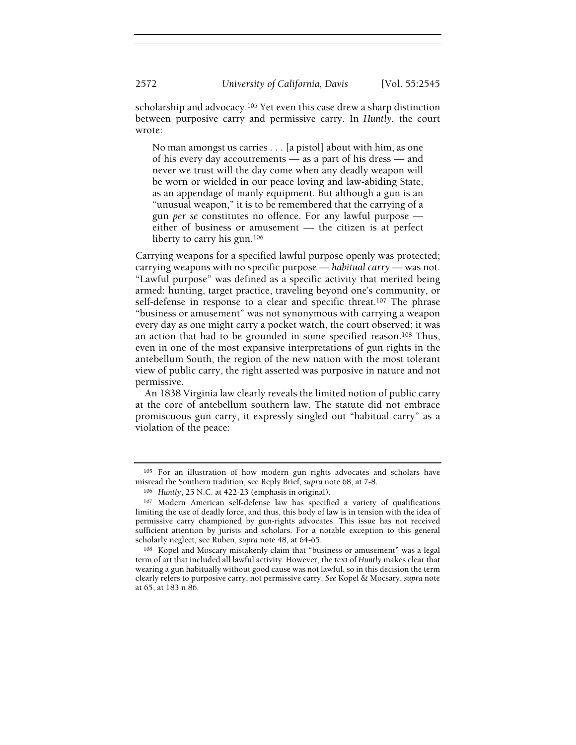scholarship and advocacy.105 Yet even this case drew a sharp distinction between purposive carry and permissive carry. In Huntly, the court wrote:

No man amongst us carries . . . [a pistol] about with him, as one of his every day accoutrements — as a part of his dress — and never we trust will the day come when any deadly weapon will be worn or wielded in our peace loving and law-abiding State, as an appendage of manly equipment. But although a gun is an "unusual weapon," it is to be remembered that the carrying of a gun per se constitutes no offence. For any lawful purpose either of business or amusement — the citizen is at perfect liberty to carry his gun.<sup>106</sup>

Carrying weapons for a specified lawful purpose openly was protected; carrying weapons with no specific purpose — habitual carry — was not. "Lawful purpose" was defined as a specific activity that merited being armed: hunting, target practice, traveling beyond one's community, or self-defense in response to a clear and specific threat.<sup>107</sup> The phrase "business or amusement" was not synonymous with carrying a weapon every day as one might carry a pocket watch, the court observed; it was an action that had to be grounded in some specified reason.108 Thus, even in one of the most expansive interpretations of gun rights in the antebellum South, the region of the new nation with the most tolerant view of public carry, the right asserted was purposive in nature and not permissive.

An 1838 Virginia law clearly reveals the limited notion of public carry at the core of antebellum southern law. The statute did not embrace promiscuous gun carry, it expressly singled out "habitual carry" as a violation of the peace:

<sup>&</sup>lt;sup>105</sup> For an illustration of how modern gun rights advocates and scholars have misread the Southern tradition, see Reply Brief, supra note 68, at 7-8.

<sup>106</sup> Huntly, 25 N.C. at 422-23 (emphasis in original).

<sup>107</sup> Modern American self-defense law has specified a variety of qualifications limiting the use of deadly force, and thus, this body of law is in tension with the idea of permissive carry championed by gun-rights advocates. This issue has not received sufficient attention by jurists and scholars. For a notable exception to this general scholarly neglect, see Ruben, supra note 48, at 64-65.

<sup>108</sup> Kopel and Moscary mistakenly claim that "business or amusement" was a legal term of art that included all lawful activity. However, the text of Huntly makes clear that wearing a gun habitually without good cause was not lawful, so in this decision the term clearly refers to purposive carry, not permissive carry. See Kopel & Mocsary, supra note at 65, at 183 n.86.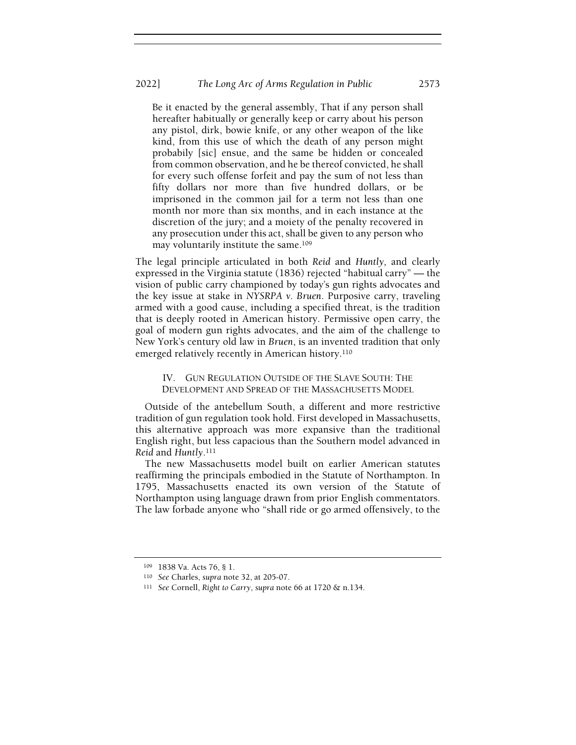#### 2022] The Long Arc of Arms Regulation in Public 2573

Be it enacted by the general assembly, That if any person shall hereafter habitually or generally keep or carry about his person any pistol, dirk, bowie knife, or any other weapon of the like kind, from this use of which the death of any person might probabily [sic] ensue, and the same be hidden or concealed from common observation, and he be thereof convicted, he shall for every such offense forfeit and pay the sum of not less than fifty dollars nor more than five hundred dollars, or be imprisoned in the common jail for a term not less than one month nor more than six months, and in each instance at the discretion of the jury; and a moiety of the penalty recovered in any prosecution under this act, shall be given to any person who may voluntarily institute the same.<sup>109</sup>

The legal principle articulated in both Reid and Huntly, and clearly expressed in the Virginia statute (1836) rejected "habitual carry" — the vision of public carry championed by today's gun rights advocates and the key issue at stake in NYSRPA v. Bruen. Purposive carry, traveling armed with a good cause, including a specified threat, is the tradition that is deeply rooted in American history. Permissive open carry, the goal of modern gun rights advocates, and the aim of the challenge to New York's century old law in Bruen, is an invented tradition that only emerged relatively recently in American history.<sup>110</sup>

IV. GUN REGULATION OUTSIDE OF THE SLAVE SOUTH: THE DEVELOPMENT AND SPREAD OF THE MASSACHUSETTS MODEL

Outside of the antebellum South, a different and more restrictive tradition of gun regulation took hold. First developed in Massachusetts, this alternative approach was more expansive than the traditional English right, but less capacious than the Southern model advanced in Reid and Huntly.<sup>111</sup>

The new Massachusetts model built on earlier American statutes reaffirming the principals embodied in the Statute of Northampton. In 1795, Massachusetts enacted its own version of the Statute of Northampton using language drawn from prior English commentators. The law forbade anyone who "shall ride or go armed offensively, to the

<sup>109</sup> 1838 Va. Acts 76, § 1.

<sup>110</sup> See Charles, supra note 32, at 205-07.

<sup>111</sup> See Cornell, Right to Carry, supra note 66 at 1720 & n.134.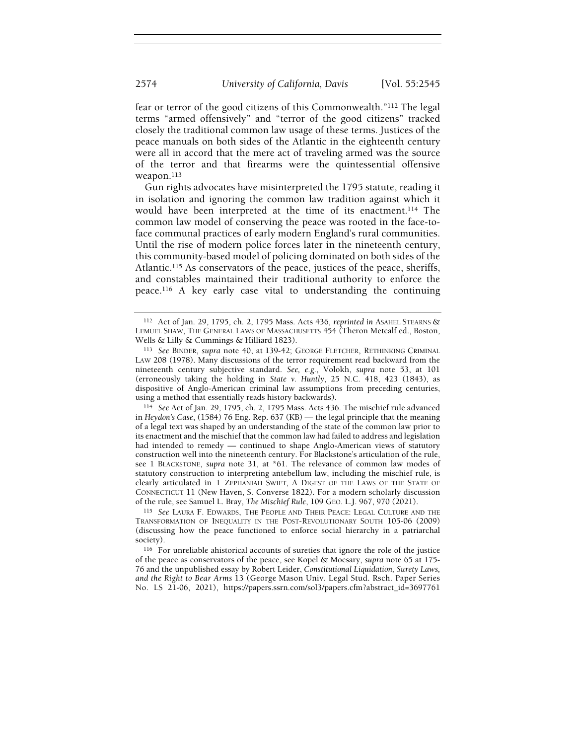fear or terror of the good citizens of this Commonwealth."112 The legal terms "armed offensively" and "terror of the good citizens" tracked closely the traditional common law usage of these terms. Justices of the peace manuals on both sides of the Atlantic in the eighteenth century were all in accord that the mere act of traveling armed was the source of the terror and that firearms were the quintessential offensive weapon.<sup>113</sup>

Gun rights advocates have misinterpreted the 1795 statute, reading it in isolation and ignoring the common law tradition against which it would have been interpreted at the time of its enactment.114 The common law model of conserving the peace was rooted in the face-toface communal practices of early modern England's rural communities. Until the rise of modern police forces later in the nineteenth century, this community-based model of policing dominated on both sides of the Atlantic.115 As conservators of the peace, justices of the peace, sheriffs, and constables maintained their traditional authority to enforce the peace.116 A key early case vital to understanding the continuing

<sup>112</sup> Act of Jan. 29, 1795, ch. 2, 1795 Mass. Acts 436, reprinted in ASAHEL STEARNS & LEMUEL SHAW, THE GENERAL LAWS OF MASSACHUSETTS 454 (Theron Metcalf ed., Boston, Wells & Lilly & Cummings & Hilliard 1823).

<sup>113</sup> See BINDER, supra note 40, at 139-42; GEORGE FLETCHER, RETHINKING CRIMINAL LAW 208 (1978). Many discussions of the terror requirement read backward from the nineteenth century subjective standard. See, e.g., Volokh, supra note 53, at 101 (erroneously taking the holding in State v. Huntly, 25 N.C. 418, 423 (1843), as dispositive of Anglo-American criminal law assumptions from preceding centuries, using a method that essentially reads history backwards).

<sup>114</sup> See Act of Jan. 29, 1795, ch. 2, 1795 Mass. Acts 436. The mischief rule advanced in Heydon's Case, (1584) 76 Eng. Rep. 637 (KB) — the legal principle that the meaning of a legal text was shaped by an understanding of the state of the common law prior to its enactment and the mischief that the common law had failed to address and legislation had intended to remedy — continued to shape Anglo-American views of statutory construction well into the nineteenth century. For Blackstone's articulation of the rule, see 1 BLACKSTONE, supra note 31, at \*61. The relevance of common law modes of statutory construction to interpreting antebellum law, including the mischief rule, is clearly articulated in 1 ZEPHANIAH SWIFT, A DIGEST OF THE LAWS OF THE STATE OF CONNECTICUT 11 (New Haven, S. Converse 1822). For a modern scholarly discussion of the rule, see Samuel L. Bray, The Mischief Rule, 109 GEO. L.J. 967, 970 (2021).

<sup>115</sup> See LAURA F. EDWARDS, THE PEOPLE AND THEIR PEACE: LEGAL CULTURE AND THE TRANSFORMATION OF INEQUALITY IN THE POST-REVOLUTIONARY SOUTH 105-06 (2009) (discussing how the peace functioned to enforce social hierarchy in a patriarchal society).

<sup>116</sup> For unreliable ahistorical accounts of sureties that ignore the role of the justice of the peace as conservators of the peace, see Kopel & Mocsary, supra note 65 at 175- 76 and the unpublished essay by Robert Leider, Constitutional Liquidation, Surety Laws, and the Right to Bear Arms 13 (George Mason Univ. Legal Stud. Rsch. Paper Series No. LS 21-06, 2021), https://papers.ssrn.com/sol3/papers.cfm?abstract\_id=3697761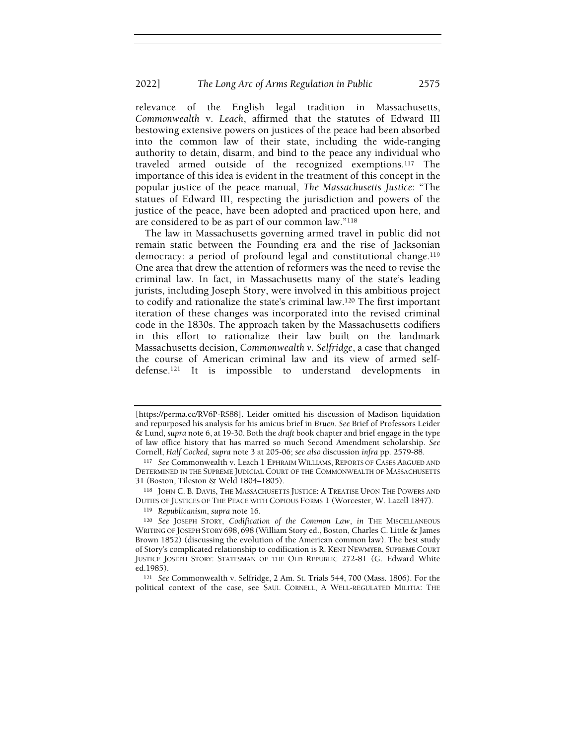#### 2022] The Long Arc of Arms Regulation in Public 2575

relevance of the English legal tradition in Massachusetts, Commonwealth v. Leach, affirmed that the statutes of Edward III bestowing extensive powers on justices of the peace had been absorbed into the common law of their state, including the wide-ranging authority to detain, disarm, and bind to the peace any individual who traveled armed outside of the recognized exemptions.117 The importance of this idea is evident in the treatment of this concept in the popular justice of the peace manual, The Massachusetts Justice: "The statues of Edward III, respecting the jurisdiction and powers of the justice of the peace, have been adopted and practiced upon here, and are considered to be as part of our common law."<sup>118</sup>

The law in Massachusetts governing armed travel in public did not remain static between the Founding era and the rise of Jacksonian democracy: a period of profound legal and constitutional change.<sup>119</sup> One area that drew the attention of reformers was the need to revise the criminal law. In fact, in Massachusetts many of the state's leading jurists, including Joseph Story, were involved in this ambitious project to codify and rationalize the state's criminal law.120 The first important iteration of these changes was incorporated into the revised criminal code in the 1830s. The approach taken by the Massachusetts codifiers in this effort to rationalize their law built on the landmark Massachusetts decision, Commonwealth v. Selfridge, a case that changed the course of American criminal law and its view of armed selfdefense.121 It is impossible to understand developments in

<sup>[</sup>https://perma.cc/RV6P-RS88]. Leider omitted his discussion of Madison liquidation and repurposed his analysis for his amicus brief in Bruen. See Brief of Professors Leider & Lund, supra note 6, at 19-30. Both the draft book chapter and brief engage in the type of law office history that has marred so much Second Amendment scholarship. See Cornell, Half Cocked, supra note 3 at 205-06; see also discussion infra pp. 2579-88.

<sup>117</sup> See Commonwealth v. Leach 1 EPHRAIM WILLIAMS, REPORTS OF CASES ARGUED AND DETERMINED IN THE SUPREME JUDICIAL COURT OF THE COMMONWEALTH OF MASSACHUSETTS 31 (Boston, Tileston & Weld 1804–1805).

<sup>118</sup> JOHN C. B. DAVIS, THE MASSACHUSETTS JUSTICE: A TREATISE UPON THE POWERS AND DUTIES OF JUSTICES OF THE PEACE WITH COPIOUS FORMS 1 (Worcester, W. Lazell 1847).

<sup>119</sup> Republicanism, supra note 16.

<sup>120</sup> See JOSEPH STORY, Codification of the Common Law, in THE MISCELLANEOUS WRITING OF JOSEPH STORY 698, 698 (William Story ed., Boston, Charles C. Little & James Brown 1852) (discussing the evolution of the American common law). The best study of Story's complicated relationship to codification is R. KENT NEWMYER, SUPREME COURT JUSTICE JOSEPH STORY: STATESMAN OF THE OLD REPUBLIC 272-81 (G. Edward White ed.1985).

<sup>121</sup> See Commonwealth v. Selfridge, 2 Am. St. Trials 544, 700 (Mass. 1806). For the political context of the case, see SAUL CORNELL, A WELL-REGULATED MILITIA: THE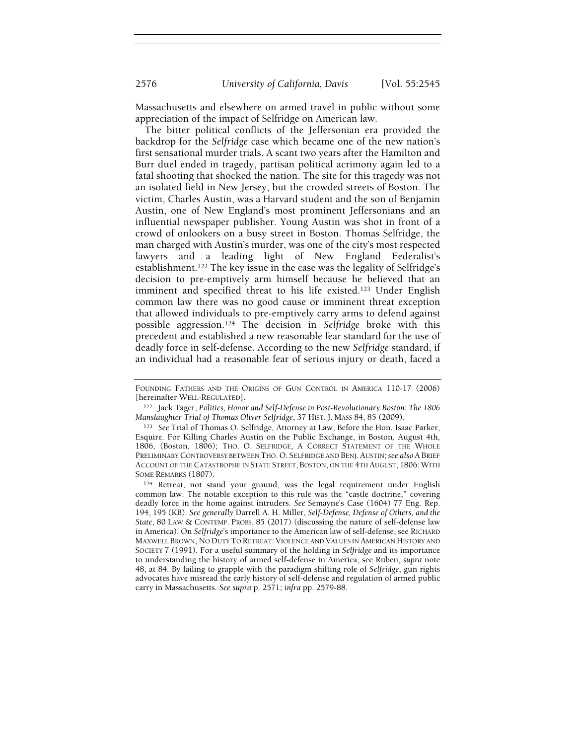Massachusetts and elsewhere on armed travel in public without some

appreciation of the impact of Selfridge on American law. The bitter political conflicts of the Jeffersonian era provided the backdrop for the Selfridge case which became one of the new nation's first sensational murder trials. A scant two years after the Hamilton and Burr duel ended in tragedy, partisan political acrimony again led to a fatal shooting that shocked the nation. The site for this tragedy was not an isolated field in New Jersey, but the crowded streets of Boston. The victim, Charles Austin, was a Harvard student and the son of Benjamin Austin, one of New England's most prominent Jeffersonians and an influential newspaper publisher. Young Austin was shot in front of a crowd of onlookers on a busy street in Boston. Thomas Selfridge, the man charged with Austin's murder, was one of the city's most respected lawyers and a leading light of New England Federalist's establishment.122 The key issue in the case was the legality of Selfridge's decision to pre-emptively arm himself because he believed that an imminent and specified threat to his life existed.123 Under English common law there was no good cause or imminent threat exception that allowed individuals to pre-emptively carry arms to defend against possible aggression.124 The decision in Selfridge broke with this precedent and established a new reasonable fear standard for the use of deadly force in self-defense. According to the new Selfridge standard, if an individual had a reasonable fear of serious injury or death, faced a

FOUNDING FATHERS AND THE ORIGINS OF GUN CONTROL IN AMERICA 110-17 (2006) [hereinafter WELL-REGULATED].

<sup>122</sup> Jack Tager, Politics, Honor and Self-Defense in Post-Revolutionary Boston: The 1806 Manslaughter Trial of Thomas Oliver Selfridge, 37 HIST. J. MASS 84, 85 (2009).

<sup>123</sup> See Trial of Thomas O. Selfridge, Attorney at Law, Before the Hon. Isaac Parker, Esquire. For Killing Charles Austin on the Public Exchange, in Boston, August 4th, 1806, (Boston, 1806); THO. O. SELFRIDGE, A CORRECT STATEMENT OF THE WHOLE PRELIMINARY CONTROVERSY BETWEEN THO. O. SELFRIDGE AND BENJ. AUSTIN; see also A BRIEF ACCOUNT OF THE CATASTROPHE IN STATE STREET, BOSTON, ON THE 4TH AUGUST, 1806: WITH SOME REMARKS (1807).

<sup>124</sup> Retreat, not stand your ground, was the legal requirement under English common law. The notable exception to this rule was the "castle doctrine," covering deadly force in the home against intruders. See Semayne's Case (1604) 77 Eng. Rep. 194, 195 (KB). See generally Darrell A. H. Miller, Self-Defense, Defense of Others, and the State, 80 LAW & CONTEMP. PROBS. 85 (2017) (discussing the nature of self-defense law in America). On Selfridge's importance to the American law of self-defense, see RICHARD MAXWELL BROWN, NO DUTY TO RETREAT: VIOLENCE AND VALUES IN AMERICAN HISTORY AND SOCIETY 7 (1991). For a useful summary of the holding in Selfridge and its importance to understanding the history of armed self-defense in America, see Ruben, supra note 48, at 84. By failing to grapple with the paradigm shifting role of Selfridge, gun rights advocates have misread the early history of self-defense and regulation of armed public carry in Massachusetts. See supra p. 2571; infra pp. 2579-88.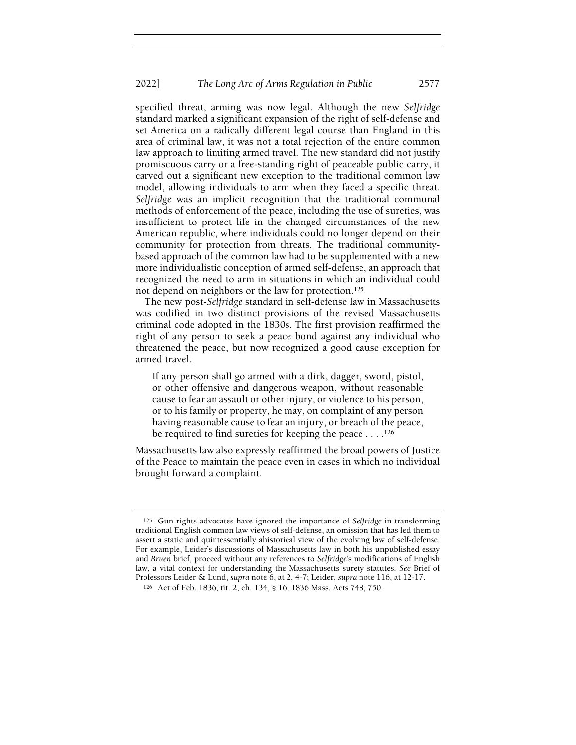specified threat, arming was now legal. Although the new Selfridge standard marked a significant expansion of the right of self-defense and set America on a radically different legal course than England in this area of criminal law, it was not a total rejection of the entire common law approach to limiting armed travel. The new standard did not justify promiscuous carry or a free-standing right of peaceable public carry, it carved out a significant new exception to the traditional common law model, allowing individuals to arm when they faced a specific threat. Selfridge was an implicit recognition that the traditional communal methods of enforcement of the peace, including the use of sureties, was insufficient to protect life in the changed circumstances of the new American republic, where individuals could no longer depend on their community for protection from threats. The traditional communitybased approach of the common law had to be supplemented with a new more individualistic conception of armed self-defense, an approach that recognized the need to arm in situations in which an individual could not depend on neighbors or the law for protection.<sup>125</sup>

The new post-Selfridge standard in self-defense law in Massachusetts was codified in two distinct provisions of the revised Massachusetts criminal code adopted in the 1830s. The first provision reaffirmed the right of any person to seek a peace bond against any individual who threatened the peace, but now recognized a good cause exception for armed travel.

If any person shall go armed with a dirk, dagger, sword, pistol, or other offensive and dangerous weapon, without reasonable cause to fear an assault or other injury, or violence to his person, or to his family or property, he may, on complaint of any person having reasonable cause to fear an injury, or breach of the peace, be required to find sureties for keeping the peace . . . .<sup>126</sup>

Massachusetts law also expressly reaffirmed the broad powers of Justice of the Peace to maintain the peace even in cases in which no individual brought forward a complaint.

<sup>125</sup> Gun rights advocates have ignored the importance of Selfridge in transforming traditional English common law views of self-defense, an omission that has led them to assert a static and quintessentially ahistorical view of the evolving law of self-defense. For example, Leider's discussions of Massachusetts law in both his unpublished essay and Bruen brief, proceed without any references to Selfridge's modifications of English law, a vital context for understanding the Massachusetts surety statutes. See Brief of Professors Leider & Lund, supra note 6, at 2, 4-7; Leider, supra note 116, at 12-17.

<sup>126</sup> Act of Feb. 1836, tit. 2, ch. 134, § 16, 1836 Mass. Acts 748, 750.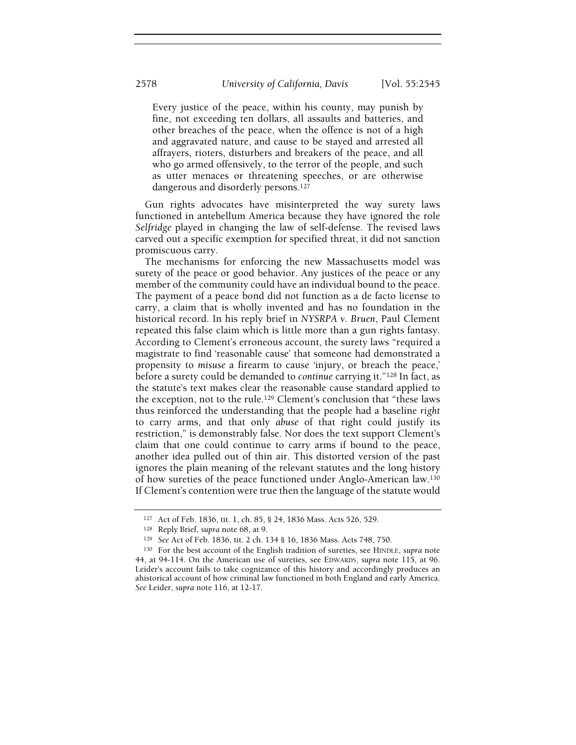Every justice of the peace, within his county, may punish by fine, not exceeding ten dollars, all assaults and batteries, and other breaches of the peace, when the offence is not of a high and aggravated nature, and cause to be stayed and arrested all affrayers, rioters, disturbers and breakers of the peace, and all who go armed offensively, to the terror of the people, and such as utter menaces or threatening speeches, or are otherwise dangerous and disorderly persons.<sup>127</sup>

Gun rights advocates have misinterpreted the way surety laws functioned in antebellum America because they have ignored the role Selfridge played in changing the law of self-defense. The revised laws carved out a specific exemption for specified threat, it did not sanction promiscuous carry.

The mechanisms for enforcing the new Massachusetts model was surety of the peace or good behavior. Any justices of the peace or any member of the community could have an individual bound to the peace. The payment of a peace bond did not function as a de facto license to carry, a claim that is wholly invented and has no foundation in the historical record. In his reply brief in NYSRPA v. Bruen, Paul Clement repeated this false claim which is little more than a gun rights fantasy. According to Clement's erroneous account, the surety laws "required a magistrate to find 'reasonable cause' that someone had demonstrated a propensity to misuse a firearm to cause 'injury, or breach the peace,' before a surety could be demanded to continue carrying it."128 In fact, as the statute's text makes clear the reasonable cause standard applied to the exception, not to the rule.129 Clement's conclusion that "these laws thus reinforced the understanding that the people had a baseline right to carry arms, and that only abuse of that right could justify its restriction," is demonstrably false. Nor does the text support Clement's claim that one could continue to carry arms if bound to the peace, another idea pulled out of thin air. This distorted version of the past ignores the plain meaning of the relevant statutes and the long history of how sureties of the peace functioned under Anglo-American law.<sup>130</sup> If Clement's contention were true then the language of the statute would

<sup>127</sup> Act of Feb. 1836, tit. 1, ch. 85, § 24, 1836 Mass. Acts 526, 529.

<sup>128</sup> Reply Brief, supra note 68, at 9.

<sup>129</sup> See Act of Feb. 1836, tit. 2 ch. 134 § 16, 1836 Mass. Acts 748, 750.

<sup>130</sup> For the best account of the English tradition of sureties, see HINDLE, supra note 44, at 94-114. On the American use of sureties, see EDWARDS, supra note 115, at 96. Leider's account fails to take cognizance of this history and accordingly produces an ahistorical account of how criminal law functioned in both England and early America. See Leider, supra note 116, at 12-17.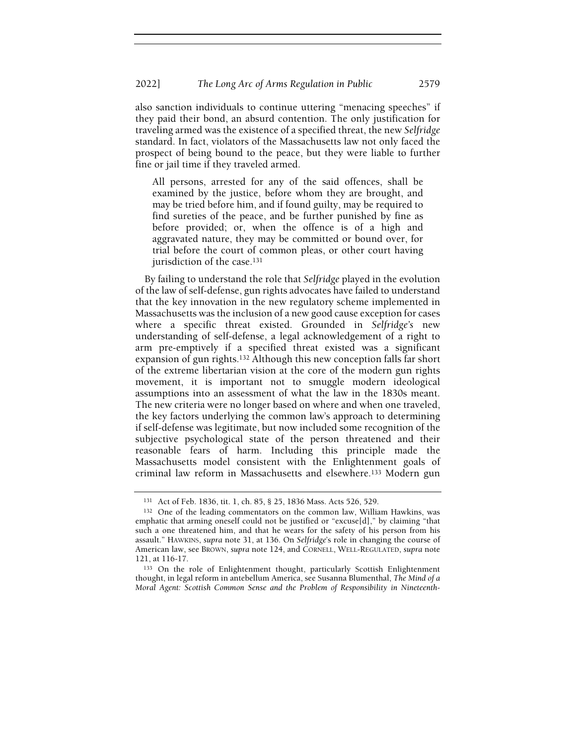also sanction individuals to continue uttering "menacing speeches" if they paid their bond, an absurd contention. The only justification for traveling armed was the existence of a specified threat, the new Selfridge standard. In fact, violators of the Massachusetts law not only faced the prospect of being bound to the peace, but they were liable to further fine or jail time if they traveled armed.

All persons, arrested for any of the said offences, shall be examined by the justice, before whom they are brought, and may be tried before him, and if found guilty, may be required to find sureties of the peace, and be further punished by fine as before provided; or, when the offence is of a high and aggravated nature, they may be committed or bound over, for trial before the court of common pleas, or other court having jurisdiction of the case.<sup>131</sup>

By failing to understand the role that Selfridge played in the evolution of the law of self-defense, gun rights advocates have failed to understand that the key innovation in the new regulatory scheme implemented in Massachusetts was the inclusion of a new good cause exception for cases where a specific threat existed. Grounded in Selfridge's new understanding of self-defense, a legal acknowledgement of a right to arm pre-emptively if a specified threat existed was a significant expansion of gun rights.132 Although this new conception falls far short of the extreme libertarian vision at the core of the modern gun rights movement, it is important not to smuggle modern ideological assumptions into an assessment of what the law in the 1830s meant. The new criteria were no longer based on where and when one traveled, the key factors underlying the common law's approach to determining if self-defense was legitimate, but now included some recognition of the subjective psychological state of the person threatened and their reasonable fears of harm. Including this principle made the Massachusetts model consistent with the Enlightenment goals of criminal law reform in Massachusetts and elsewhere.133 Modern gun

<sup>131</sup> Act of Feb. 1836, tit. 1, ch. 85, § 25, 1836 Mass. Acts 526, 529.

<sup>132</sup> One of the leading commentators on the common law, William Hawkins, was emphatic that arming oneself could not be justified or "excuse[d]," by claiming "that such a one threatened him, and that he wears for the safety of his person from his assault." HAWKINS, supra note 31, at 136. On Selfridge's role in changing the course of American law, see BROWN, supra note 124, and CORNELL, WELL-REGULATED, supra note 121, at 116-17.

<sup>133</sup> On the role of Enlightenment thought, particularly Scottish Enlightenment thought, in legal reform in antebellum America, see Susanna Blumenthal, The Mind of a Moral Agent: Scottish Common Sense and the Problem of Responsibility in Nineteenth-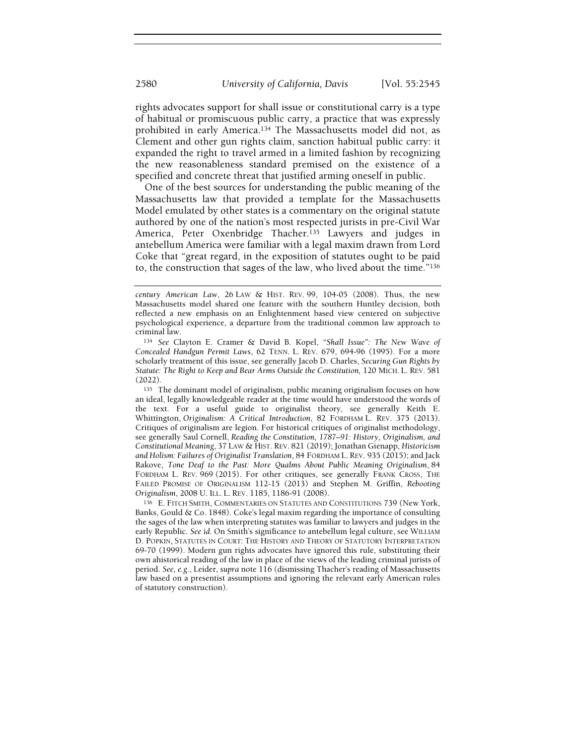rights advocates support for shall issue or constitutional carry is a type of habitual or promiscuous public carry, a practice that was expressly prohibited in early America.134 The Massachusetts model did not, as Clement and other gun rights claim, sanction habitual public carry: it expanded the right to travel armed in a limited fashion by recognizing the new reasonableness standard premised on the existence of a specified and concrete threat that justified arming oneself in public.

One of the best sources for understanding the public meaning of the Massachusetts law that provided a template for the Massachusetts Model emulated by other states is a commentary on the original statute authored by one of the nation's most respected jurists in pre-Civil War America, Peter Oxenbridge Thacher.135 Lawyers and judges in antebellum America were familiar with a legal maxim drawn from Lord Coke that "great regard, in the exposition of statutes ought to be paid to, the construction that sages of the law, who lived about the time."<sup>136</sup>

<sup>135</sup> The dominant model of originalism, public meaning originalism focuses on how an ideal, legally knowledgeable reader at the time would have understood the words of the text. For a useful guide to originalist theory, see generally Keith E. Whittington, Originalism: A Critical Introduction, 82 FORDHAM L. REV. 375 (2013). Critiques of originalism are legion. For historical critiques of originalist methodology, see generally Saul Cornell, Reading the Constitution, 1787–91: History, Originalism, and Constitutional Meaning, 37 LAW & HIST. REV. 821 (2019); Jonathan Gienapp, Historicism and Holism: Failures of Originalist Translation, 84 FORDHAM L. REV. 935 (2015); and Jack Rakove, Tone Deaf to the Past: More Qualms About Public Meaning Originalism, 84 FORDHAM L. REV. 969 (2015). For other critiques, see generally FRANK CROSS, THE FAILED PROMISE OF ORIGINALISM 112-15 (2013) and Stephen M. Griffin, Rebooting Originalism, 2008 U. ILL. L. REV. 1185, 1186-91 (2008).

<sup>136</sup> E. FITCH SMITH, COMMENTARIES ON STATUTES AND CONSTITUTIONS 739 (New York, Banks, Gould & Co. 1848). Coke's legal maxim regarding the importance of consulting the sages of the law when interpreting statutes was familiar to lawyers and judges in the early Republic. See id. On Smith's significance to antebellum legal culture, see WILLIAM D. POPKIN, STATUTES IN COURT: THE HISTORY AND THEORY OF STATUTORY INTERPRETATION 69-70 (1999). Modern gun rights advocates have ignored this rule, substituting their own ahistorical reading of the law in place of the views of the leading criminal jurists of period. See, e.g., Leider, supra note 116 (dismissing Thacher's reading of Massachusetts law based on a presentist assumptions and ignoring the relevant early American rules of statutory construction).

century American Law, 26 LAW & HIST. REV. 99, 104-05 (2008). Thus, the new Massachusetts model shared one feature with the southern Huntley decision, both reflected a new emphasis on an Enlightenment based view centered on subjective psychological experience, a departure from the traditional common law approach to criminal law.

<sup>134</sup> See Clayton E. Cramer & David B. Kopel, "Shall Issue": The New Wave of Concealed Handgun Permit Laws, 62 TENN. L. REV. 679, 694-96 (1995). For a more scholarly treatment of this issue, see generally Jacob D. Charles, Securing Gun Rights by Statute: The Right to Keep and Bear Arms Outside the Constitution, 120 MICH. L. REV. 581 (2022).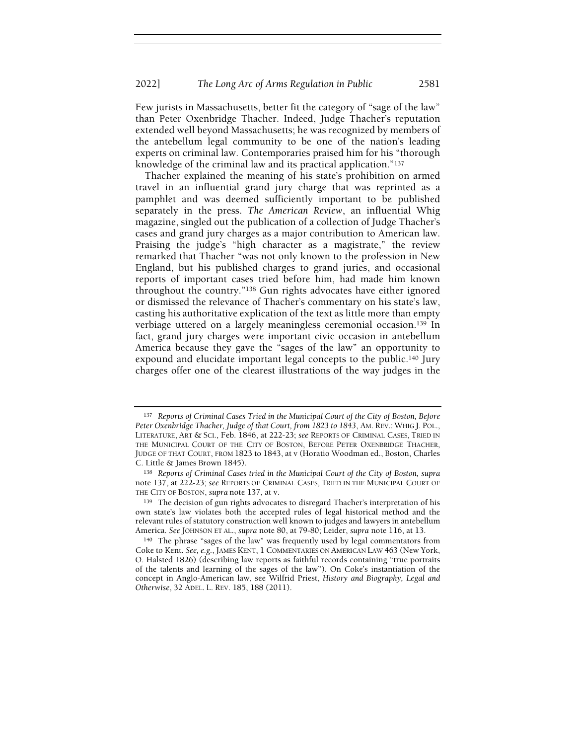Few jurists in Massachusetts, better fit the category of "sage of the law" than Peter Oxenbridge Thacher. Indeed, Judge Thacher's reputation extended well beyond Massachusetts; he was recognized by members of the antebellum legal community to be one of the nation's leading experts on criminal law. Contemporaries praised him for his "thorough knowledge of the criminal law and its practical application."<sup>137</sup>

Thacher explained the meaning of his state's prohibition on armed travel in an influential grand jury charge that was reprinted as a pamphlet and was deemed sufficiently important to be published separately in the press. The American Review, an influential Whig magazine, singled out the publication of a collection of Judge Thacher's cases and grand jury charges as a major contribution to American law. Praising the judge's "high character as a magistrate," the review remarked that Thacher "was not only known to the profession in New England, but his published charges to grand juries, and occasional reports of important cases tried before him, had made him known throughout the country."138 Gun rights advocates have either ignored or dismissed the relevance of Thacher's commentary on his state's law, casting his authoritative explication of the text as little more than empty verbiage uttered on a largely meaningless ceremonial occasion.139 In fact, grand jury charges were important civic occasion in antebellum America because they gave the "sages of the law" an opportunity to expound and elucidate important legal concepts to the public.140 Jury charges offer one of the clearest illustrations of the way judges in the

<sup>137</sup> Reports of Criminal Cases Tried in the Municipal Court of the City of Boston, Before Peter Oxenbridge Thacher, Judge of that Court, from 1823 to 1843, AM. REV.: WHIG J. POL., LITERATURE, ART & SCI., Feb. 1846, at 222-23; see REPORTS OF CRIMINAL CASES, TRIED IN THE MUNICIPAL COURT OF THE CITY OF BOSTON, BEFORE PETER OXENBRIDGE THACHER, JUDGE OF THAT COURT, FROM 1823 to 1843, at v (Horatio Woodman ed., Boston, Charles C. Little & James Brown 1845).

<sup>&</sup>lt;sup>138</sup> Reports of Criminal Cases tried in the Municipal Court of the City of Boston, supra note 137, at 222-23; see REPORTS OF CRIMINAL CASES, TRIED IN THE MUNICIPAL COURT OF THE CITY OF BOSTON, supra note 137, at v.

<sup>139</sup> The decision of gun rights advocates to disregard Thacher's interpretation of his own state's law violates both the accepted rules of legal historical method and the relevant rules of statutory construction well known to judges and lawyers in antebellum America. See JOHNSON ET AL., supra note 80, at 79-80; Leider, supra note 116, at 13.

<sup>140</sup> The phrase "sages of the law" was frequently used by legal commentators from Coke to Kent. See, e.g., JAMES KENT, 1 COMMENTARIES ON AMERICAN LAW 463 (New York, O. Halsted 1826) (describing law reports as faithful records containing "true portraits of the talents and learning of the sages of the law"). On Coke's instantiation of the concept in Anglo-American law, see Wilfrid Priest, History and Biography, Legal and Otherwise, 32 ADEL. L. REV. 185, 188 (2011).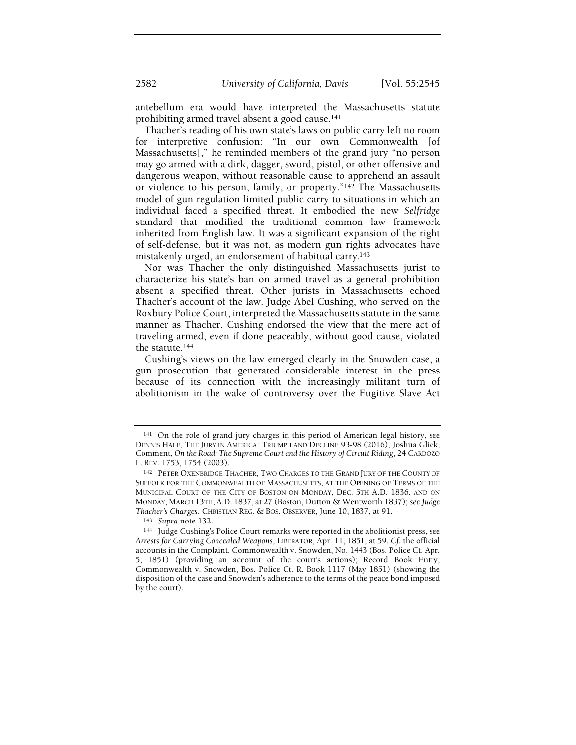antebellum era would have interpreted the Massachusetts statute prohibiting armed travel absent a good cause.<sup>141</sup>

Thacher's reading of his own state's laws on public carry left no room for interpretive confusion: "In our own Commonwealth [of Massachusetts]," he reminded members of the grand jury "no person may go armed with a dirk, dagger, sword, pistol, or other offensive and dangerous weapon, without reasonable cause to apprehend an assault or violence to his person, family, or property."142 The Massachusetts model of gun regulation limited public carry to situations in which an individual faced a specified threat. It embodied the new Selfridge standard that modified the traditional common law framework inherited from English law. It was a significant expansion of the right of self-defense, but it was not, as modern gun rights advocates have mistakenly urged, an endorsement of habitual carry.<sup>143</sup>

Nor was Thacher the only distinguished Massachusetts jurist to characterize his state's ban on armed travel as a general prohibition absent a specified threat. Other jurists in Massachusetts echoed Thacher's account of the law. Judge Abel Cushing, who served on the Roxbury Police Court, interpreted the Massachusetts statute in the same manner as Thacher. Cushing endorsed the view that the mere act of traveling armed, even if done peaceably, without good cause, violated the statute.<sup>144</sup>

Cushing's views on the law emerged clearly in the Snowden case, a gun prosecution that generated considerable interest in the press because of its connection with the increasingly militant turn of abolitionism in the wake of controversy over the Fugitive Slave Act

<sup>141</sup> On the role of grand jury charges in this period of American legal history, see DENNIS HALE, THE JURY IN AMERICA: TRIUMPH AND DECLINE 93-98 (2016); Joshua Glick, Comment, On the Road: The Supreme Court and the History of Circuit Riding, 24 CARDOZO L. REV. 1753, 1754 (2003).

<sup>142</sup> PETER OXENBRIDGE THACHER, TWO CHARGES TO THE GRAND JURY OF THE COUNTY OF SUFFOLK FOR THE COMMONWEALTH OF MASSACHUSETTS, AT THE OPENING OF TERMS OF THE MUNICIPAL COURT OF THE CITY OF BOSTON ON MONDAY, DEC. 5TH A.D. 1836, AND ON MONDAY, MARCH 13TH, A.D. 1837, at 27 (Boston, Dutton & Wentworth 1837); see Judge Thacher's Charges, CHRISTIAN REG. & BOS. OBSERVER, June 10, 1837, at 91.

<sup>143</sup> Supra note 132.

<sup>144</sup> Judge Cushing's Police Court remarks were reported in the abolitionist press, see Arrests for Carrying Concealed Weapons, LIBERATOR, Apr. 11, 1851, at 59. Cf. the official accounts in the Complaint, Commonwealth v. Snowden, No. 1443 (Bos. Police Ct. Apr. 5, 1851) (providing an account of the court's actions); Record Book Entry, Commonwealth v. Snowden, Bos. Police Ct. R. Book 1117 (May 1851) (showing the disposition of the case and Snowden's adherence to the terms of the peace bond imposed by the court).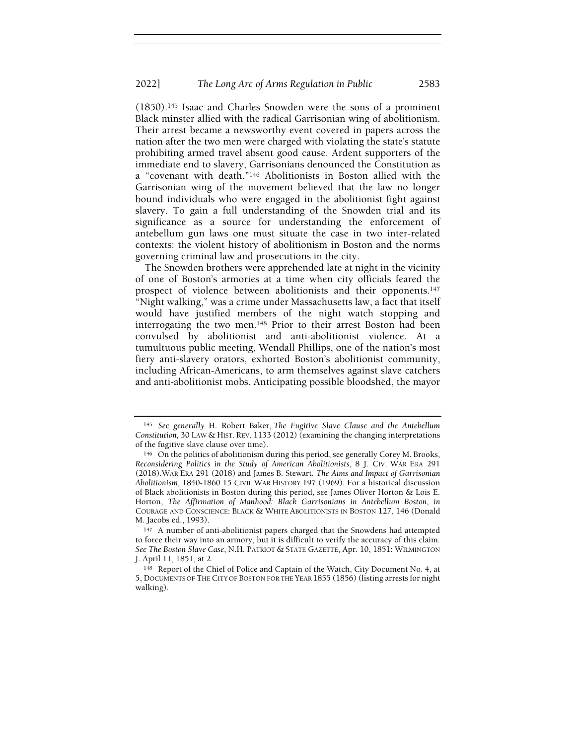(1850).145 Isaac and Charles Snowden were the sons of a prominent Black minster allied with the radical Garrisonian wing of abolitionism. Their arrest became a newsworthy event covered in papers across the nation after the two men were charged with violating the state's statute prohibiting armed travel absent good cause. Ardent supporters of the immediate end to slavery, Garrisonians denounced the Constitution as a "covenant with death."146 Abolitionists in Boston allied with the Garrisonian wing of the movement believed that the law no longer bound individuals who were engaged in the abolitionist fight against slavery. To gain a full understanding of the Snowden trial and its significance as a source for understanding the enforcement of antebellum gun laws one must situate the case in two inter-related contexts: the violent history of abolitionism in Boston and the norms governing criminal law and prosecutions in the city.

The Snowden brothers were apprehended late at night in the vicinity of one of Boston's armories at a time when city officials feared the prospect of violence between abolitionists and their opponents.<sup>147</sup> "Night walking," was a crime under Massachusetts law, a fact that itself would have justified members of the night watch stopping and interrogating the two men.148 Prior to their arrest Boston had been convulsed by abolitionist and anti-abolitionist violence. At a tumultuous public meeting, Wendall Phillips, one of the nation's most fiery anti-slavery orators, exhorted Boston's abolitionist community, including African-Americans, to arm themselves against slave catchers and anti-abolitionist mobs. Anticipating possible bloodshed, the mayor

<sup>145</sup> See generally H. Robert Baker, The Fugitive Slave Clause and the Antebellum Constitution, 30 LAW & HIST. REV. 1133 (2012) (examining the changing interpretations of the fugitive slave clause over time).

<sup>146</sup> On the politics of abolitionism during this period, see generally Corey M. Brooks, Reconsidering Politics in the Study of American Abolitionists, 8 J. CIV. WAR ERA 291 (2018).WAR ERA 291 (2018) and James B. Stewart, The Aims and Impact of Garrisonian Abolitionism, 1840-1860 15 CIVIL WAR HISTORY 197 (1969). For a historical discussion of Black abolitionists in Boston during this period, see James Oliver Horton & Lois E. Horton, The Affirmation of Manhood: Black Garrisonians in Antebellum Boston, in COURAGE AND CONSCIENCE: BLACK & WHITE ABOLITIONISTS IN BOSTON 127, 146 (Donald M. Jacobs ed., 1993).

<sup>&</sup>lt;sup>147</sup> A number of anti-abolitionist papers charged that the Snowdens had attempted to force their way into an armory, but it is difficult to verify the accuracy of this claim. See The Boston Slave Case, N.H. PATRIOT & STATE GAZETTE, Apr. 10, 1851; WILMINGTON J. April 11, 1851, at 2.

<sup>148</sup> Report of the Chief of Police and Captain of the Watch, City Document No. 4, at 5, DOCUMENTS OF THE CITY OF BOSTON FOR THE YEAR 1855 (1856) (listing arrests for night walking).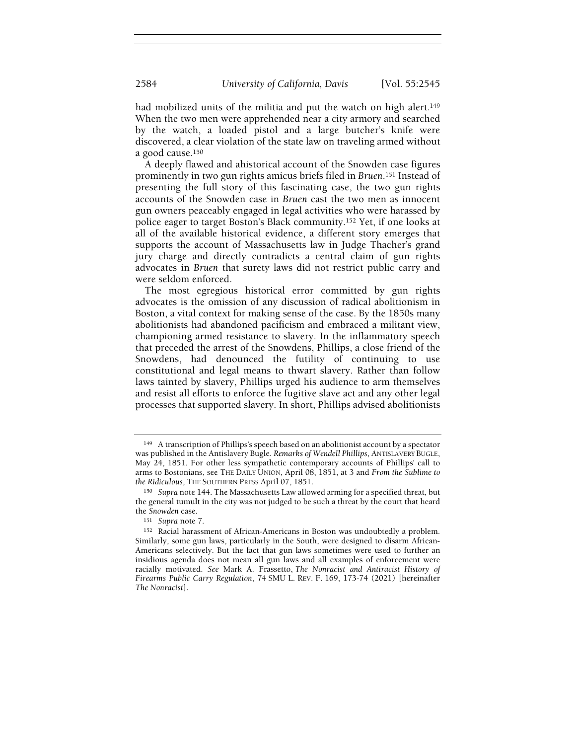had mobilized units of the militia and put the watch on high alert.<sup>149</sup> When the two men were apprehended near a city armory and searched by the watch, a loaded pistol and a large butcher's knife were discovered, a clear violation of the state law on traveling armed without a good cause.<sup>150</sup>

A deeply flawed and ahistorical account of the Snowden case figures prominently in two gun rights amicus briefs filed in Bruen.151 Instead of presenting the full story of this fascinating case, the two gun rights accounts of the Snowden case in Bruen cast the two men as innocent gun owners peaceably engaged in legal activities who were harassed by police eager to target Boston's Black community.152 Yet, if one looks at all of the available historical evidence, a different story emerges that supports the account of Massachusetts law in Judge Thacher's grand jury charge and directly contradicts a central claim of gun rights advocates in Bruen that surety laws did not restrict public carry and were seldom enforced.

The most egregious historical error committed by gun rights advocates is the omission of any discussion of radical abolitionism in Boston, a vital context for making sense of the case. By the 1850s many abolitionists had abandoned pacificism and embraced a militant view, championing armed resistance to slavery. In the inflammatory speech that preceded the arrest of the Snowdens, Phillips, a close friend of the Snowdens, had denounced the futility of continuing to use constitutional and legal means to thwart slavery. Rather than follow laws tainted by slavery, Phillips urged his audience to arm themselves and resist all efforts to enforce the fugitive slave act and any other legal processes that supported slavery. In short, Phillips advised abolitionists

<sup>149</sup> A transcription of Phillips's speech based on an abolitionist account by a spectator was published in the Antislavery Bugle. Remarks of Wendell Phillips, ANTISLAVERY BUGLE, May 24, 1851. For other less sympathetic contemporary accounts of Phillips' call to arms to Bostonians, see THE DAILY UNION, April 08, 1851, at 3 and From the Sublime to the Ridiculous, THE SOUTHERN PRESS April 07, 1851.

<sup>&</sup>lt;sup>150</sup> Supra note 144. The Massachusetts Law allowed arming for a specified threat, but the general tumult in the city was not judged to be such a threat by the court that heard the Snowden case.

<sup>151</sup> Supra note 7.

<sup>152</sup> Racial harassment of African-Americans in Boston was undoubtedly a problem. Similarly, some gun laws, particularly in the South, were designed to disarm African-Americans selectively. But the fact that gun laws sometimes were used to further an insidious agenda does not mean all gun laws and all examples of enforcement were racially motivated. See Mark A. Frassetto, The Nonracist and Antiracist History of Firearms Public Carry Regulation, 74 SMU L. REV. F. 169, 173-74 (2021) [hereinafter The Nonracist].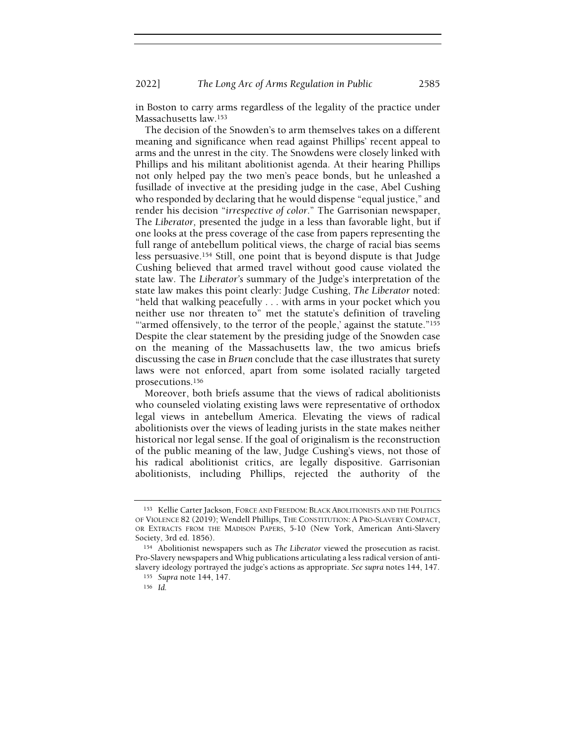in Boston to carry arms regardless of the legality of the practice under Massachusetts law.<sup>153</sup>

The decision of the Snowden's to arm themselves takes on a different meaning and significance when read against Phillips' recent appeal to arms and the unrest in the city. The Snowdens were closely linked with Phillips and his militant abolitionist agenda. At their hearing Phillips not only helped pay the two men's peace bonds, but he unleashed a fusillade of invective at the presiding judge in the case, Abel Cushing who responded by declaring that he would dispense "equal justice," and render his decision "irrespective of color." The Garrisonian newspaper, The Liberator, presented the judge in a less than favorable light, but if one looks at the press coverage of the case from papers representing the full range of antebellum political views, the charge of racial bias seems less persuasive.154 Still, one point that is beyond dispute is that Judge Cushing believed that armed travel without good cause violated the state law. The Liberator's summary of the Judge's interpretation of the state law makes this point clearly: Judge Cushing, The Liberator noted: "held that walking peacefully . . . with arms in your pocket which you neither use nor threaten to" met the statute's definition of traveling "'armed offensively, to the terror of the people,' against the statute."<sup>155</sup> Despite the clear statement by the presiding judge of the Snowden case on the meaning of the Massachusetts law, the two amicus briefs discussing the case in Bruen conclude that the case illustrates that surety laws were not enforced, apart from some isolated racially targeted prosecutions.<sup>156</sup>

Moreover, both briefs assume that the views of radical abolitionists who counseled violating existing laws were representative of orthodox legal views in antebellum America. Elevating the views of radical abolitionists over the views of leading jurists in the state makes neither historical nor legal sense. If the goal of originalism is the reconstruction of the public meaning of the law, Judge Cushing's views, not those of his radical abolitionist critics, are legally dispositive. Garrisonian abolitionists, including Phillips, rejected the authority of the

<sup>153</sup> Kellie Carter Jackson, FORCE AND FREEDOM: BLACK ABOLITIONISTS AND THE POLITICS OF VIOLENCE 82 (2019); Wendell Phillips, THE CONSTITUTION: A PRO-SLAVERY COMPACT, OR EXTRACTS FROM THE MADISON PAPERS, 5-10 (New York, American Anti-Slavery Society, 3rd ed. 1856).

<sup>154</sup> Abolitionist newspapers such as The Liberator viewed the prosecution as racist. Pro-Slavery newspapers and Whig publications articulating a less radical version of antislavery ideology portrayed the judge's actions as appropriate. See supra notes 144, 147.

<sup>155</sup> Supra note 144, 147.

<sup>156</sup> Id.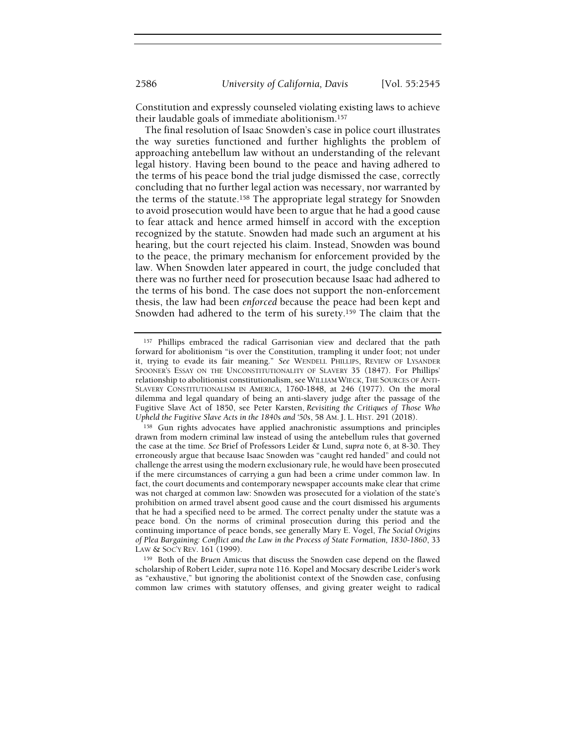Constitution and expressly counseled violating existing laws to achieve their laudable goals of immediate abolitionism.<sup>157</sup>

The final resolution of Isaac Snowden's case in police court illustrates the way sureties functioned and further highlights the problem of approaching antebellum law without an understanding of the relevant legal history. Having been bound to the peace and having adhered to the terms of his peace bond the trial judge dismissed the case, correctly concluding that no further legal action was necessary, nor warranted by the terms of the statute.158 The appropriate legal strategy for Snowden to avoid prosecution would have been to argue that he had a good cause to fear attack and hence armed himself in accord with the exception recognized by the statute. Snowden had made such an argument at his hearing, but the court rejected his claim. Instead, Snowden was bound to the peace, the primary mechanism for enforcement provided by the law. When Snowden later appeared in court, the judge concluded that there was no further need for prosecution because Isaac had adhered to the terms of his bond. The case does not support the non-enforcement thesis, the law had been enforced because the peace had been kept and Snowden had adhered to the term of his surety.159 The claim that the

<sup>159</sup> Both of the Bruen Amicus that discuss the Snowden case depend on the flawed scholarship of Robert Leider, supra note 116. Kopel and Mocsary describe Leider's work as "exhaustive," but ignoring the abolitionist context of the Snowden case, confusing common law crimes with statutory offenses, and giving greater weight to radical

<sup>157</sup> Phillips embraced the radical Garrisonian view and declared that the path forward for abolitionism "is over the Constitution, trampling it under foot; not under it, trying to evade its fair meaning." See WENDELL PHILLIPS, REVIEW OF LYSANDER SPOONER'S ESSAY ON THE UNCONSTITUTIONALITY OF SLAVERY 35 (1847). For Phillips' relationship to abolitionist constitutionalism, see WILLIAM WIECK, THE SOURCES OF ANTI-SLAVERY CONSTITUTIONALISM IN AMERICA, 1760-1848, at 246 (1977). On the moral dilemma and legal quandary of being an anti-slavery judge after the passage of the Fugitive Slave Act of 1850, see Peter Karsten, Revisiting the Critiques of Those Who Upheld the Fugitive Slave Acts in the 1840s and '50s, 58 AM. J. L. HIST. 291 (2018).

<sup>158</sup> Gun rights advocates have applied anachronistic assumptions and principles drawn from modern criminal law instead of using the antebellum rules that governed the case at the time. See Brief of Professors Leider & Lund, supra note 6, at 8-30. They erroneously argue that because Isaac Snowden was "caught red handed" and could not challenge the arrest using the modern exclusionary rule, he would have been prosecuted if the mere circumstances of carrying a gun had been a crime under common law. In fact, the court documents and contemporary newspaper accounts make clear that crime was not charged at common law: Snowden was prosecuted for a violation of the state's prohibition on armed travel absent good cause and the court dismissed his arguments that he had a specified need to be armed. The correct penalty under the statute was a peace bond. On the norms of criminal prosecution during this period and the continuing importance of peace bonds, see generally Mary E. Vogel, The Social Origins of Plea Bargaining: Conflict and the Law in the Process of State Formation, 1830-1860, 33 LAW & SOC'Y REV. 161 (1999).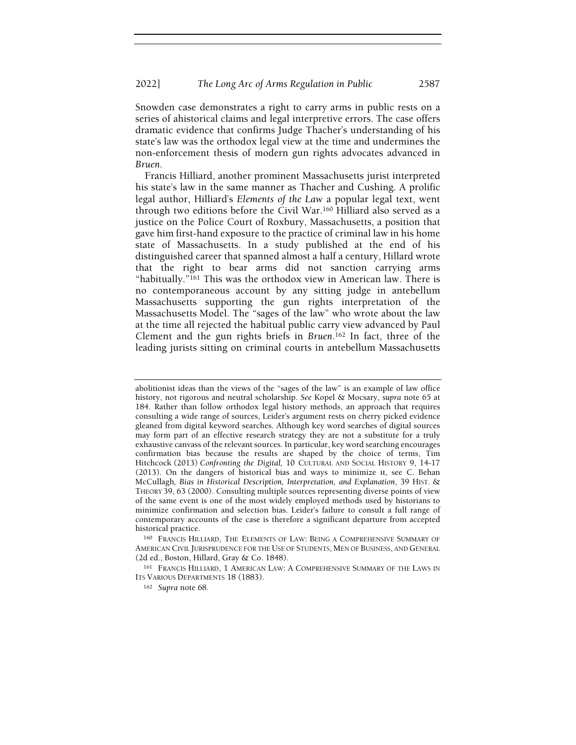Snowden case demonstrates a right to carry arms in public rests on a series of ahistorical claims and legal interpretive errors. The case offers dramatic evidence that confirms Judge Thacher's understanding of his state's law was the orthodox legal view at the time and undermines the non-enforcement thesis of modern gun rights advocates advanced in Bruen.

Francis Hilliard, another prominent Massachusetts jurist interpreted his state's law in the same manner as Thacher and Cushing. A prolific legal author, Hilliard's Elements of the Law a popular legal text, went through two editions before the Civil War.160 Hilliard also served as a justice on the Police Court of Roxbury, Massachusetts, a position that gave him first-hand exposure to the practice of criminal law in his home state of Massachusetts. In a study published at the end of his distinguished career that spanned almost a half a century, Hillard wrote that the right to bear arms did not sanction carrying arms "habitually."<sup>161</sup> This was the orthodox view in American law. There is no contemporaneous account by any sitting judge in antebellum Massachusetts supporting the gun rights interpretation of the Massachusetts Model. The "sages of the law" who wrote about the law at the time all rejected the habitual public carry view advanced by Paul Clement and the gun rights briefs in Bruen.162 In fact, three of the leading jurists sitting on criminal courts in antebellum Massachusetts

abolitionist ideas than the views of the "sages of the law" is an example of law office history, not rigorous and neutral scholarship. See Kopel & Mocsary, supra note 65 at 184. Rather than follow orthodox legal history methods, an approach that requires consulting a wide range of sources, Leider's argument rests on cherry picked evidence gleaned from digital keyword searches. Although key word searches of digital sources may form part of an effective research strategy they are not a substitute for a truly exhaustive canvass of the relevant sources. In particular, key word searching encourages confirmation bias because the results are shaped by the choice of terms, Tim Hitchcock (2013) Confronting the Digital, 10 CULTURAL AND SOCIAL HISTORY 9, 14-17 (2013). On the dangers of historical bias and ways to minimize it, see C. Behan McCullagh, Bias in Historical Description, Interpretation, and Explanation, 39 HIST. & THEORY 39, 63 (2000). Consulting multiple sources representing diverse points of view of the same event is one of the most widely employed methods used by historians to minimize confirmation and selection bias. Leider's failure to consult a full range of contemporary accounts of the case is therefore a significant departure from accepted historical practice.

<sup>160</sup> FRANCIS HILLIARD, THE ELEMENTS OF LAW: BEING A COMPREHENSIVE SUMMARY OF AMERICAN CIVIL JURISPRUDENCE FOR THE USE OF STUDENTS, MEN OF BUSINESS, AND GENERAL (2d ed., Boston, Hillard, Gray & Co. 1848).

<sup>161</sup> FRANCIS HILLIARD, 1 AMERICAN LAW: A COMPREHENSIVE SUMMARY OF THE LAWS IN ITS VARIOUS DEPARTMENTS 18 (1883).

<sup>162</sup> Supra note 68.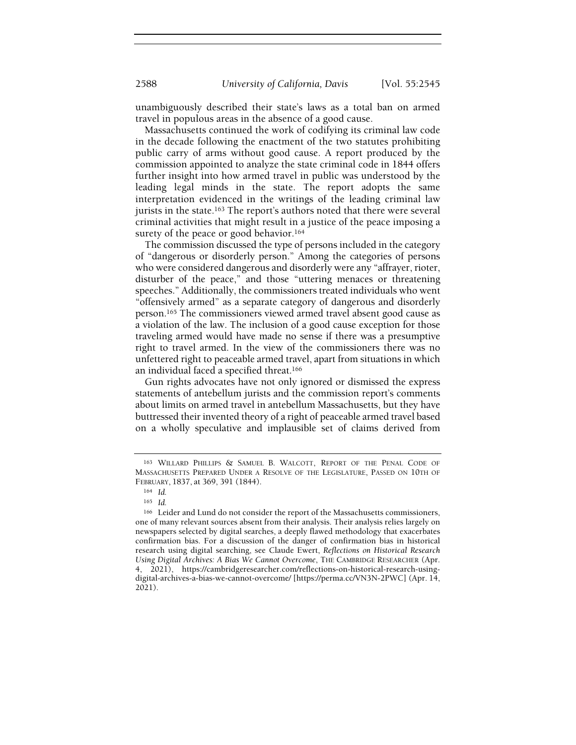unambiguously described their state's laws as a total ban on armed travel in populous areas in the absence of a good cause.

Massachusetts continued the work of codifying its criminal law code in the decade following the enactment of the two statutes prohibiting public carry of arms without good cause. A report produced by the commission appointed to analyze the state criminal code in 1844 offers further insight into how armed travel in public was understood by the leading legal minds in the state. The report adopts the same interpretation evidenced in the writings of the leading criminal law jurists in the state.<sup>163</sup> The report's authors noted that there were several criminal activities that might result in a justice of the peace imposing a surety of the peace or good behavior.<sup>164</sup>

The commission discussed the type of persons included in the category of "dangerous or disorderly person." Among the categories of persons who were considered dangerous and disorderly were any "affrayer, rioter, disturber of the peace," and those "uttering menaces or threatening speeches." Additionally, the commissioners treated individuals who went "offensively armed" as a separate category of dangerous and disorderly person.165 The commissioners viewed armed travel absent good cause as a violation of the law. The inclusion of a good cause exception for those traveling armed would have made no sense if there was a presumptive right to travel armed. In the view of the commissioners there was no unfettered right to peaceable armed travel, apart from situations in which an individual faced a specified threat.<sup>166</sup>

Gun rights advocates have not only ignored or dismissed the express statements of antebellum jurists and the commission report's comments about limits on armed travel in antebellum Massachusetts, but they have buttressed their invented theory of a right of peaceable armed travel based on a wholly speculative and implausible set of claims derived from

<sup>163</sup> WILLARD PHILLIPS & SAMUEL B. WALCOTT, REPORT OF THE PENAL CODE OF MASSACHUSETTS PREPARED UNDER A RESOLVE OF THE LEGISLATURE, PASSED ON 10TH OF FEBRUARY, 1837, at 369, 391 (1844).

<sup>164</sup> Id.

<sup>165</sup> Id.

<sup>166</sup> Leider and Lund do not consider the report of the Massachusetts commissioners, one of many relevant sources absent from their analysis. Their analysis relies largely on newspapers selected by digital searches, a deeply flawed methodology that exacerbates confirmation bias. For a discussion of the danger of confirmation bias in historical research using digital searching, see Claude Ewert, Reflections on Historical Research Using Digital Archives: A Bias We Cannot Overcome, THE CAMBRIDGE RESEARCHER (Apr. 4, 2021), https://cambridgeresearcher.com/reflections-on-historical-research-usingdigital-archives-a-bias-we-cannot-overcome/ [https://perma.cc/VN3N-2PWC] (Apr. 14, 2021).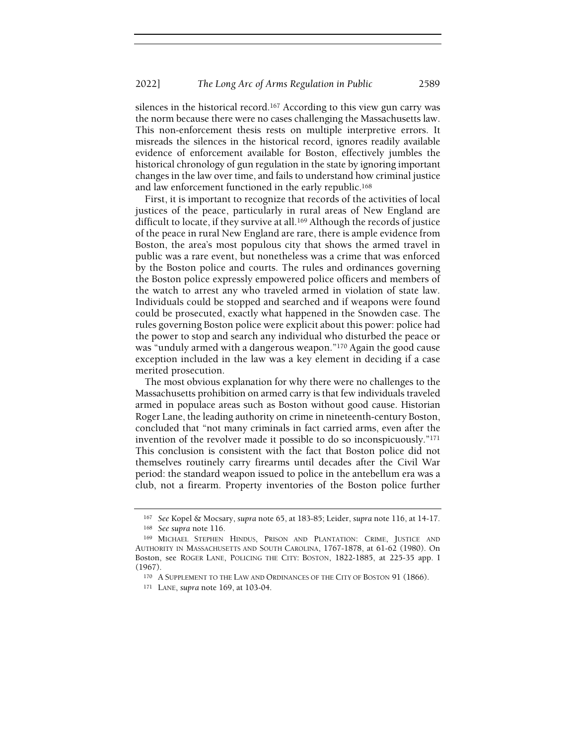silences in the historical record.167 According to this view gun carry was the norm because there were no cases challenging the Massachusetts law. This non-enforcement thesis rests on multiple interpretive errors. It misreads the silences in the historical record, ignores readily available evidence of enforcement available for Boston, effectively jumbles the historical chronology of gun regulation in the state by ignoring important changes in the law over time, and fails to understand how criminal justice and law enforcement functioned in the early republic.<sup>168</sup>

First, it is important to recognize that records of the activities of local justices of the peace, particularly in rural areas of New England are difficult to locate, if they survive at all.<sup>169</sup> Although the records of justice of the peace in rural New England are rare, there is ample evidence from Boston, the area's most populous city that shows the armed travel in public was a rare event, but nonetheless was a crime that was enforced by the Boston police and courts. The rules and ordinances governing the Boston police expressly empowered police officers and members of the watch to arrest any who traveled armed in violation of state law. Individuals could be stopped and searched and if weapons were found could be prosecuted, exactly what happened in the Snowden case. The rules governing Boston police were explicit about this power: police had the power to stop and search any individual who disturbed the peace or was "unduly armed with a dangerous weapon."170 Again the good cause exception included in the law was a key element in deciding if a case merited prosecution.

The most obvious explanation for why there were no challenges to the Massachusetts prohibition on armed carry is that few individuals traveled armed in populace areas such as Boston without good cause. Historian Roger Lane, the leading authority on crime in nineteenth-century Boston, concluded that "not many criminals in fact carried arms, even after the invention of the revolver made it possible to do so inconspicuously."<sup>171</sup> This conclusion is consistent with the fact that Boston police did not themselves routinely carry firearms until decades after the Civil War period: the standard weapon issued to police in the antebellum era was a club, not a firearm. Property inventories of the Boston police further

<sup>167</sup> See Kopel & Mocsary, supra note 65, at 183-85; Leider, supra note 116, at 14-17. <sup>168</sup> See supra note 116.

<sup>169</sup> MICHAEL STEPHEN HINDUS, PRISON AND PLANTATION: CRIME, JUSTICE AND AUTHORITY IN MASSACHUSETTS AND SOUTH CAROLINA, 1767-1878, at 61-62 (1980). On Boston, see ROGER LANE, POLICING THE CITY: BOSTON, 1822-1885, at 225-35 app. I (1967).

<sup>170</sup> A SUPPLEMENT TO THE LAW AND ORDINANCES OF THE CITY OF BOSTON 91 (1866).

<sup>171</sup> LANE, supra note 169, at 103-04.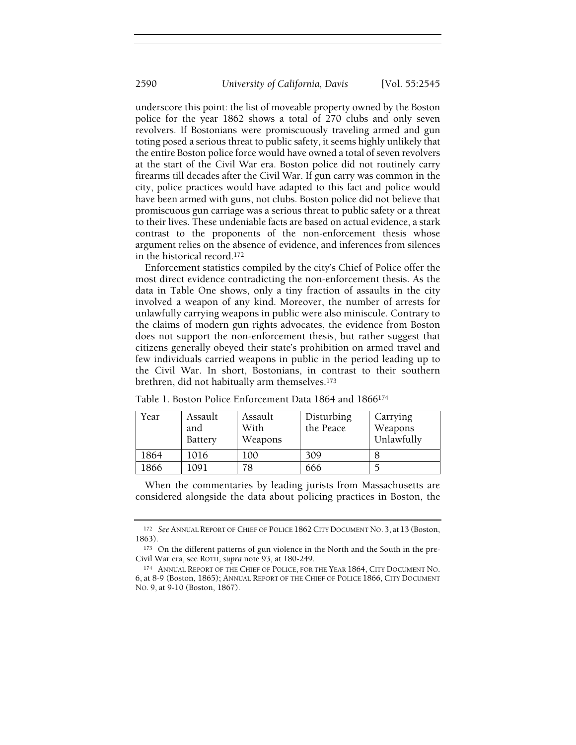underscore this point: the list of moveable property owned by the Boston police for the year 1862 shows a total of 270 clubs and only seven revolvers. If Bostonians were promiscuously traveling armed and gun toting posed a serious threat to public safety, it seems highly unlikely that the entire Boston police force would have owned a total of seven revolvers at the start of the Civil War era. Boston police did not routinely carry firearms till decades after the Civil War. If gun carry was common in the city, police practices would have adapted to this fact and police would have been armed with guns, not clubs. Boston police did not believe that promiscuous gun carriage was a serious threat to public safety or a threat to their lives. These undeniable facts are based on actual evidence, a stark contrast to the proponents of the non-enforcement thesis whose argument relies on the absence of evidence, and inferences from silences in the historical record.<sup>172</sup>

Enforcement statistics compiled by the city's Chief of Police offer the most direct evidence contradicting the non-enforcement thesis. As the data in Table One shows, only a tiny fraction of assaults in the city involved a weapon of any kind. Moreover, the number of arrests for unlawfully carrying weapons in public were also miniscule. Contrary to the claims of modern gun rights advocates, the evidence from Boston does not support the non-enforcement thesis, but rather suggest that citizens generally obeyed their state's prohibition on armed travel and few individuals carried weapons in public in the period leading up to the Civil War. In short, Bostonians, in contrast to their southern brethren, did not habitually arm themselves.<sup>173</sup>

| Year | Assault<br>and<br><b>Battery</b> | Assault<br>With<br>Weapons | Disturbing<br>the Peace | Carrying<br>Weapons<br>Unlawfully |
|------|----------------------------------|----------------------------|-------------------------|-----------------------------------|
| 1864 | 1016                             | 100                        | 309                     |                                   |
| 1866 | 1091                             | 78                         | 666                     |                                   |

Table 1. Boston Police Enforcement Data 1864 and 1866<sup>174</sup>

When the commentaries by leading jurists from Massachusetts are considered alongside the data about policing practices in Boston, the

<sup>172</sup> See ANNUAL REPORT OF CHIEF OF POLICE 1862 CITY DOCUMENT NO. 3, at 13 (Boston, 1863).

<sup>173</sup> On the different patterns of gun violence in the North and the South in the pre-Civil War era, see ROTH, supra note 93, at 180-249.

<sup>174</sup> ANNUAL REPORT OF THE CHIEF OF POLICE, FOR THE YEAR 1864, CITY DOCUMENT NO. 6, at 8-9 (Boston, 1865); ANNUAL REPORT OF THE CHIEF OF POLICE 1866, CITY DOCUMENT NO. 9, at 9-10 (Boston, 1867).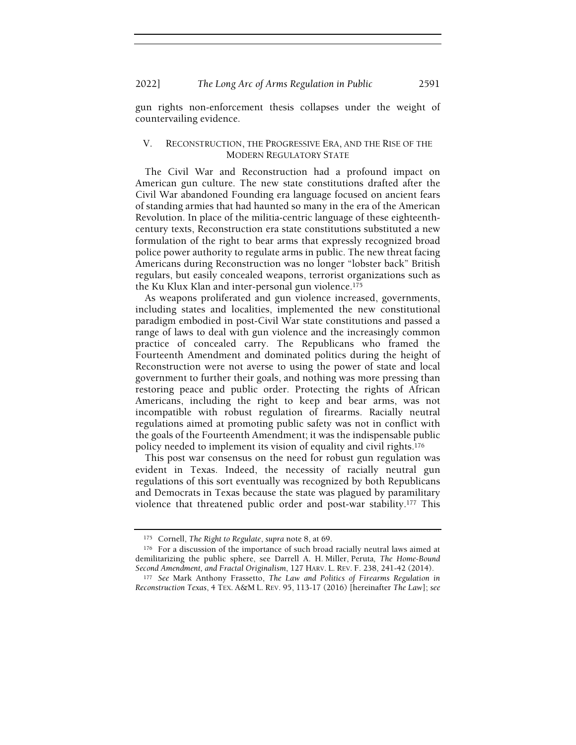2022] The Long Arc of Arms Regulation in Public 2591

gun rights non-enforcement thesis collapses under the weight of countervailing evidence.

#### V. RECONSTRUCTION, THE PROGRESSIVE ERA, AND THE RISE OF THE MODERN REGULATORY STATE

The Civil War and Reconstruction had a profound impact on American gun culture. The new state constitutions drafted after the Civil War abandoned Founding era language focused on ancient fears of standing armies that had haunted so many in the era of the American Revolution. In place of the militia-centric language of these eighteenthcentury texts, Reconstruction era state constitutions substituted a new formulation of the right to bear arms that expressly recognized broad police power authority to regulate arms in public. The new threat facing Americans during Reconstruction was no longer "lobster back" British regulars, but easily concealed weapons, terrorist organizations such as the Ku Klux Klan and inter-personal gun violence.<sup>175</sup>

As weapons proliferated and gun violence increased, governments, including states and localities, implemented the new constitutional paradigm embodied in post-Civil War state constitutions and passed a range of laws to deal with gun violence and the increasingly common practice of concealed carry. The Republicans who framed the Fourteenth Amendment and dominated politics during the height of Reconstruction were not averse to using the power of state and local government to further their goals, and nothing was more pressing than restoring peace and public order. Protecting the rights of African Americans, including the right to keep and bear arms, was not incompatible with robust regulation of firearms. Racially neutral regulations aimed at promoting public safety was not in conflict with the goals of the Fourteenth Amendment; it was the indispensable public policy needed to implement its vision of equality and civil rights.<sup>176</sup>

This post war consensus on the need for robust gun regulation was evident in Texas. Indeed, the necessity of racially neutral gun regulations of this sort eventually was recognized by both Republicans and Democrats in Texas because the state was plagued by paramilitary violence that threatened public order and post-war stability.177 This

<sup>175</sup> Cornell, The Right to Regulate, supra note 8, at 69.

<sup>176</sup> For a discussion of the importance of such broad racially neutral laws aimed at demilitarizing the public sphere, see Darrell A. H. Miller, Peruta, The Home-Bound Second Amendment, and Fractal Originalism, 127 HARV. L. REV. F. 238, 241-42 (2014).

<sup>177</sup> See Mark Anthony Frassetto, The Law and Politics of Firearms Regulation in Reconstruction Texas, 4 TEX. A&M L. REV. 95, 113-17 (2016) [hereinafter The Law]; see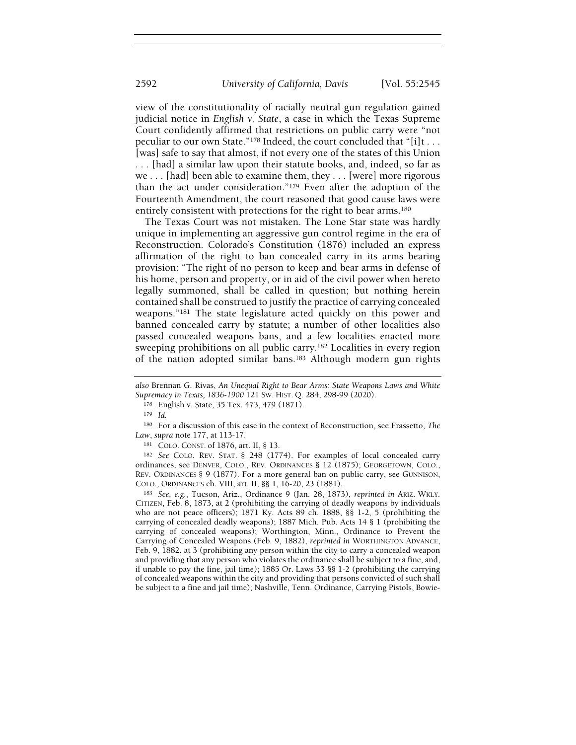view of the constitutionality of racially neutral gun regulation gained judicial notice in English v. State, a case in which the Texas Supreme Court confidently affirmed that restrictions on public carry were "not peculiar to our own State."178 Indeed, the court concluded that "[i]t . . . [was] safe to say that almost, if not every one of the states of this Union . . . [had] a similar law upon their statute books, and, indeed, so far as we . . . [had] been able to examine them, they . . . [were] more rigorous than the act under consideration."179 Even after the adoption of the Fourteenth Amendment, the court reasoned that good cause laws were entirely consistent with protections for the right to bear arms.<sup>180</sup>

The Texas Court was not mistaken. The Lone Star state was hardly unique in implementing an aggressive gun control regime in the era of Reconstruction. Colorado's Constitution (1876) included an express affirmation of the right to ban concealed carry in its arms bearing provision: "The right of no person to keep and bear arms in defense of his home, person and property, or in aid of the civil power when hereto legally summoned, shall be called in question; but nothing herein contained shall be construed to justify the practice of carrying concealed weapons."181 The state legislature acted quickly on this power and banned concealed carry by statute; a number of other localities also passed concealed weapons bans, and a few localities enacted more sweeping prohibitions on all public carry.<sup>182</sup> Localities in every region of the nation adopted similar bans.183 Although modern gun rights

<sup>183</sup> See, e.g., Tucson, Ariz., Ordinance 9 (Jan. 28, 1873), reprinted in ARIZ. WKLY. CITIZEN, Feb. 8, 1873, at 2 (prohibiting the carrying of deadly weapons by individuals who are not peace officers); 1871 Ky. Acts 89 ch. 1888, §§ 1-2, 5 (prohibiting the carrying of concealed deadly weapons); 1887 Mich. Pub. Acts 14 § 1 (prohibiting the carrying of concealed weapons); Worthington, Minn., Ordinance to Prevent the Carrying of Concealed Weapons (Feb. 9, 1882), reprinted in WORTHINGTON ADVANCE, Feb. 9, 1882, at 3 (prohibiting any person within the city to carry a concealed weapon and providing that any person who violates the ordinance shall be subject to a fine, and, if unable to pay the fine, jail time); 1885 Or. Laws 33 §§ 1-2 (prohibiting the carrying of concealed weapons within the city and providing that persons convicted of such shall be subject to a fine and jail time); Nashville, Tenn. Ordinance, Carrying Pistols, Bowie-

also Brennan G. Rivas, An Unequal Right to Bear Arms: State Weapons Laws and White Supremacy in Texas, 1836-1900 121 SW. HIST. Q. 284, 298-99 (2020).

<sup>178</sup> English v. State, 35 Tex. 473, 479 (1871).

<sup>179</sup> Id.

<sup>180</sup> For a discussion of this case in the context of Reconstruction, see Frassetto, The Law, supra note 177, at 113-17.

<sup>181</sup> COLO. CONST. of 1876, art. II, § 13.

<sup>182</sup> See COLO. REV. STAT. § 248 (1774). For examples of local concealed carry ordinances, see DENVER, COLO., REV. ORDINANCES § 12 (1875); GEORGETOWN, COLO., REV. ORDINANCES § 9 (1877). For a more general ban on public carry, see GUNNISON, COLO., ORDINANCES ch. VIII, art. II, §§ 1, 16-20, 23 (1881).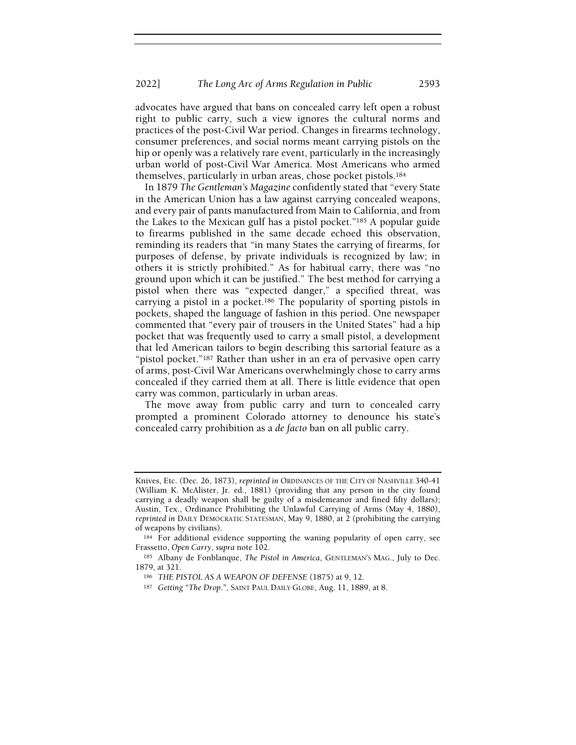advocates have argued that bans on concealed carry left open a robust right to public carry, such a view ignores the cultural norms and practices of the post-Civil War period. Changes in firearms technology, consumer preferences, and social norms meant carrying pistols on the hip or openly was a relatively rare event, particularly in the increasingly urban world of post-Civil War America. Most Americans who armed themselves, particularly in urban areas, chose pocket pistols.<sup>184</sup>

In 1879 The Gentleman's Magazine confidently stated that "every State in the American Union has a law against carrying concealed weapons, and every pair of pants manufactured from Main to California, and from the Lakes to the Mexican gulf has a pistol pocket."185 A popular guide to firearms published in the same decade echoed this observation, reminding its readers that "in many States the carrying of firearms, for purposes of defense, by private individuals is recognized by law; in others it is strictly prohibited." As for habitual carry, there was "no ground upon which it can be justified." The best method for carrying a pistol when there was "expected danger," a specified threat, was carrying a pistol in a pocket.186 The popularity of sporting pistols in pockets, shaped the language of fashion in this period. One newspaper commented that "every pair of trousers in the United States" had a hip pocket that was frequently used to carry a small pistol, a development that led American tailors to begin describing this sartorial feature as a "pistol pocket."187 Rather than usher in an era of pervasive open carry of arms, post-Civil War Americans overwhelmingly chose to carry arms concealed if they carried them at all. There is little evidence that open carry was common, particularly in urban areas.

The move away from public carry and turn to concealed carry prompted a prominent Colorado attorney to denounce his state's concealed carry prohibition as a de facto ban on all public carry.

Knives, Etc. (Dec. 26, 1873), reprinted in ORDINANCES OF THE CITY OF NASHVILLE 340-41 (William K. McAlister, Jr. ed., 1881) (providing that any person in the city found carrying a deadly weapon shall be guilty of a misdemeanor and fined fifty dollars); Austin, Tex., Ordinance Prohibiting the Unlawful Carrying of Arms (May 4, 1880), reprinted in DAILY DEMOCRATIC STATESMAN, May 9, 1880, at 2 (prohibiting the carrying of weapons by civilians).

<sup>184</sup> For additional evidence supporting the waning popularity of open carry, see Frassetto, Open Carry, supra note 102.

<sup>185</sup> Albany de Fonblanque, The Pistol in America, GENTLEMAN'S MAG., July to Dec. 1879, at 321.

<sup>186</sup> THE PISTOL AS A WEAPON OF DEFENSE (1875) at 9, 12.

<sup>187</sup> Getting "The Drop.", SAINT PAUL DAILY GLOBE, Aug. 11, 1889, at 8.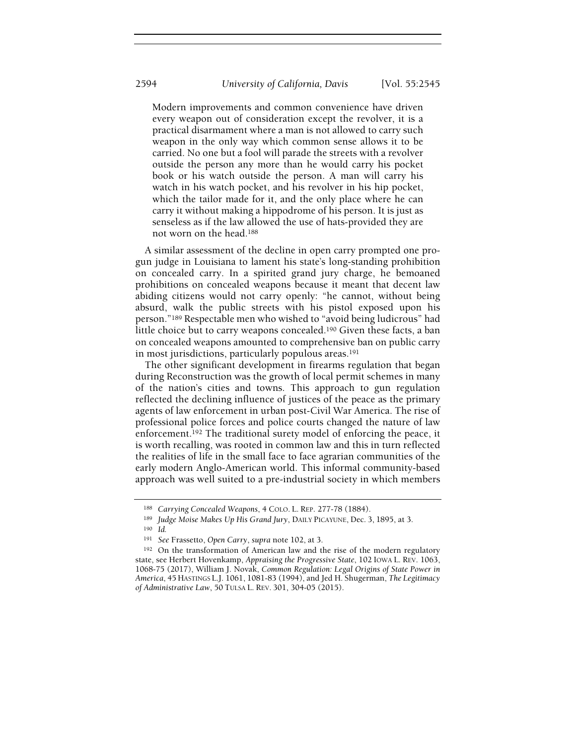Modern improvements and common convenience have driven every weapon out of consideration except the revolver, it is a practical disarmament where a man is not allowed to carry such weapon in the only way which common sense allows it to be carried. No one but a fool will parade the streets with a revolver outside the person any more than he would carry his pocket book or his watch outside the person. A man will carry his watch in his watch pocket, and his revolver in his hip pocket, which the tailor made for it, and the only place where he can carry it without making a hippodrome of his person. It is just as senseless as if the law allowed the use of hats-provided they are not worn on the head.<sup>188</sup>

A similar assessment of the decline in open carry prompted one progun judge in Louisiana to lament his state's long-standing prohibition on concealed carry. In a spirited grand jury charge, he bemoaned prohibitions on concealed weapons because it meant that decent law abiding citizens would not carry openly: "he cannot, without being absurd, walk the public streets with his pistol exposed upon his person."189 Respectable men who wished to "avoid being ludicrous" had little choice but to carry weapons concealed.190 Given these facts, a ban on concealed weapons amounted to comprehensive ban on public carry in most jurisdictions, particularly populous areas.<sup>191</sup>

The other significant development in firearms regulation that began during Reconstruction was the growth of local permit schemes in many of the nation's cities and towns. This approach to gun regulation reflected the declining influence of justices of the peace as the primary agents of law enforcement in urban post-Civil War America. The rise of professional police forces and police courts changed the nature of law enforcement.192 The traditional surety model of enforcing the peace, it is worth recalling, was rooted in common law and this in turn reflected the realities of life in the small face to face agrarian communities of the early modern Anglo-American world. This informal community-based approach was well suited to a pre-industrial society in which members

<sup>188</sup> Carrying Concealed Weapons, 4 COLO. L. REP. 277-78 (1884).

<sup>189</sup> Judge Moise Makes Up His Grand Jury, DAILY PICAYUNE, Dec. 3, 1895, at 3.

<sup>190</sup> Id.

<sup>191</sup> See Frassetto, Open Carry, supra note 102, at 3.

<sup>192</sup> On the transformation of American law and the rise of the modern regulatory state, see Herbert Hovenkamp, Appraising the Progressive State, 102 IOWA L. REV. 1063, 1068-75 (2017), William J. Novak, Common Regulation: Legal Origins of State Power in America, 45 HASTINGS L.J. 1061, 1081-83 (1994), and Jed H. Shugerman, The Legitimacy of Administrative Law, 50 TULSA L. REV. 301, 304-05 (2015).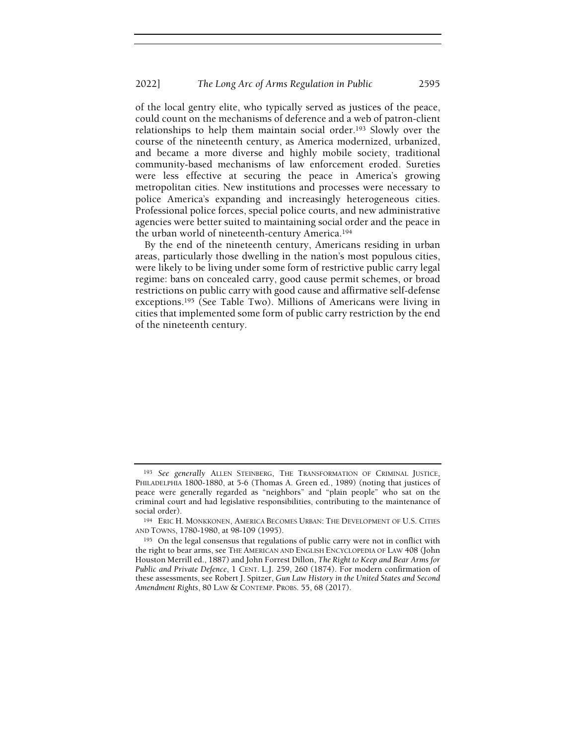of the local gentry elite, who typically served as justices of the peace, could count on the mechanisms of deference and a web of patron-client relationships to help them maintain social order.193 Slowly over the course of the nineteenth century, as America modernized, urbanized, and became a more diverse and highly mobile society, traditional community-based mechanisms of law enforcement eroded. Sureties were less effective at securing the peace in America's growing metropolitan cities. New institutions and processes were necessary to police America's expanding and increasingly heterogeneous cities. Professional police forces, special police courts, and new administrative agencies were better suited to maintaining social order and the peace in the urban world of nineteenth-century America.<sup>194</sup>

By the end of the nineteenth century, Americans residing in urban areas, particularly those dwelling in the nation's most populous cities, were likely to be living under some form of restrictive public carry legal regime: bans on concealed carry, good cause permit schemes, or broad restrictions on public carry with good cause and affirmative self-defense exceptions.195 (See Table Two). Millions of Americans were living in cities that implemented some form of public carry restriction by the end of the nineteenth century.

<sup>193</sup> See generally ALLEN STEINBERG, THE TRANSFORMATION OF CRIMINAL JUSTICE, PHILADELPHIA 1800-1880, at 5-6 (Thomas A. Green ed., 1989) (noting that justices of peace were generally regarded as "neighbors" and "plain people" who sat on the criminal court and had legislative responsibilities, contributing to the maintenance of social order).

<sup>194</sup> ERIC H. MONKKONEN, AMERICA BECOMES URBAN: THE DEVELOPMENT OF U.S. CITIES AND TOWNS, 1780-1980, at 98-109 (1995).

<sup>195</sup> On the legal consensus that regulations of public carry were not in conflict with the right to bear arms, see THE AMERICAN AND ENGLISH ENCYCLOPEDIA OF LAW 408 (John Houston Merrill ed., 1887) and John Forrest Dillon, The Right to Keep and Bear Arms for Public and Private Defence, 1 CENT. L.J. 259, 260 (1874). For modern confirmation of these assessments, see Robert J. Spitzer, Gun Law History in the United States and Second Amendment Rights, 80 LAW & CONTEMP. PROBS. 55, 68 (2017).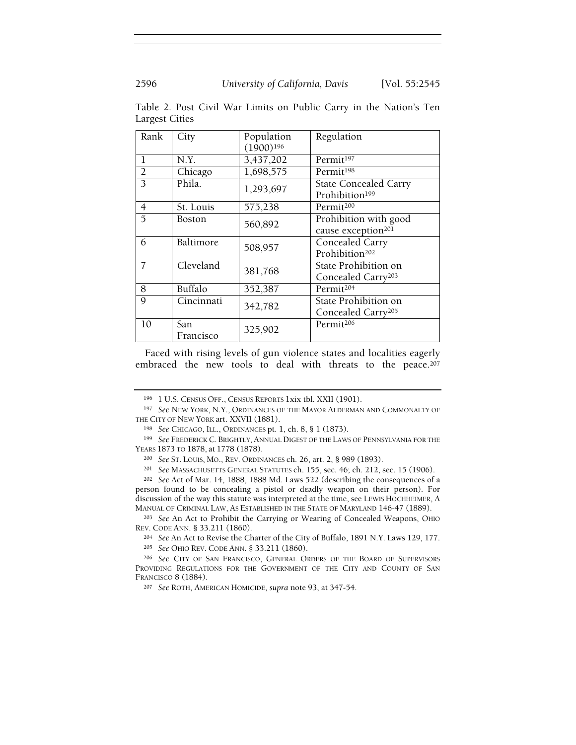| Rank           | City          | Population<br>$(1900)^{196}$ | Regulation                     |  |
|----------------|---------------|------------------------------|--------------------------------|--|
| 1              | N.Y.          | 3,437,202                    | Permit <sup>197</sup>          |  |
| $\overline{2}$ | Chicago       | 1,698,575                    | Permit <sup>198</sup>          |  |
| 3              | Phila.        | 1,293,697                    | <b>State Concealed Carry</b>   |  |
|                |               |                              | Prohibition <sup>199</sup>     |  |
| 4              | St. Louis     | 575,238                      | Permit <sup>200</sup>          |  |
| 5              | <b>Boston</b> | 560,892                      | Prohibition with good          |  |
|                |               |                              | cause exception <sup>201</sup> |  |
| 6              | Baltimore     | 508,957                      | Concealed Carry                |  |
|                |               |                              | Prohibition <sup>202</sup>     |  |
| 7              | Cleveland     | 381,768                      | State Prohibition on           |  |
|                |               |                              | Concealed Carry <sup>203</sup> |  |
| 8              | Buffalo       | 352,387                      | Permit <sup>204</sup>          |  |
| 9              | Cincinnati    | 342,782                      | State Prohibition on           |  |
|                |               |                              | Concealed Carry <sup>205</sup> |  |
| 10             | San           | 325,902                      | Permit <sup>206</sup>          |  |
|                | Francisco     |                              |                                |  |

Table 2. Post Civil War Limits on Public Carry in the Nation's Ten Largest Cities

Faced with rising levels of gun violence states and localities eagerly embraced the new tools to deal with threats to the peace.<sup>207</sup>

<sup>202</sup> See Act of Mar. 14, 1888, 1888 Md. Laws 522 (describing the consequences of a person found to be concealing a pistol or deadly weapon on their person). For discussion of the way this statute was interpreted at the time, see LEWIS HOCHHEIMER, A MANUAL OF CRIMINAL LAW, AS ESTABLISHED IN THE STATE OF MARYLAND 146-47 (1889).

<sup>203</sup> See An Act to Prohibit the Carrying or Wearing of Concealed Weapons, OHIO REV. CODE ANN. § 33.211 (1860).

<sup>204</sup> See An Act to Revise the Charter of the City of Buffalo, 1891 N.Y. Laws 129, 177.

<sup>205</sup> See OHIO REV. CODE ANN. § 33.211 (1860).

<sup>196</sup> 1 U.S. CENSUS OFF., CENSUS REPORTS 1xix tbl. XXII (1901).

<sup>&</sup>lt;sup>197</sup> See NEW YORK, N.Y., ORDINANCES OF THE MAYOR ALDERMAN AND COMMONALTY OF THE CITY OF NEW YORK art. XXVII (1881).

<sup>198</sup> See CHICAGO, ILL., ORDINANCES pt. 1, ch. 8, § 1 (1873).

<sup>199</sup> See FREDERICK C. BRIGHTLY, ANNUAL DIGEST OF THE LAWS OF PENNSYLVANIA FOR THE YEARS 1873 TO 1878, at 1778 (1878).

<sup>200</sup> See ST. LOUIS, MO., REV. ORDINANCES ch. 26, art. 2, § 989 (1893).

<sup>201</sup> See MASSACHUSETTS GENERAL STATUTES ch. 155, sec. 46; ch. 212, sec. 15 (1906).

<sup>206</sup> See CITY OF SAN FRANCISCO, GENERAL ORDERS OF THE BOARD OF SUPERVISORS PROVIDING REGULATIONS FOR THE GOVERNMENT OF THE CITY AND COUNTY OF SAN FRANCISCO 8 (1884).

<sup>207</sup> See ROTH, AMERICAN HOMICIDE, supra note 93, at 347-54.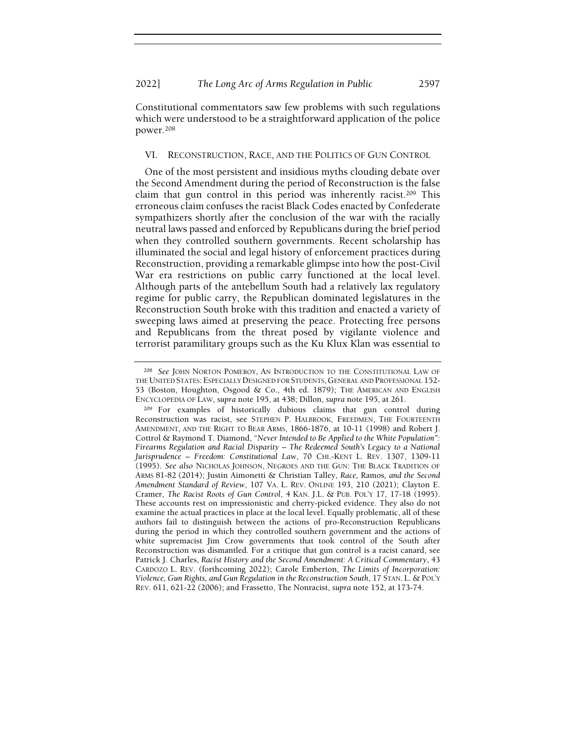Constitutional commentators saw few problems with such regulations which were understood to be a straightforward application of the police power.<sup>208</sup>

#### VI. RECONSTRUCTION, RACE, AND THE POLITICS OF GUN CONTROL

One of the most persistent and insidious myths clouding debate over the Second Amendment during the period of Reconstruction is the false claim that gun control in this period was inherently racist.209 This erroneous claim confuses the racist Black Codes enacted by Confederate sympathizers shortly after the conclusion of the war with the racially neutral laws passed and enforced by Republicans during the brief period when they controlled southern governments. Recent scholarship has illuminated the social and legal history of enforcement practices during Reconstruction, providing a remarkable glimpse into how the post-Civil War era restrictions on public carry functioned at the local level. Although parts of the antebellum South had a relatively lax regulatory regime for public carry, the Republican dominated legislatures in the Reconstruction South broke with this tradition and enacted a variety of sweeping laws aimed at preserving the peace. Protecting free persons and Republicans from the threat posed by vigilante violence and terrorist paramilitary groups such as the Ku Klux Klan was essential to

<sup>&</sup>lt;sup>208</sup> See JOHN NORTON POMEROY, AN INTRODUCTION TO THE CONSTITUTIONAL LAW OF THE UNITED STATES: ESPECIALLY DESIGNED FOR STUDENTS, GENERAL AND PROFESSIONAL 152- 53 (Boston, Houghton, Osgood & Co., 4th ed. 1879); THE AMERICAN AND ENGLISH ENCYCLOPEDIA OF LAW, supra note 195, at 438; Dillon, supra note 195, at 261.

<sup>209</sup> For examples of historically dubious claims that gun control during Reconstruction was racist, see STEPHEN P. HALBROOK, FREEDMEN, THE FOURTEENTH AMENDMENT, AND THE RIGHT TO BEAR ARMS, 1866-1876, at 10-11 (1998) and Robert J. Cottrol & Raymond T. Diamond, "Never Intended to Be Applied to the White Population": Firearms Regulation and Racial Disparity – The Redeemed South's Legacy to a National Jurisprudence – Freedom: Constitutional Law, 70 CHI.-KENT L. REV. 1307, 1309-11 (1995). See also NICHOLAS JOHNSON, NEGROES AND THE GUN: THE BLACK TRADITION OF ARMS 81-82 (2014); Justin Aimonetti & Christian Talley, Race, Ramos, and the Second Amendment Standard of Review, 107 VA. L. REV. ONLINE 193, 210 (2021); Clayton E. Cramer, The Racist Roots of Gun Control, 4 KAN. J.L. & PUB. POL'Y 17, 17-18 (1995). These accounts rest on impressionistic and cherry-picked evidence. They also do not examine the actual practices in place at the local level. Equally problematic, all of these authors fail to distinguish between the actions of pro-Reconstruction Republicans during the period in which they controlled southern government and the actions of white supremacist Jim Crow governments that took control of the South after Reconstruction was dismantled. For a critique that gun control is a racist canard, see Patrick J. Charles, Racist History and the Second Amendment: A Critical Commentary, 43 CARDOZO L. REV. (forthcoming 2022); Carole Emberton, The Limits of Incorporation: Violence, Gun Rights, and Gun Regulation in the Reconstruction South, 17 STAN. L. & POL'Y REV. 611, 621-22 (2006); and Frassetto, The Nonracist, supra note 152, at 173-74.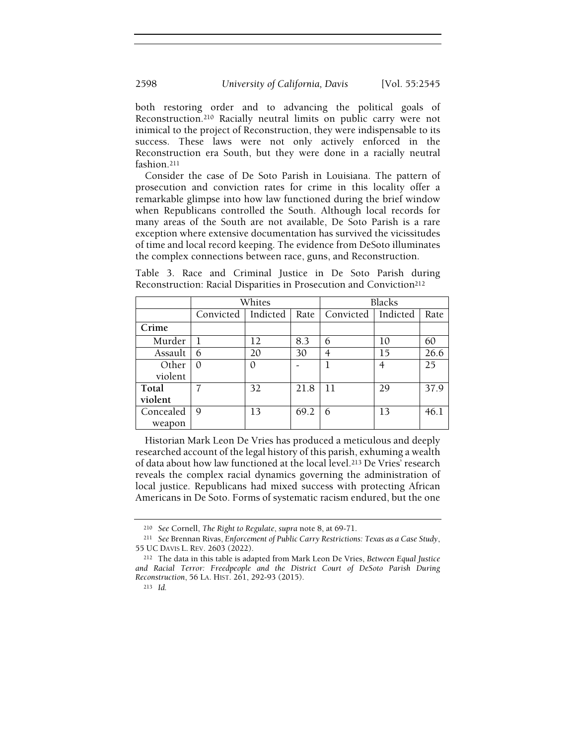both restoring order and to advancing the political goals of Reconstruction.210 Racially neutral limits on public carry were not inimical to the project of Reconstruction, they were indispensable to its success. These laws were not only actively enforced in the Reconstruction era South, but they were done in a racially neutral fashion.<sup>211</sup>

Consider the case of De Soto Parish in Louisiana. The pattern of prosecution and conviction rates for crime in this locality offer a remarkable glimpse into how law functioned during the brief window when Republicans controlled the South. Although local records for many areas of the South are not available, De Soto Parish is a rare exception where extensive documentation has survived the vicissitudes of time and local record keeping. The evidence from DeSoto illuminates the complex connections between race, guns, and Reconstruction.

| Reconstruction: Racial Disparities in Prosecution and Conviction <sup>212</sup> |        |        |  |
|---------------------------------------------------------------------------------|--------|--------|--|
|                                                                                 | Whites | Blacks |  |

Table 3. Race and Criminal Justice in De Soto Parish during

|                     | Whites    |          |      | <b>Blacks</b>    |          |      |
|---------------------|-----------|----------|------|------------------|----------|------|
|                     | Convicted | Indicted |      | Rate   Convicted | Indicted | Rate |
| Crime               |           |          |      |                  |          |      |
| Murder              |           | 12       | 8.3  | 6                | 10       | 60   |
| Assault             | 6         | 20       | 30   |                  | 15       | 26.6 |
| Other               |           | 0        |      |                  | 4        | 25   |
| violent             |           |          |      |                  |          |      |
| Total<br>violent    |           | 32       | 21.8 | 11               | 29       | 37.9 |
| Concealed<br>weapon | 9         | 13       | 69.2 | 6                | 13       | 46.1 |

Historian Mark Leon De Vries has produced a meticulous and deeply researched account of the legal history of this parish, exhuming a wealth of data about how law functioned at the local level.213 De Vries' research reveals the complex racial dynamics governing the administration of local justice. Republicans had mixed success with protecting African Americans in De Soto. Forms of systematic racism endured, but the one

<sup>210</sup> See Cornell, The Right to Regulate, supra note 8, at 69-71.

<sup>&</sup>lt;sup>211</sup> See Brennan Rivas, Enforcement of Public Carry Restrictions: Texas as a Case Study, 55 UC DAVIS L. REV. 2603 (2022).

<sup>212</sup> The data in this table is adapted from Mark Leon De Vries, Between Equal Justice and Racial Terror: Freedpeople and the District Court of DeSoto Parish During Reconstruction, 56 LA. HIST. 261, 292-93 (2015).

<sup>213</sup> Id.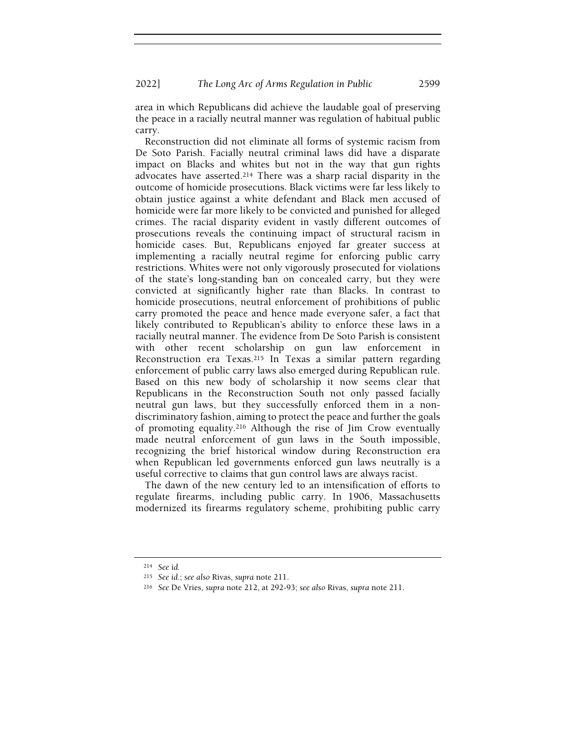area in which Republicans did achieve the laudable goal of preserving the peace in a racially neutral manner was regulation of habitual public carry.

Reconstruction did not eliminate all forms of systemic racism from De Soto Parish. Facially neutral criminal laws did have a disparate impact on Blacks and whites but not in the way that gun rights advocates have asserted.214 There was a sharp racial disparity in the outcome of homicide prosecutions. Black victims were far less likely to obtain justice against a white defendant and Black men accused of homicide were far more likely to be convicted and punished for alleged crimes. The racial disparity evident in vastly different outcomes of prosecutions reveals the continuing impact of structural racism in homicide cases. But, Republicans enjoyed far greater success at implementing a racially neutral regime for enforcing public carry restrictions. Whites were not only vigorously prosecuted for violations of the state's long-standing ban on concealed carry, but they were convicted at significantly higher rate than Blacks. In contrast to homicide prosecutions, neutral enforcement of prohibitions of public carry promoted the peace and hence made everyone safer, a fact that likely contributed to Republican's ability to enforce these laws in a racially neutral manner. The evidence from De Soto Parish is consistent with other recent scholarship on gun law enforcement in Reconstruction era Texas.215 In Texas a similar pattern regarding enforcement of public carry laws also emerged during Republican rule. Based on this new body of scholarship it now seems clear that Republicans in the Reconstruction South not only passed facially neutral gun laws, but they successfully enforced them in a nondiscriminatory fashion, aiming to protect the peace and further the goals of promoting equality.216 Although the rise of Jim Crow eventually made neutral enforcement of gun laws in the South impossible, recognizing the brief historical window during Reconstruction era when Republican led governments enforced gun laws neutrally is a useful corrective to claims that gun control laws are always racist.

The dawn of the new century led to an intensification of efforts to regulate firearms, including public carry. In 1906, Massachusetts modernized its firearms regulatory scheme, prohibiting public carry

<sup>214</sup> See id.

<sup>215</sup> See id.; see also Rivas, supra note 211.

<sup>216</sup> See De Vries, supra note 212, at 292-93; see also Rivas, supra note 211.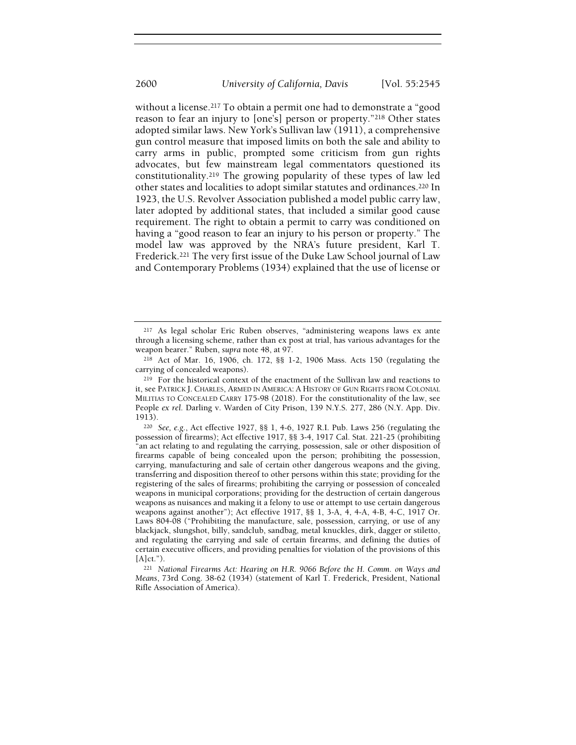without a license.217 To obtain a permit one had to demonstrate a "good reason to fear an injury to [one's] person or property."218 Other states adopted similar laws. New York's Sullivan law (1911), a comprehensive gun control measure that imposed limits on both the sale and ability to carry arms in public, prompted some criticism from gun rights advocates, but few mainstream legal commentators questioned its constitutionality.219 The growing popularity of these types of law led other states and localities to adopt similar statutes and ordinances.220 In 1923, the U.S. Revolver Association published a model public carry law, later adopted by additional states, that included a similar good cause requirement. The right to obtain a permit to carry was conditioned on having a "good reason to fear an injury to his person or property." The model law was approved by the NRA's future president, Karl T. Frederick.221 The very first issue of the Duke Law School journal of Law and Contemporary Problems (1934) explained that the use of license or

<sup>217</sup> As legal scholar Eric Ruben observes, "administering weapons laws ex ante through a licensing scheme, rather than ex post at trial, has various advantages for the weapon bearer." Ruben, supra note 48, at 97.

<sup>218</sup> Act of Mar. 16, 1906, ch. 172, §§ 1-2, 1906 Mass. Acts 150 (regulating the carrying of concealed weapons).

<sup>219</sup> For the historical context of the enactment of the Sullivan law and reactions to it, see PATRICK J. CHARLES, ARMED IN AMERICA: A HISTORY OF GUN RIGHTS FROM COLONIAL MILITIAS TO CONCEALED CARRY 175-98 (2018). For the constitutionality of the law, see People ex rel. Darling v. Warden of City Prison, 139 N.Y.S. 277, 286 (N.Y. App. Div. 1913).

<sup>220</sup> See, e.g., Act effective 1927, §§ 1, 4-6, 1927 R.I. Pub. Laws 256 (regulating the possession of firearms); Act effective 1917, §§ 3-4, 1917 Cal. Stat. 221-25 (prohibiting "an act relating to and regulating the carrying, possession, sale or other disposition of firearms capable of being concealed upon the person; prohibiting the possession, carrying, manufacturing and sale of certain other dangerous weapons and the giving, transferring and disposition thereof to other persons within this state; providing for the registering of the sales of firearms; prohibiting the carrying or possession of concealed weapons in municipal corporations; providing for the destruction of certain dangerous weapons as nuisances and making it a felony to use or attempt to use certain dangerous weapons against another"); Act effective 1917, §§ 1, 3-A, 4, 4-A, 4-B, 4-C, 1917 Or. Laws 804-08 ("Prohibiting the manufacture, sale, possession, carrying, or use of any blackjack, slungshot, billy, sandclub, sandbag, metal knuckles, dirk, dagger or stiletto, and regulating the carrying and sale of certain firearms, and defining the duties of certain executive officers, and providing penalties for violation of the provisions of this  $[A]$ ct.").

<sup>221</sup> National Firearms Act: Hearing on H.R. 9066 Before the H. Comm. on Ways and Means, 73rd Cong. 38-62 (1934) (statement of Karl T. Frederick, President, National Rifle Association of America).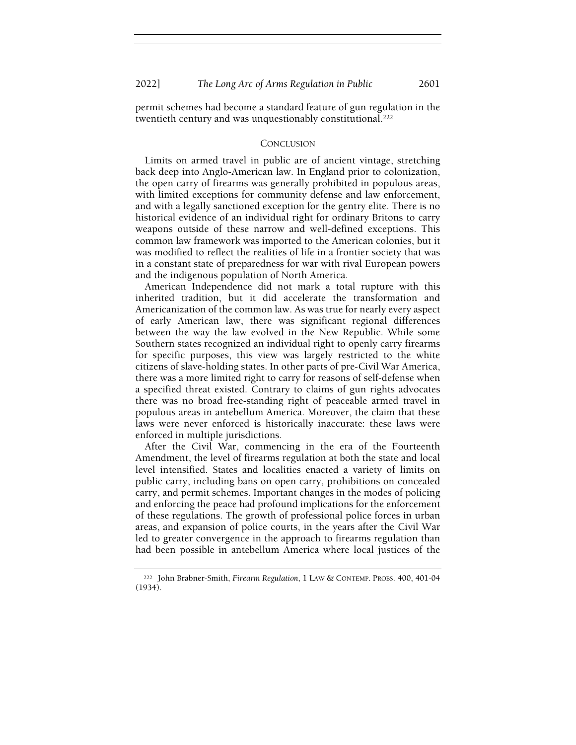permit schemes had become a standard feature of gun regulation in the twentieth century and was unquestionably constitutional.<sup>222</sup>

#### **CONCLUSION**

Limits on armed travel in public are of ancient vintage, stretching back deep into Anglo-American law. In England prior to colonization, the open carry of firearms was generally prohibited in populous areas, with limited exceptions for community defense and law enforcement, and with a legally sanctioned exception for the gentry elite. There is no historical evidence of an individual right for ordinary Britons to carry weapons outside of these narrow and well-defined exceptions. This common law framework was imported to the American colonies, but it was modified to reflect the realities of life in a frontier society that was in a constant state of preparedness for war with rival European powers and the indigenous population of North America.

American Independence did not mark a total rupture with this inherited tradition, but it did accelerate the transformation and Americanization of the common law. As was true for nearly every aspect of early American law, there was significant regional differences between the way the law evolved in the New Republic. While some Southern states recognized an individual right to openly carry firearms for specific purposes, this view was largely restricted to the white citizens of slave-holding states. In other parts of pre-Civil War America, there was a more limited right to carry for reasons of self-defense when a specified threat existed. Contrary to claims of gun rights advocates there was no broad free-standing right of peaceable armed travel in populous areas in antebellum America. Moreover, the claim that these laws were never enforced is historically inaccurate: these laws were enforced in multiple jurisdictions.

After the Civil War, commencing in the era of the Fourteenth Amendment, the level of firearms regulation at both the state and local level intensified. States and localities enacted a variety of limits on public carry, including bans on open carry, prohibitions on concealed carry, and permit schemes. Important changes in the modes of policing and enforcing the peace had profound implications for the enforcement of these regulations. The growth of professional police forces in urban areas, and expansion of police courts, in the years after the Civil War led to greater convergence in the approach to firearms regulation than had been possible in antebellum America where local justices of the

<sup>&</sup>lt;sup>222</sup> John Brabner-Smith, Firearm Regulation, 1 LAW & CONTEMP. PROBS. 400, 401-04 (1934).